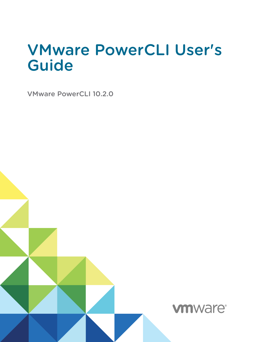# VMware PowerCLI User's Guide

VMware PowerCLI 10.2.0

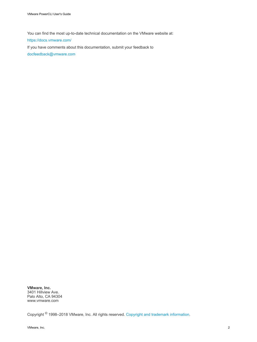You can find the most up-to-date technical documentation on the VMware website at:

<https://docs.vmware.com/>

If you have comments about this documentation, submit your feedback to

[docfeedback@vmware.com](mailto:docfeedback@vmware.com)

**VMware, Inc.** 3401 Hillview Ave. Palo Alto, CA 94304 www.vmware.com

Copyright <sup>©</sup> 1998–2018 VMware, Inc. All rights reserved. [Copyright and trademark information](http://pubs.vmware.com/copyright-trademark.html).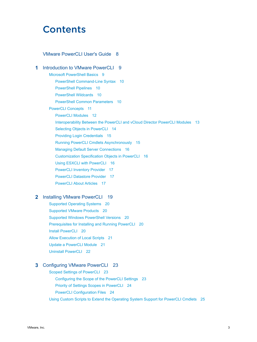## **Contents**

### [VMware PowerCLI User's Guide 8](#page-7-0)

**1** [Introduction to VMware PowerCLI 9](#page-8-0) Mic[rosoft PowerShell Basics 9](#page-8-0) Po[werShell Command-Line Syntax 10](#page-9-0) Po[werShell Pipelines 10](#page-9-0) Po[werShell Wildcards 10](#page-9-0) Po[werShell Common Parameters 10](#page-9-0) Po[werCLI Concepts 11](#page-10-0) Po[werCLI Modules 12](#page-11-0) Int[eroperability Between the PowerCLI and vCloud Director PowerCLI Modules 13](#page-12-0) Sel[ecting Objects in PowerCLI 14](#page-13-0) Pro[viding Login Credentials 15](#page-14-0) Ru[nning PowerCLI Cmdlets Asynchronously 15](#page-14-0) Ma[naging Default Server Connections 16](#page-15-0) Cu[stomization Specification Objects in PowerCLI 16](#page-15-0) Usi[ng ESXCLI with PowerCLI 16](#page-15-0) Po[werCLI Inventory Provider 17](#page-16-0) Po[werCLI Datastore Provider 17](#page-16-0) Po[werCLI About Articles 17](#page-16-0)

### **2** [Installing VMware PowerCLI 19](#page-18-0)

Su[pported Operating Systems 20](#page-19-0) Su[pported VMware Products 20](#page-19-0) Su[pported Windows PowerShell Versions 20](#page-19-0) Pre[requisites for Installing and Running PowerCLI 20](#page-19-0) Inst[all PowerCLI 20](#page-19-0) All[ow Execution of Local Scripts 21](#page-20-0) Up[date a PowerCLI Module 21](#page-20-0) Uni[nstall PowerCLI 22](#page-21-0)

### **3** [Configuring VMware PowerCLI 23](#page-22-0)

Sc[oped Settings of PowerCLI 23](#page-22-0) Co[nfiguring the Scope of the PowerCLI Settings 23](#page-22-0) Pri[ority of Settings Scopes in PowerCLI 24](#page-23-0) Po[werCLI Configuration Files 24](#page-23-0) Usi[ng Custom Scripts to Extend the Operating System Support for PowerCLI Cmdlets 25](#page-24-0)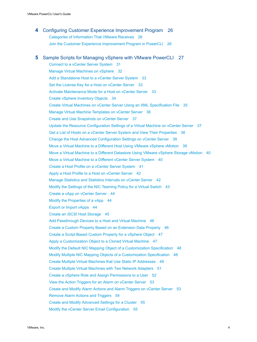**4** [Configuring Customer Experience Improvement Program 26](#page-25-0) Cat[egories of Information That VMware Receives 26](#page-25-0) Joi[n the Customer Experience Improvement Program in PowerCLI 26](#page-25-0)

## **5** [Sample Scripts for Managing vSphere with VMware PowerCLI 27](#page-26-0)

Co[nnect to a vCenter Server System 31](#page-30-0) Ma[nage Virtual Machines on vSphere 32](#page-31-0) Ad[d a Standalone Host to a vCenter Server System 33](#page-32-0) Set [the License Key for a Host on vCenter Server 33](#page-32-0) Act[ivate Maintenance Mode for a Host on vCenter Server 33](#page-32-0) Cre[ate vSphere Inventory Objects 34](#page-33-0) Cre[ate Virtual Machines on vCenter Server Using an XML Specification File 35](#page-34-0) Ma[nage Virtual Machine Templates on vCenter Server 36](#page-35-0) Cre[ate and Use Snapshots on vCenter Server 37](#page-36-0) Up[date the Resource Configuration Settings of a Virtual Machine on vCenter Server 37](#page-36-0) Get [a List of Hosts on a vCenter Server System and View Their Properties 38](#page-37-0) Ch[ange the Host Advanced Configuration Settings on vCenter Server 39](#page-38-0) Mo[ve a Virtual Machine to a Different Host Using VMware vSphere vMotion 39](#page-38-0) Mo[ve a Virtual Machine to a Different Datastore Using VMware vSphere Storage vMotion 40](#page-39-0) Mo[ve a Virtual Machine to a Different vCenter Server System 40](#page-39-0) Cre[ate a Host Profile on a vCenter Server System 41](#page-40-0) Ap[ply a Host Profile to a Host on vCenter Server 42](#page-41-0) Ma[nage Statistics and Statistics Intervals on vCenter Server 42](#page-41-0) Mo[dify the Settings of the NIC Teaming Policy for a Virtual Switch 43](#page-42-0) Cre[ate a vApp on vCenter Server 44](#page-43-0) Mo[dify the Properties of a vApp 44](#page-43-0) Ex[port or Import vApps 44](#page-43-0) Cre[ate an iSCSI Host Storage 45](#page-44-0) Ad[d Passthrough Devices to a Host and Virtual Machine 46](#page-45-0) Cre[ate a Custom Property Based on an Extension Data Property 46](#page-45-0) Cre[ate a Script-Based Custom Property for a vSphere Object 47](#page-46-0) Ap[ply a Customization Object to a Cloned Virtual Machine 47](#page-46-0) Mo[dify the Default NIC Mapping Object of a Customization Specification 48](#page-47-0) Mo[dify Multiple NIC Mapping Objects of a Customization Specification 48](#page-47-0) Cre[ate Multiple Virtual Machines that Use Static IP Addresses 49](#page-48-0) Cre[ate Multiple Virtual Machines with Two Network Adapters 51](#page-50-0) Cre[ate a vSphere Role and Assign Permissions to a User 52](#page-51-0) Vie[w the Action Triggers for an Alarm on vCenter Server 53](#page-52-0) Cre[ate and Modify Alarm Actions and Alarm Triggers on vCenter Server 53](#page-52-0) Re[move Alarm Actions and Triggers 54](#page-53-0) Cre[ate and Modify Advanced Settings for a Cluster 55](#page-54-0) Mo[dify the vCenter Server Email Configuration 55](#page-54-0)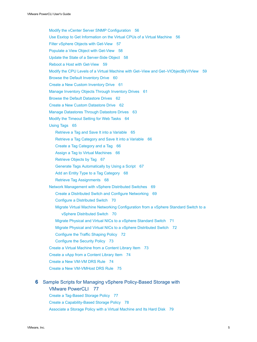Mo[dify the vCenter Server SNMP Configuration 56](#page-55-0) Us[e Esxtop to Get Information on the Virtual CPUs of a Virtual Machine 56](#page-55-0) Filt[er vSphere Objects with Get-View 57](#page-56-0) Po[pulate a View Object with Get-View 58](#page-57-0) Up[date the State of a Server-Side Object 58](#page-57-0) Re[boot a Host with Get-View 59](#page-58-0) Mo[dify the CPU Levels of a Virtual Machine with Get–View and Get–VIObjectByVIView 59](#page-58-0) Bro[wse the Default Inventory Drive 60](#page-59-0) Cre[ate a New Custom Inventory Drive 61](#page-60-0) Ma[nage Inventory Objects Through Inventory Drives 61](#page-60-0) Bro[wse the Default Datastore Drives 62](#page-61-0) Cre[ate a New Custom Datastore Drive 62](#page-61-0) Ma[nage Datastores Through Datastore Drives 63](#page-62-0) Mo[dify the Timeout Setting for Web Tasks 64](#page-63-0) Usi[ng Tags 65](#page-64-0) Ret[rieve a Tag and Save It into a Variable 65](#page-64-0) Ret[rieve a Tag Category and Save It into a Variable 66](#page-65-0) Cr[eate a Tag Category and a Tag 66](#page-65-0) As[sign a Tag to Virtual Machines 66](#page-65-0) Ret[rieve Objects by Tag 67](#page-66-0) Ge[nerate Tags Automatically by Using a Script 67](#page-66-0) Ad[d an Entity Type to a Tag Category 68](#page-67-0) Ret[rieve Tag Assignments 68](#page-67-0) Net[work Management with vSphere Distributed Switches 69](#page-68-0) Cr[eate a Distributed Switch and Configure Networking 69](#page-68-0) Co[nfigure a Distributed Switch 70](#page-69-0) Mi[grate Virtual Machine Networking Configuration from a vSphere Standard Switch to a](#page-69-0) vSphere Distributed Switch 70 Mi[grate Physical and Virtual NICs to a vSphere Standard Switch 71](#page-70-0) Mi[grate Physical and Virtual NICs to a vSphere Distributed Switch 72](#page-71-0) Co[nfigure the Traffic Shaping Policy 72](#page-71-0) Co[nfigure the Security Policy 73](#page-72-0) Cre[ate a Virtual Machine from a Content Library Item 73](#page-72-0) Cre[ate a vApp from a Content Library Item 74](#page-73-0) Cre[ate a New VM-VM DRS Rule 74](#page-73-0) Cre[ate a New VM-VMHost DRS Rule 75](#page-74-0)

## **6** [Sample Scripts for Managing vSphere Policy-Based Storage with](#page-76-0)

VMware PowerCLI 77 Cre[ate a Tag-Based Storage Policy 77](#page-76-0) Cre[ate a Capability-Based Storage Policy 78](#page-77-0) As[sociate a Storage Policy with a Virtual Machine and Its Hard Disk 79](#page-78-0)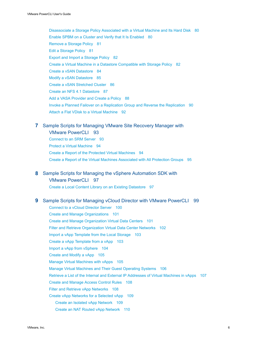Dis[associate a Storage Policy Associated with a Virtual Machine and Its Hard Disk 80](#page-79-0) En[able SPBM on a Cluster and Verify that It Is Enabled 80](#page-79-0) Re[move a Storage Policy 81](#page-80-0) Edi[t a Storage Policy 81](#page-80-0) Ex[port and Import a Storage Policy 82](#page-81-0) Cre[ate a Virtual Machine in a Datastore Compatible with Storage Policy 82](#page-81-0) Cre[ate a vSAN Datastore 84](#page-83-0) Mo[dify a vSAN Datastore 85](#page-84-0) Cre[ate a vSAN Stretched Cluster 86](#page-85-0) Cre[ate an NFS 4.1 Datastore 87](#page-86-0) Ad[d a VASA Provider and Create a Policy 88](#page-87-0) Inv[oke a Planned Failover on a Replication Group and Reverse the Replication 90](#page-89-0) Att[ach a Flat VDisk to a Virtual Machine 92](#page-91-0)

### **7** [Sample Scripts for Managing VMware Site Recovery Manager with](#page-92-0)

VMware PowerCLI 93 Co[nnect to an SRM Server 93](#page-92-0) Pro[tect a Virtual Machine 94](#page-93-0) Cre[ate a Report of the Protected Virtual Machines 94](#page-93-0) Cre[ate a Report of the Virtual Machines Associated with All Protection Groups 95](#page-94-0)

### **8** [Sample Scripts for Managing the vSphere Automation SDK with](#page-96-0)

### VMware PowerCLI 97

Cre[ate a Local Content Library on an Existing Datastore 97](#page-96-0)

### **9** [Sample Scripts for Managing vCloud Director with VMware PowerCLI 99](#page-98-0)

Co[nnect to a vCloud Director Server 100](#page-99-0) Cre[ate and Manage Organizations 101](#page-100-0) Cre[ate and Manage Organization Virtual Data Centers 101](#page-100-0) Filt[er and Retrieve Organization Virtual Data Center Networks 102](#page-101-0) Im[port a vApp Template from the Local Storage 103](#page-102-0) Cre[ate a vApp Template from a vApp 103](#page-102-0) Im[port a vApp from vSphere 104](#page-103-0) Cre[ate and Modify a vApp 105](#page-104-0) Ma[nage Virtual Machines with vApps 105](#page-104-0) Ma[nage Virtual Machines and Their Guest Operating Systems 106](#page-105-0) Ret[rieve a List of the Internal and External IP Addresses of Virtual Machines in vApps 107](#page-106-0) Cre[ate and Manage Access Control Rules 108](#page-107-0) Filt[er and Retrieve vApp Networks 108](#page-107-0) Cre[ate vApp Networks for a Selected vApp 109](#page-108-0) Cr[eate an Isolated vApp Network 109](#page-108-0) Cr[eate an NAT Routed vApp Network 110](#page-109-0)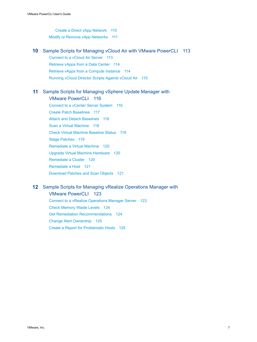Cr[eate a Direct vApp Network 110](#page-109-0) Mo[dify or Remove vApp Networks 111](#page-110-0)

**10** [Sample Scripts for Managing vCloud Air with VMware PowerCLI 113](#page-112-0)

Co[nnect to a vCloud Air Server 113](#page-112-0)

Ret[rieve vApps from a Data Center 114](#page-113-0)

Ret[rieve vApps from a Compute Instance 114](#page-113-0)

Ru[nning vCloud Director Scripts Against vCloud Air 115](#page-114-0)

### **11** [Sample Scripts for Managing vSphere Update Manager with](#page-115-0)

VMware PowerCLI 116 Co[nnect to a vCenter Server System 116](#page-115-0) Cre[ate Patch Baselines 117](#page-116-0) Att[ach and Detach Baselines 118](#page-117-0) Sc[an a Virtual Machine 118](#page-117-0) Ch[eck Virtual Machine Baseline Status 119](#page-118-0) Sta[ge Patches 119](#page-118-0) Re[mediate a Virtual Machine 120](#page-119-0) Up[grade Virtual Machine Hardware 120](#page-119-0) Re[mediate a Cluster 120](#page-119-0) Re[mediate a Host 121](#page-120-0) Do[wnload Patches and Scan Objects 121](#page-120-0)

### **12** [Sample Scripts for Managing vRealize Operations Manager with](#page-122-0)

VMware PowerCLI 123

Co[nnect to a vRealize Operations Manager Server 123](#page-122-0) Ch[eck Memory Waste Levels 124](#page-123-0) Get [Remediation Recommendations 124](#page-123-0) Ch[ange Alert Ownership 125](#page-124-0) Cre[ate a Report for Problematic Hosts 125](#page-124-0)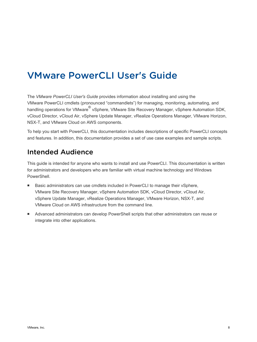## <span id="page-7-0"></span>VMware PowerCLI User's Guide

The *VMware PowerCLI User's Guide* provides information about installing and using the VMware PowerCLI cmdlets (pronounced "commandlets") for managing, monitoring, automating, and handling operations for VMware® vSphere, VMware Site Recovery Manager, vSphere Automation SDK, vCloud Director, vCloud Air, vSphere Update Manager, vRealize Operations Manager, VMware Horizon, NSX-T, and VMware Cloud on AWS components.

To help you start with PowerCLI, this documentation includes descriptions of specific PowerCLI concepts and features. In addition, this documentation provides a set of use case examples and sample scripts.

## Intended Audience

This guide is intended for anyone who wants to install and use PowerCLI. This documentation is written for administrators and developers who are familiar with virtual machine technology and Windows PowerShell.

- Basic administrators can use cmdlets included in PowerCLI to manage their vSphere, VMware Site Recovery Manager, vSphere Automation SDK, vCloud Director, vCloud Air, vSphere Update Manager, vRealize Operations Manager, VMware Horizon, NSX-T, and VMware Cloud on AWS infrastructure from the command line.
- <sup>n</sup> Advanced administrators can develop PowerShell scripts that other administrators can reuse or integrate into other applications.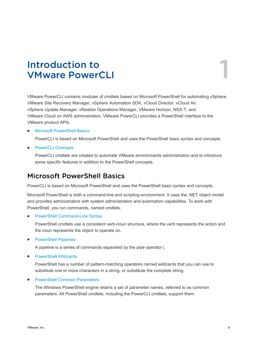## <span id="page-8-0"></span>Introduction to VMware PowerCLI 1

VMware PowerCLI contains modules of cmdlets based on Microsoft PowerShell for automating vSphere, VMware Site Recovery Manager, vSphere Automation SDK, vCloud Director, vCloud Air, vSphere Update Manager, vRealize Operations Manager, VMware Horizon, NSX-T, and VMware Cloud on AWS administration. VMware PowerCLI provides a PowerShell interface to the VMware product APIs.

### ■ Microsoft PowerShell Basics

PowerCLI is based on Microsoft PowerShell and uses the PowerShell basic syntax and concepts.

■ [PowerCLI Concepts](#page-10-0)

PowerCLI cmdlets are created to automate VMware environments administration and to introduce some specific features in addition to the PowerShell concepts.

## Microsoft PowerShell Basics

PowerCLI is based on Microsoft PowerShell and uses the PowerShell basic syntax and concepts.

Microsoft PowerShell is both a command-line and scripting environment. It uses the .NET object model and provides administrators with system administration and automation capabilities. To work with PowerShell, you run commands, named cmdlets.

■ [PowerShell Command-Line Syntax](#page-9-0)

PowerShell cmdlets use a consistent verb-noun structure, where the verb represents the action and the noun represents the object to operate on.

**n** [PowerShell Pipelines](#page-9-0)

A pipeline is a series of commands separated by the pipe operator |.

**n** [PowerShell Wildcards](#page-9-0)

PowerShell has a number of pattern-matching operators named wildcards that you can use to substitute one or more characters in a string, or substitute the complete string.

**[PowerShell Common Parameters](#page-9-0)** 

The Windows PowerShell engine retains a set of parameter names, referred to as common parameters. All PowerShell cmdlets, including the PowerCLI cmdlets, support them.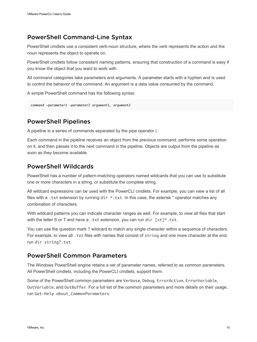## <span id="page-9-0"></span>PowerShell Command-Line Syntax

PowerShell cmdlets use a consistent verb-noun structure, where the verb represents the action and the noun represents the object to operate on.

PowerShell cmdlets follow consistent naming patterns, ensuring that construction of a command is easy if you know the object that you want to work with.

All command categories take parameters and arguments. A parameter starts with a hyphen and is used to control the behavior of the command. An argument is a data value consumed by the command.

A simple PowerShell command has the following syntax:

```
command -parameter1 -parameter2 argument1, argument2
```
## PowerShell Pipelines

A pipeline is a series of commands separated by the pipe operator |.

Each command in the pipeline receives an object from the previous command, performs some operation on it, and then passes it to the next command in the pipeline. Objects are output from the pipeline as soon as they become available.

## PowerShell Wildcards

PowerShell has a number of pattern-matching operators named wildcards that you can use to substitute one or more characters in a string, or substitute the complete string.

All wildcard expressions can be used with the PowerCLI cmdlets. For example, you can view a list of all files with a .txt extension by running dir  $*$ .txt. In this case, the asterisk  $*$  operator matches any combination of characters.

With wildcard patterns you can indicate character ranges as well. For example, to view all files that start with the letter S or T and have a .txt extension, you can run dir  $\lceil s_t \rceil^*$ .txt.

You can use the question mark ? wildcard to match any single character within a sequence of characters. For example, to view all . txt files with names that consist of string and one more character at the end, run dir string?.txt.

## PowerShell Common Parameters

The Windows PowerShell engine retains a set of parameter names, referred to as common parameters. All PowerShell cmdlets, including the PowerCLI cmdlets, support them.

Some of the PowerShell common parameters are Verbose, Debug, ErrorAction, ErrorVariable, OutVariable, and OutBuffer. For a full list of the common parameters and more details on their usage, run Get-Help about\_CommonParameters.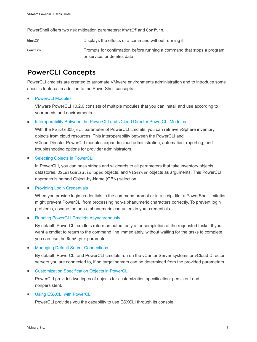<span id="page-10-0"></span>PowerShell offers two risk mitigation parameters: WhatIf and Confirm.

WhatIf **Displays the effects of a command without running it. Confirm** Prompts for confirmation before running a command that stops a program or service, or deletes data.

## PowerCLI Concepts

PowerCLI cmdlets are created to automate VMware environments administration and to introduce some specific features in addition to the PowerShell concepts.

### **E** [PowerCLI Modules](#page-11-0)

VMware PowerCLI 10.2.0 consists of multiple modules that you can install and use according to your needs and environments.

### [Interoperability Between the PowerCLI and vCloud Director PowerCLI Modules](#page-12-0)

With the RelatedObject parameter of PowerCLI cmdlets, you can retrieve vSphere inventory objects from cloud resources. This interoperability between the PowerCLI and vCloud Director PowerCLI modules expands cloud administration, automation, reporting, and troubleshooting options for provider administrators.

### ■ [Selecting Objects in PowerCLI](#page-13-0)

In PowerCLI, you can pass strings and wildcards to all parameters that take inventory objects, datastores, OSCustomizationSpec objects, and VIServer objects as arguments. This PowerCLI approach is named Object-by-Name (OBN) selection.

### **n** [Providing Login Credentials](#page-14-0)

When you provide login credentials in the command prompt or in a script file, a PowerShell limitation might prevent PowerCLI from processing non-alphanumeric characters correctly. To prevent login problems, escape the non-alphanumeric characters in your credentials.

### [Running PowerCLI Cmdlets Asynchronously](#page-14-0)

By default, PowerCLI cmdlets return an output only after completion of the requested tasks. If you want a cmdlet to return to the command line immediately, without waiting for the tasks to complete, you can use the RunAsync parameter.

### ■ [Managing Default Server Connections](#page-15-0)

By default, PowerCLI and PowerCLI cmdlets run on the vCenter Server systems or vCloud Director servers you are connected to, if no target servers can be determined from the provided parameters.

■ [Customization Specification Objects in PowerCLI](#page-15-0)

PowerCLI provides two types of objects for customization specification: persistent and nonpersistent.

### **No. [Using ESXCLI with PowerCLI](#page-15-0)**

PowerCLI provides you the capability to use ESXCLI through its console.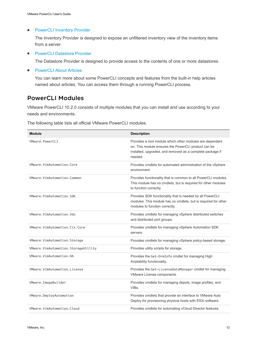### <span id="page-11-0"></span>**n** [PowerCLI Inventory Provider](#page-16-0)

The Inventory Provider is designed to expose an unfiltered inventory view of the inventory items from a server.

**[PowerCLI Datastore Provider](#page-16-0)** 

The Datastore Provider is designed to provide access to the contents of one or more datastores.

■ [PowerCLI About Articles](#page-16-0)

You can learn more about some PowerCLI concepts and features from the built-in help articles named about articles. You can access them through a running PowerCLI process.

## PowerCLI Modules

VMware PowerCLI 10.2.0 consists of multiple modules that you can install and use according to your needs and environments.

The following table lists all official VMware PowerCLI modules.

| <b>Module</b>                       | <b>Description</b>                                                                                                                                                                      |
|-------------------------------------|-----------------------------------------------------------------------------------------------------------------------------------------------------------------------------------------|
| VMware.PowerCLI                     | Provides a root module which other modules are dependent<br>on. This module ensures the PowerCLI product can be<br>installed, upgraded, and removed as a complete package if<br>needed. |
| VMware.VimAutomation.Core           | Provides cmdlets for automated administration of the vSphere<br>environment.                                                                                                            |
| VMware.VimAutomation.Common         | Provides functionality that is common to all PowerCLI modules.<br>This module has no cmdlets, but is required for other modules<br>to function correctly.                               |
| VMware.VimAutomation.Sdk            | Provides SDK functionality that is needed by all PowerCLI<br>modules. This module has no cmdlets, but is required for other<br>modules to function correctly.                           |
| VMware.VimAutomation.Vds            | Provides cmdlets for managing vSphere distributed switches<br>and distributed port groups.                                                                                              |
| VMware.VimAutomation.Cis.Core       | Provides cmdlets for managing vSphere Automation SDK<br>servers.                                                                                                                        |
| VMware.VimAutomation.Storage        | Provides cmdlets for managing vSphere policy-based storage.                                                                                                                             |
| VMware.VimAutomation.StorageUtility | Provides utility scripts for storage.                                                                                                                                                   |
| VMware.VimAutomation.HA             | Provides the Get-DrmInfo cmdlet for managing High<br>Availability functionality.                                                                                                        |
| VMware.VimAutomation.License        | Provides the Get-LicenseDataManager cmdlet for managing<br>VMware License components.                                                                                                   |
| VMware.ImageBuilder                 | Provides cmdlets for managing depots, image profiles, and<br>VIBs.                                                                                                                      |
| VMware.DeployAutomation             | Provides cmdlets that provide an interface to VMware Auto<br>Deploy for provisioning physical hosts with ESXi software.                                                                 |
| VMware.VimAutomation.Cloud          | Provides cmdlets for automating vCloud Director features.                                                                                                                               |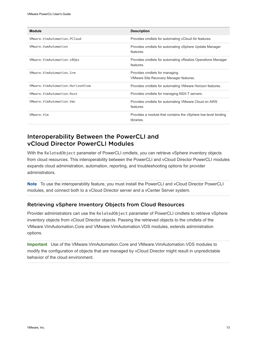<span id="page-12-0"></span>

| <b>Module</b>                    | <b>Description</b>                                                          |
|----------------------------------|-----------------------------------------------------------------------------|
| VMware.VimAutomation.PCloud      | Provides cmdlets for automating vCloud Air features.                        |
| VMware.VumAutomation             | Provides cmdlets for automating vSphere Update Manager<br>features.         |
| VMware.VimAutomation.vROps       | Provides cmdlets for automating vRealize Operations Manager<br>features.    |
| VMware.VimAutomation.Srm         | Provides cmdlets for managing<br>VMware Site Recovery Manager features.     |
| VMware.VimAutomation.HorizonView | Provides cmdlets for automating VMware Horizon features.                    |
| VMware.VimAutomation.Nsxt        | Provides cmdlets for managing NSX-T servers.                                |
| VMware.VimAutomation.Vmc         | Provides cmdlets for automating VMware Cloud on AWS<br>features.            |
| VMware.Vim                       | Provides a module that contains the vSphere low-level binding<br>libraries. |

## Interoperability Between the PowerCLI and vCloud Director PowerCLI Modules

With the RelatedObject parameter of PowerCLI cmdlets, you can retrieve vSphere inventory objects from cloud resources. This interoperability between the PowerCLI and vCloud Director PowerCLI modules expands cloud administration, automation, reporting, and troubleshooting options for provider administrators.

**Note** To use the interoperability feature, you must install the PowerCLI and vCloud Director PowerCLI modules, and connect both to a vCloud Director server and a vCenter Server system.

### Retrieving vSphere Inventory Objects from Cloud Resources

Provider administrators can use the RelatedObject parameter of PowerCLI cmdlets to retrieve vSphere inventory objects from vCloud Director objects. Passing the retrieved objects to the cmdlets of the VMware.VimAutomation.Core and VMware.VimAutomation.VDS modules, extends administration options.

**Important** Use of the VMware.VimAutomation.Core and VMware.VimAutomation.VDS modules to modify the configuration of objects that are managed by vCloud Director might result in unpredictable behavior of the cloud environment.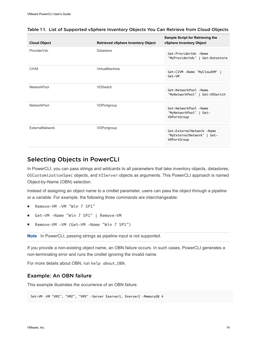| <b>Cloud Object</b> | <b>Retrieved vSphere Inventory Object</b> | <b>Sample Script for Retrieving the</b><br>vSphere Inventory Object    |
|---------------------|-------------------------------------------|------------------------------------------------------------------------|
| ProviderVdc         | Datastore                                 | Get-ProviderVdc -Name<br>'MyProviderVdc'   Get-Datastore               |
| <b>CIVM</b>         | VirtualMachine                            | Get-CIVM -Name 'MyCloudVM'  <br>Get-VM                                 |
| NetworkPool         | <b>VDSwitch</b>                           | Get-NetworkPool -Name<br>'MyNetworkPool'   Get-VDSwitch                |
| NetworkPool         | VDPortgroup                               | Get-NetworkPool -Name<br>'MyNetworkPool'   Get-<br>VDPortGroup         |
| ExternalNetwork     | VDPortgroup                               | Get-ExternalNetwork -Name<br>'MyExternalNetwork'   Get-<br>VDPortGroup |

### <span id="page-13-0"></span>Table 1-1. List of Supported vSphere Inventory Objects You Can Retrieve from Cloud Objects

### Selecting Objects in PowerCLI

In PowerCLI, you can pass strings and wildcards to all parameters that take inventory objects, datastores, OSCustomizationSpec objects, and VIServer objects as arguments. This PowerCLI approach is named Object-by-Name (OBN) selection.

Instead of assigning an object name to a cmdlet parameter, users can pass the object through a pipeline or a variable. For example, the following three commands are interchangeable:

- Remove-VM -VM "Win 7 SP1"
- <sup>n</sup> Get-VM -Name "Win 7 SP1" | Remove-VM
- Remove-VM -VM (Get-VM -Name "Win 7 SP1")

**Note** In PowerCLI, passing strings as pipeline input is not supported.

If you provide a non-existing object name, an OBN failure occurs. In such cases, PowerCLI generates a non-terminating error and runs the cmdlet ignoring the invalid name.

For more details about OBN, run help about\_OBN.

### Example: An OBN failure

This example illustrates the occurrence of an OBN failure.

Set-VM –VM "VM1", "VM2", "VM3" –Server \$server1, \$server2 –MemoryGB 4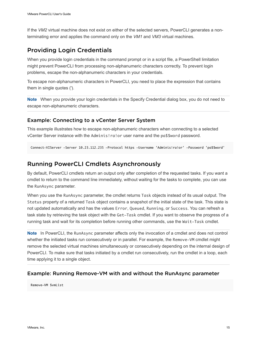<span id="page-14-0"></span>If the *VM2* virtual machine does not exist on either of the selected servers, PowerCLI generates a nonterminating error and applies the command only on the *VM1* and *VM3* virtual machines.

## Providing Login Credentials

When you provide login credentials in the command prompt or in a script file, a PowerShell limitation might prevent PowerCLI from processing non-alphanumeric characters correctly. To prevent login problems, escape the non-alphanumeric characters in your credentials.

To escape non-alphanumeric characters in PowerCLI, you need to place the expression that contains them in single quotes (').

**Note** When you provide your login credentials in the Specify Credential dialog box, you do not need to escape non-alphanumeric characters.

### Example: Connecting to a vCenter Server System

This example illustrates how to escape non-alphanumeric characters when connecting to a selected vCenter Server instance with the Adminis!ra!or user name and the pa\$\$word password.

Connect-VIServer -Server 10.23.112.235 -Protocol https -Username 'Adminis!ra!or' -Password 'pa\$\$word'

## Running PowerCLI Cmdlets Asynchronously

By default, PowerCLI cmdlets return an output only after completion of the requested tasks. If you want a cmdlet to return to the command line immediately, without waiting for the tasks to complete, you can use the RunAsync parameter.

When you use the RunAsync parameter, the cmdlet returns Task objects instead of its usual output. The Status property of a returned Task object contains a snapshot of the initial state of the task. This state is not updated automatically and has the values Error, Queued, Running, or Success. You can refresh a task state by retrieving the task object with the Get-Task cmdlet. If you want to observe the progress of a running task and wait for its completion before running other commands, use the Wait-Task cmdlet.

**Note** In PowerCLI, the RunAsync parameter affects only the invocation of a cmdlet and does not control whether the initiated tasks run consecutively or in parallel. For example, the Remove-VM cmdlet might remove the selected virtual machines simultaneously or consecutively depending on the internal design of PowerCLI. To make sure that tasks initiated by a cmdlet run consecutively, run the cmdlet in a loop, each time applying it to a single object.

### Example: Running Remove-VM with and without the RunAsync parameter

Remove-VM \$vmList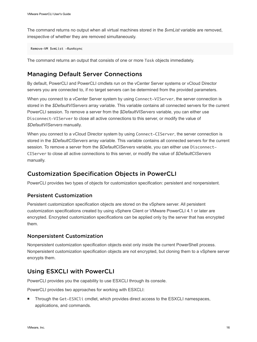<span id="page-15-0"></span>The command returns no output when all virtual machines stored in the *\$vmList* variable are removed, irrespective of whether they are removed simultaneously.

Remove-VM \$vmList -RunAsync

The command returns an output that consists of one or more Task objects immediately.

## Managing Default Server Connections

By default, PowerCLI and PowerCLI cmdlets run on the vCenter Server systems or vCloud Director servers you are connected to, if no target servers can be determined from the provided parameters.

When you connect to a vCenter Server system by using Connect–VIServer, the server connection is stored in the *\$DefaultVIServers* array variable. This variable contains all connected servers for the current PowerCLI session. To remove a server from the *\$DefaultVIServers* variable, you can either use Disconnect-VIServer to close all active connections to this server, or modify the value of *\$DefaultVIServers* manually.

When you connect to a vCloud Director system by using Connect–CIServer, the server connection is stored in the *\$DefaultCIServers* array variable. This variable contains all connected servers for the current session. To remove a server from the *\$DefaultCIServers* variable, you can either use Disconnect-CIServer to close all active connections to this server, or modify the value of *\$DefaultCIServers* manually.

## Customization Specification Objects in PowerCLI

PowerCLI provides two types of objects for customization specification: persistent and nonpersistent.

### Persistent Customization

Persistent customization specification objects are stored on the vSphere server. All persistent customization specifications created by using vSphere Client or VMware PowerCLI 4.1 or later are encrypted. Encrypted customization specifications can be applied only by the server that has encrypted them.

### Nonpersistent Customization

Nonpersistent customization specification objects exist only inside the current PowerShell process. Nonpersistent customization specification objects are not encrypted, but cloning them to a vSphere server encrypts them.

### Using ESXCLI with PowerCLI

PowerCLI provides you the capability to use ESXCLI through its console.

PowerCLI provides two approaches for working with ESXCLI:

<sup>n</sup> Through the Get-ESXCli cmdlet, which provides direct access to the ESXCLI namespaces, applications, and commands.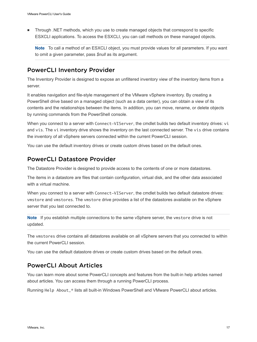<span id="page-16-0"></span><sup>n</sup> Through .NET methods, which you use to create managed objects that correspond to specific ESXCLI applications. To access the ESXCLI, you can call methods on these managed objects.

**Note** To call a method of an ESXCLI object, you must provide values for all parameters. If you want to omit a given parameter, pass *\$null* as its argument.

## PowerCLI Inventory Provider

The Inventory Provider is designed to expose an unfiltered inventory view of the inventory items from a server.

It enables navigation and file-style management of the VMware vSphere inventory. By creating a PowerShell drive based on a managed object (such as a data center), you can obtain a view of its contents and the relationships between the items. In addition, you can move, rename, or delete objects by running commands from the PowerShell console.

When you connect to a server with Connect-VIServer, the cmdlet builds two default inventory drives: vi and vis. The vi inventory drive shows the inventory on the last connected server. The vis drive contains the inventory of all vSphere servers connected within the current PowerCLI session.

You can use the default inventory drives or create custom drives based on the default ones.

## PowerCLI Datastore Provider

The Datastore Provider is designed to provide access to the contents of one or more datastores.

The items in a datastore are files that contain configuration, virtual disk, and the other data associated with a virtual machine.

When you connect to a server with Connect-VIServer, the cmdlet builds two default datastore drives: vmstore and vmstores. The vmstore drive provides a list of the datastores available on the vSphere server that you last connected to.

**Note** If you establish multiple connections to the same vSphere server, the vmstore drive is not updated.

The vmstores drive contains all datastores available on all vSphere servers that you connected to within the current PowerCLI session.

You can use the default datastore drives or create custom drives based on the default ones.

## PowerCLI About Articles

You can learn more about some PowerCLI concepts and features from the built-in help articles named about articles. You can access them through a running PowerCLI process.

Running Help About\_\* lists all built-in Windows PowerShell and VMware PowerCLI about articles.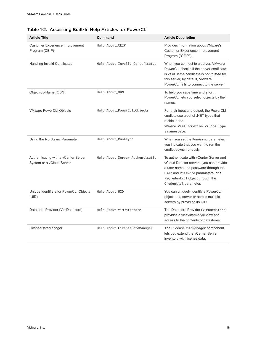| <b>Article Title</b>                                              | Command                          | <b>Article Description</b>                                                                                                                                                                                                    |
|-------------------------------------------------------------------|----------------------------------|-------------------------------------------------------------------------------------------------------------------------------------------------------------------------------------------------------------------------------|
| <b>Customer Experience Improvement</b><br>Program (CEIP)          | Help About_CEIP                  | Provides information about VMware's<br><b>Customer Experience Improvement</b><br>Program ("CEIP").                                                                                                                            |
| <b>Handling Invalid Certificates</b>                              | Help About_Invalid_Certificates  | When you connect to a server, VMware<br>PowerCLI checks if the server certificate<br>is valid. If the certificate is not trusted for<br>this server, by default, VMware<br>PowerCLI fails to connect to the server.           |
| Object-by-Name (OBN)                                              | Help About_OBN                   | To help you save time and effort,<br>PowerCLI lets you select objects by their<br>names.                                                                                                                                      |
| <b>VMware PowerCLI Objects</b>                                    | Help About_PowerCLI_Objects      | For their input and output, the PowerCLI<br>cmdlets use a set of .NET types that<br>reside in the<br>VMware.VimAutomation.ViCore.Type<br>s namespace.                                                                         |
| Using the RunAsync Parameter                                      | Help About_RunAsync              | When you set the RunAsync parameter,<br>you indicate that you want to run the<br>cmdlet asynchronously.                                                                                                                       |
| Authenticating with a vCenter Server<br>System or a vCloud Server | Help About_Server_Authentication | To authenticate with yCenter Server and<br>vCloud Director servers, you can provide<br>a user name and password through the<br>User and Password parameters, or a<br>PSCredential object through the<br>Credential parameter. |
| Unique Identifiers for PowerCLI Objects<br>(UID)                  | Help About_UID                   | You can uniquely identify a PowerCLI<br>object on a server or across multiple<br>servers by providing its UID.                                                                                                                |
| Datastore Provider (VimDatastore)                                 | Help About_VimDatastore          | The Datastore Provider (VimDatastore)<br>provides a filesystem-style view and<br>access to the contents of datastores.                                                                                                        |
| LicenseDataManager                                                | Help About_LicenseDataManager    | The LicenseDataManager component<br>lets you extend the vCenter Server<br>inventory with license data.                                                                                                                        |

### Table 1‑2. Accessing Built-In Help Articles for PowerCLI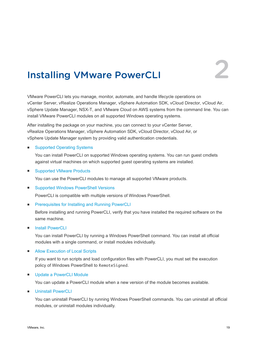

# <span id="page-18-0"></span>Installing VMware PowerCLI

VMware PowerCLI lets you manage, monitor, automate, and handle lifecycle operations on vCenter Server, vRealize Operations Manager, vSphere Automation SDK, vCloud Director, vCloud Air, vSphere Update Manager, NSX-T, and VMware Cloud on AWS systems from the command line. You can install VMware PowerCLI modules on all supported Windows operating systems.

After installing the package on your machine, you can connect to your vCenter Server, vRealize Operations Manager, vSphere Automation SDK, vCloud Director, vCloud Air, or vSphere Update Manager system by providing valid authentication credentials.

### ■ [Supported Operating Systems](#page-19-0)

You can install PowerCLI on supported Windows operating systems. You can run guest cmdlets against virtual machines on which supported guest operating systems are installed.

■ [Supported VMware Products](#page-19-0)

You can use the PowerCLI modules to manage all supported VMware products.

■ [Supported Windows PowerShell Versions](#page-19-0)

PowerCLI is compatible with multiple versions of Windows PowerShell.

■ [Prerequisites for Installing and Running PowerCLI](#page-19-0)

Before installing and running PowerCLI, verify that you have installed the required software on the same machine.

**n** [Install PowerCLI](#page-19-0)

You can install PowerCLI by running a Windows PowerShell command. You can install all official modules with a single command, or install modules individually.

■ [Allow Execution of Local Scripts](#page-20-0)

If you want to run scripts and load configuration files with PowerCLI, you must set the execution policy of Windows PowerShell to RemoteSigned.

**n** [Update a PowerCLI Module](#page-20-0)

You can update a PowerCLI module when a new version of the module becomes available.

**n** [Uninstall PowerCLI](#page-21-0)

You can uninstall PowerCLI by running Windows PowerShell commands. You can uninstall all official modules, or uninstall modules individually.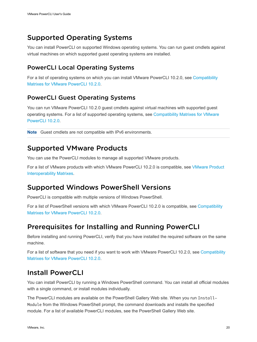## <span id="page-19-0"></span>Supported Operating Systems

You can install PowerCLI on supported Windows operating systems. You can run guest cmdlets against virtual machines on which supported guest operating systems are installed.

## PowerCLI Local Operating Systems

For a list of operating systems on which you can install VMware PowerCLI 10.2.0, see [Compatibility](https://code.vmware.com/web/dp/tool/vmware-powercli/10.2.0) [Matrixes for VMware PowerCLI 10.2.0.](https://code.vmware.com/web/dp/tool/vmware-powercli/10.2.0)

## PowerCLI Guest Operating Systems

You can run VMware PowerCLI 10.2.0 guest cmdlets against virtual machines with supported guest operating systems. For a list of supported operating systems, see [Compatibility Matrixes for VMware](https://code.vmware.com/web/dp/tool/vmware-powercli/10.2.0) [PowerCLI 10.2.0](https://code.vmware.com/web/dp/tool/vmware-powercli/10.2.0).

**Note** Guest cmdlets are not compatible with IPv6 environments.

## Supported VMware Products

You can use the PowerCLI modules to manage all supported VMware products.

For a list of VMware products with which VMware PowerCLI 10.2.0 is compatible, see [VMware Product](http://www.vmware.com/resources/compatibility/sim/interop_matrix.php) [Interoperability Matrixes](http://www.vmware.com/resources/compatibility/sim/interop_matrix.php).

## Supported Windows PowerShell Versions

PowerCLI is compatible with multiple versions of Windows PowerShell.

For a list of PowerShell versions with which VMware PowerCLI 10.2.0 is compatible, see [Compatibility](https://code.vmware.com/web/dp/tool/vmware-powercli/10.2.0) [Matrixes for VMware PowerCLI 10.2.0.](https://code.vmware.com/web/dp/tool/vmware-powercli/10.2.0)

## Prerequisites for Installing and Running PowerCLI

Before installing and running PowerCLI, verify that you have installed the required software on the same machine.

For a list of software that you need if you want to work with VMware PowerCLI 10.2.0, see [Compatibility](https://code.vmware.com/web/dp/tool/vmware-powercli/10.2.0) [Matrixes for VMware PowerCLI 10.2.0.](https://code.vmware.com/web/dp/tool/vmware-powercli/10.2.0)

## Install PowerCLI

You can install PowerCLI by running a Windows PowerShell command. You can install all official modules with a single command, or install modules individually.

The PowerCLI modules are available on the PowerShell Gallery Web site. When you run Install-Module from the Windows PowerShell prompt, the command downloads and installs the specified module. For a list of available PowerCLI modules, see the PowerShell Gallery Web site.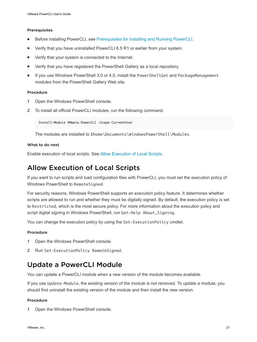### <span id="page-20-0"></span>Prerequisites

- <sup>n</sup> Before installing PowerCLI, see [Prerequisites for Installing and Running PowerCLI.](#page-19-0)
- Verify that you have uninstalled PowerCLI 6.5 R1 or earlier from your system.
- Verify that your system is connected to the Internet.
- **•** Verify that you have registered the PowerShell Gallery as a local repository.
- If you use Windows PowerShell 3.0 or 4.0, install the PowerShellGet and PackageManagement modules from the PowerShell Gallery Web site.

### Procedure

- **1** Open the Windows PowerShell console.
- **2** To install all official PowerCLI modules, run the following command.

Install-Module VMware.PowerCLI -Scope CurrentUser

The modules are installed to \$home\Documents\WindowsPowerShell\Modules.

### What to do next

Enable execution of local scripts. See Allow Execution of Local Scripts.

## Allow Execution of Local Scripts

If you want to run scripts and load configuration files with PowerCLI, you must set the execution policy of Windows PowerShell to RemoteSigned.

For security reasons, Windows PowerShell supports an execution policy feature. It determines whether scripts are allowed to run and whether they must be digitally signed. By default, the execution policy is set to Restricted, which is the most secure policy. For more information about the execution policy and script digital signing in Windows PowerShell, run Get-Help About\_Signing.

You can change the execution policy by using the Set-ExecutionPolicy cmdlet.

### Procedure

- **1** Open the Windows PowerShell console.
- **2** Run Set-ExecutionPolicy RemoteSigned.

## Update a PowerCLI Module

You can update a PowerCLI module when a new version of the module becomes available.

If you use Update-Module, the existing version of the module is not removed. To update a module, you should first uninstall the existing version of the module and then install the new version.

### **Procedure**

**1** Open the Windows PowerShell console.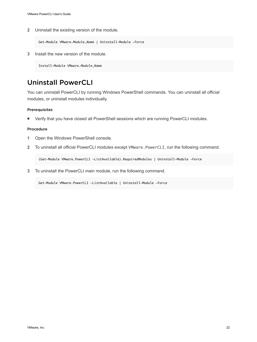<span id="page-21-0"></span>**2** Uninstall the existing version of the module.

Get-Module VMware.*Module\_Name* | Uninstall-Module -Force

**3** Install the new version of the module.

Install-Module VMware.*Module\_Name*

## Uninstall PowerCLI

You can uninstall PowerCLI by running Windows PowerShell commands. You can uninstall all official modules, or uninstall modules individually.

### Prerequisites

**n** Verify that you have closed all PowerShell sessions which are running PowerCLI modules.

### Procedure

- **1** Open the Windows PowerShell console.
- **2** To uninstall all official PowerCLI modules except VMware.PowerCLI, run the following command.

(Get-Module VMware.PowerCLI -ListAvailable).RequiredModules | Uninstall-Module -Force

**3** To uninstall the PowerCLI main module, run the following command.

Get-Module VMware.PowerCLI -ListAvailable | Uninstall-Module -Force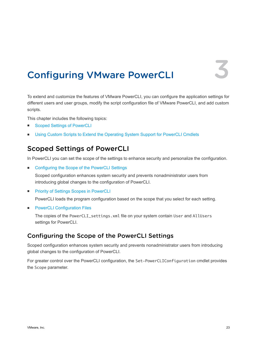## <span id="page-22-0"></span>**Configuring VMware PowerCLI**

To extend and customize the features of VMware PowerCLI, you can configure the application settings for different users and user groups, modify the script configuration file of VMware PowerCLI, and add custom scripts.

This chapter includes the following topics:

- Scoped Settings of PowerCLI
- [Using Custom Scripts to Extend the Operating System Support for PowerCLI Cmdlets](#page-24-0)

## Scoped Settings of PowerCLI

In PowerCLI you can set the scope of the settings to enhance security and personalize the configuration.

■ Configuring the Scope of the PowerCLI Settings

Scoped configuration enhances system security and prevents nonadministrator users from introducing global changes to the configuration of PowerCLI.

■ [Priority of Settings Scopes in PowerCLI](#page-23-0)

PowerCLI loads the program configuration based on the scope that you select for each setting.

**n** [PowerCLI Configuration Files](#page-23-0)

The copies of the PowerCLI\_settings.xml file on your system contain User and AllUsers settings for PowerCLI.

## Configuring the Scope of the PowerCLI Settings

Scoped configuration enhances system security and prevents nonadministrator users from introducing global changes to the configuration of PowerCLI.

For greater control over the PowerCLI configuration, the Set-PowerCLIConfiguration cmdlet provides the Scope parameter.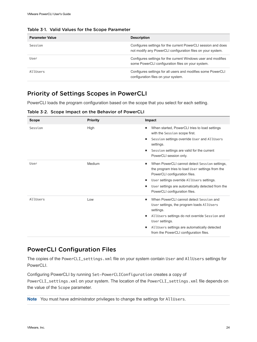| <b>Parameter Value</b> | <b>Description</b>                                                                                                           |
|------------------------|------------------------------------------------------------------------------------------------------------------------------|
| Session                | Configures settings for the current PowerCLI session and does<br>not modify any PowerCLI configuration files on your system. |
| User                   | Configures settings for the current Windows user and modifies<br>some PowerCLI configuration files on your system.           |
| AllUsers               | Configures settings for all users and modifies some PowerCLI<br>configuration files on your system.                          |

<span id="page-23-0"></span>Table 3‑1. Valid Values for the Scope Parameter

## Priority of Settings Scopes in PowerCLI

PowerCLI loads the program configuration based on the scope that you select for each setting.

Table 3‑2. Scope Impact on the Behavior of PowerCLI

| <b>Scope</b> | <b>Priority</b> | Impact                                                                                                                                                                               |
|--------------|-----------------|--------------------------------------------------------------------------------------------------------------------------------------------------------------------------------------|
| Session      | High            | When started, PowerCLI tries to load settings<br>٠<br>with the Session scope first.                                                                                                  |
|              |                 | Session settings override User and AllUsers<br>٠<br>settings.                                                                                                                        |
|              |                 | Session settings are valid for the current<br>٠<br>PowerCLI session only.                                                                                                            |
| User         | Medium          | When PowerCLI cannot detect Session settings,<br>٠<br>the program tries to load User settings from the<br>PowerCLI configuration files.<br>User settings override AllUsers settings. |
|              |                 | User settings are automatically detected from the<br>PowerCLI configuration files.                                                                                                   |
| AllUsers     | Low             | When PowerCLI cannot detect Session and<br>٠<br>User settings, the program loads AllUsers<br>settings.                                                                               |
|              |                 | AllUsers settings do not override Session and<br>٠<br>User settings.                                                                                                                 |
|              |                 | AllUsers settings are automatically detected<br>٠<br>from the PowerCLI configuration files.                                                                                          |

### PowerCLI Configuration Files

The copies of the PowerCLI\_settings.xml file on your system contain User and AllUsers settings for PowerCLI.

Configuring PowerCLI by running Set-PowerCLIConfiguration creates a copy of PowerCLI\_settings.xml on your system. The location of the PowerCLI\_settings.xml file depends on the value of the Scope parameter.

**Note** You must have administrator privileges to change the settings for AllUsers.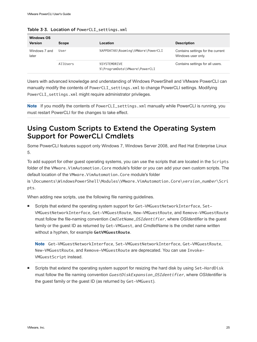| <b>Windows OS</b><br><b>Version</b> | Scope    | Location                                      | <b>Description</b>                                      |
|-------------------------------------|----------|-----------------------------------------------|---------------------------------------------------------|
| Windows 7 and<br>later              | User     | %APPDATA%\Roaming\VMWare\PowerCLI             | Contains settings for the current<br>Windows user only. |
|                                     | AllUsers | %SYSTEMDRIVE<br>%\ProgramData\VMware\PowerCLI | Contains settings for all users.                        |

<span id="page-24-0"></span>Table 3-3. Location of PowerCLI\_settings.xml

Users with advanced knowledge and understanding of Windows PowerShell and VMware PowerCLI can manually modify the contents of PowerCLI\_settings.xml to change PowerCLI settings. Modifying PowerCLI\_settings.xml might require administrator privileges.

**Note** If you modify the contents of PowerCLI\_settings.xml manually while PowerCLI is running, you must restart PowerCLI for the changes to take effect.

## Using Custom Scripts to Extend the Operating System Support for PowerCLI Cmdlets

Some PowerCLI features support only Windows 7, Windows Server 2008, and Red Hat Enterprise Linux 5.

To add support for other guest operating systems, you can use the scripts that are located in the Scripts folder of the VMware.VimAutomation.Core module's folder or you can add your own custom scripts. The default location of the VMware.VimAutomation.Core module's folder

is \Documents\WindowsPowerShell\Modules\VMware.VimAutomation.Core\*version\_number*\Scri pts.

When adding new scripts, use the following file naming guidelines.

Scripts that extend the operating system support for Get-VMGuestNetworkInterface, Set-VMGuestNetworkInterface, Get-VMGuestRoute, New-VMGuestRoute, and Remove-VMGuestRoute must follow the file-naming convention *CmdletName*\_*OSIdentifier*, where *OSIdentifier* is the guest family or the guest ID as returned by Get-VMGuest, and *CmdletName* is the cmdlet name written without a hyphen, for example **GetVMGuestRoute**.

**Note** Get-VMGuestNetworkInterface, Set-VMGuestNetworkInterface, Get-VMGuestRoute, New-VMGuestRoute, and Remove-VMGuestRoute are deprecated. You can use Invoke-VMGuestScript instead.

Scripts that extend the operating system support for resizing the hard disk by using Set-HardDisk must follow the file naming convention *GuestDiskExpansion*\_*OSIdentifier*, where *OSIdentifier* is the guest family or the guest ID (as returned by Get-VMGuest).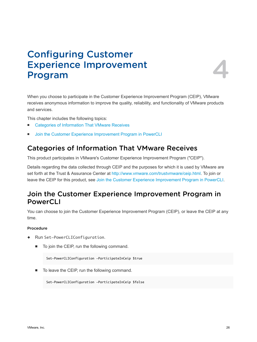# <span id="page-25-0"></span>Configuring Customer Experience Improvement



When you choose to participate in the Customer Experience Improvement Program (CEIP), VMware receives anonymous information to improve the quality, reliability, and functionality of VMware products and services.

This chapter includes the following topics:

- Categories of Information That VMware Receives
- Join the Customer Experience Improvement Program in PowerCLI

## Categories of Information That VMware Receives

This product participates in VMware's Customer Experience Improvement Program ("CEIP").

Details regarding the data collected through CEIP and the purposes for which it is used by VMware are set forth at the Trust & Assurance Center at [http://www.vmware.com/trustvmware/ceip.html.](http://www.vmware.com/trustvmware/ceip.html) To join or leave the CEIP for this product, see Join the Customer Experience Improvement Program in PowerCLI.

## Join the Customer Experience Improvement Program in PowerCLI

You can choose to join the Customer Experience Improvement Program (CEIP), or leave the CEIP at any time.

### Procedure

- Run Set-PowerCLIConfiguration.
	- To join the CEIP, run the following command.

Set-PowerCLIConfiguration -ParticipateInCeip \$true

To leave the CEIP, run the following command.

Set-PowerCLIConfiguration -ParticipateInCeip \$false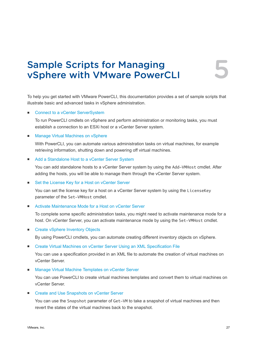## <span id="page-26-0"></span>Sample Scripts for Managing vSphere with VMware PowerCLI 5

To help you get started with VMware PowerCLI, this documentation provides a set of sample scripts that illustrate basic and advanced tasks in vSphere administration.

### ■ [Connect to a vCenter ServerSystem](#page-30-0)

To run PowerCLI cmdlets on vSphere and perform administration or monitoring tasks, you must establish a connection to an ESXi host or a vCenter Server system.

### ■ [Manage Virtual Machines on vSphere](#page-31-0)

With PowerCLI, you can automate various administration tasks on virtual machines, for example retrieving information, shutting down and powering off virtual machines.

### ■ [Add a Standalone Host to a vCenter Server System](#page-32-0)

You can add standalone hosts to a vCenter Server system by using the Add-VMHost cmdlet. After adding the hosts, you will be able to manage them through the vCenter Server system.

### ■ [Set the License Key for a Host on vCenter Server](#page-32-0)

You can set the license key for a host on a vCenter Server system by using the LicenseKey parameter of the Set-VMHost cmdlet.

### ■ [Activate Maintenance Mode for a Host on vCenter Server](#page-32-0)

To complete some specific administration tasks, you might need to activate maintenance mode for a host. On vCenter Server, you can activate maintenance mode by using the Set-VMHost cmdlet.

### **n** [Create vSphere Inventory Objects](#page-33-0)

By using PowerCLI cmdlets, you can automate creating different inventory objects on vSphere.

### ■ [Create Virtual Machines on vCenter Server Using an XML Specification File](#page-34-0)

You can use a specification provided in an XML file to automate the creation of virtual machines on vCenter Server.

### ■ [Manage Virtual Machine Templates on vCenter Server](#page-35-0)

You can use PowerCLI to create virtual machines templates and convert them to virtual machines on vCenter Server.

### **[Create and Use Snapshots on vCenter Server](#page-36-0)**

You can use the Snapshot parameter of Get-VM to take a snapshot of virtual machines and then revert the states of the virtual machines back to the snapshot.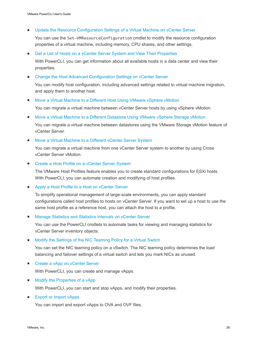**• [Update the Resource Configuration Settings of a Virtual Machine on vCenter Server](#page-36-0)** 

You can use the Set-VMResourceConfiguration cmdlet to modify the resource configuration properties of a virtual machine, including memory, CPU shares, and other settings.

### [Get a List of Hosts on a vCenter Server System and View Their Properties](#page-37-0)

With PowerCLI, you can get information about all available hosts in a data center and view their properties.

### ■ [Change the Host Advanced Configuration Settings on vCenter Server](#page-38-0)

You can modify host configuration, including advanced settings related to virtual machine migration, and apply them to another host.

### ■ [Move a Virtual Machine to a Different Host Using VMware vSphere vMotion](#page-38-0)

You can migrate a virtual machine between vCenter Server hosts by using vSphere vMotion.

■ [Move a Virtual Machine to a Different Datastore Using VMware vSphere Storage vMotion](#page-39-0)

You can migrate a virtual machine between datastores using the VMware Storage vMotion feature of vCenter Server.

### [Move a Virtual Machine to a Different vCenter Server System](#page-39-0)

You can migrate a virtual machine from one vCenter Server system to another by using Cross vCenter Server vMotion.

### ■ [Create a Host Profile on a vCenter Server System](#page-40-0)

The VMware Host Profiles feature enables you to create standard configurations for ESXi hosts. With PowerCLI, you can automate creation and modifying of host profiles.

■ [Apply a Host Profile to a Host on vCenter Server](#page-41-0)

To simplify operational management of large-scale environments, you can apply standard configurations called host profiles to hosts on vCenter Server. If you want to set up a host to use the same host profile as a reference host, you can attach the host to a profile.

### ■ [Manage Statistics and Statistics Intervals on vCenter Server](#page-41-0)

You can use the PowerCLI cmdlets to automate tasks for viewing and managing statistics for vCenter Server inventory objects.

### ■ [Modify the Settings of the NIC Teaming Policy for a Virtual Switch](#page-42-0)

You can set the NIC teaming policy on a vSwitch. The NIC teaming policy determines the load balancing and failover settings of a virtual switch and lets you mark NICs as unused.

[Create a vApp on vCenter Server](#page-43-0)

With PowerCLI, you can create and manage vApps.

■ [Modify the Properties of a vApp](#page-43-0)

With PowerCLI, you can start and stop vApps, and modify their properties.

### **[Export or Import vApps](#page-43-0)**

You can import and export vApps to OVA and OVF files.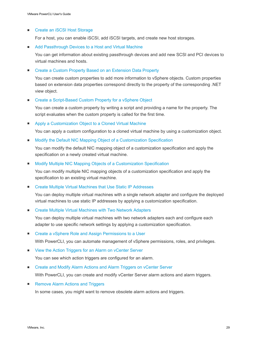### ■ [Create an iSCSI Host Storage](#page-44-0)

For a host, you can enable iSCSI, add iSCSI targets, and create new host storages.

### ■ [Add Passthrough Devices to a Host and Virtual Machine](#page-45-0)

You can get information about existing passthrough devices and add new SCSI and PCI devices to virtual machines and hosts.

### ■ [Create a Custom Property Based on an Extension Data Property](#page-45-0)

You can create custom properties to add more information to vSphere objects. Custom properties based on extension data properties correspond directly to the property of the corresponding .NET view object.

### ■ [Create a Script-Based Custom Property for a vSphere Object](#page-46-0)

You can create a custom property by writing a script and providing a name for the property. The script evaluates when the custom property is called for the first time.

■ [Apply a Customization Object to a Cloned Virtual Machine](#page-46-0)

You can apply a custom configuration to a cloned virtual machine by using a customization object.

### ■ [Modify the Default NIC Mapping Object of a Customization Specification](#page-47-0)

You can modify the default NIC mapping object of a customization specification and apply the specification on a newly created virtual machine.

■ [Modify Multiple NIC Mapping Objects of a Customization Specification](#page-47-0)

You can modify multiple NIC mapping objects of a customization specification and apply the specification to an existing virtual machine.

■ [Create Multiple Virtual Machines that Use Static IP Addresses](#page-48-0)

You can deploy multiple virtual machines with a single network adapter and configure the deployed virtual machines to use static IP addresses by applying a customization specification.

■ [Create Multiple Virtual Machines with Two Network Adapters](#page-50-0)

You can deploy multiple virtual machines with two network adapters each and configure each adapter to use specific network settings by applying a customization specification.

■ [Create a vSphere Role and Assign Permissions to a User](#page-51-0)

With PowerCLI, you can automate management of vSphere permissions, roles, and privileges.

■ [View the Action Triggers for an Alarm on vCenter Server](#page-52-0)

You can see which action triggers are configured for an alarm.

■ [Create and Modify Alarm Actions and Alarm Triggers on vCenter Server](#page-52-0)

With PowerCLI, you can create and modify vCenter Server alarm actions and alarm triggers.

■ [Remove Alarm Actions and Triggers](#page-53-0)

In some cases, you might want to remove obsolete alarm actions and triggers.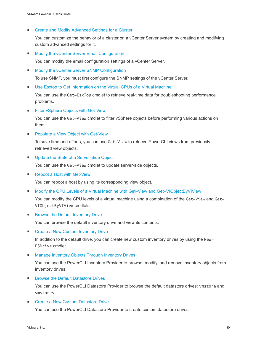■ [Create and Modify Advanced Settings for a Cluster](#page-54-0)

You can customize the behavior of a cluster on a vCenter Server system by creating and modifying custom advanced settings for it.

[Modify the vCenter Server Email Configuration](#page-54-0)

You can modify the email configuration settings of a vCenter Server.

■ [Modify the vCenter Server SNMP Configuration](#page-55-0)

To use SNMP, you must first configure the SNMP settings of the vCenter Server.

[Use Esxtop to Get Information on the Virtual CPUs of a Virtual Machine](#page-55-0)

You can use the Get-EsxTop cmdlet to retrieve real-time data for troubleshooting performance problems.

■ [Filter vSphere Objects with Get-View](#page-56-0)

You can use the Get-View cmdlet to filter vSphere objects before performing various actions on them.

**• [Populate a View Object with Get-View](#page-57-0)** 

To save time and efforts, you can use Get-View to retrieve PowerCLI views from previously retrieved view objects.

**n** [Update the State of a Server-Side Object](#page-57-0)

You can use the Get-View cmdlet to update server-side objects.

■ [Reboot a Host with Get-View](#page-58-0)

You can reboot a host by using its corresponding view object.

■ [Modify the CPU Levels of a Virtual Machine with Get–View and Get–VIObjectByVIView](#page-58-0)

You can modify the CPU levels of a virtual machine using a combination of the Get-View and Get-VIObjectByVIView cmdlets.

**EXECUTE:** [Browse the Default Inventory Drive](#page-59-0)

You can browse the default inventory drive and view its contents.

**[Create a New Custom Inventory Drive](#page-60-0)** 

In addition to the default drive, you can create new custom inventory drives by using the New-PSDrive cmdlet.

■ [Manage Inventory Objects Through Inventory Drives](#page-60-0)

You can use the PowerCLI Inventory Provider to browse, modify, and remove inventory objects from inventory drives.

**Example 2 [Browse the Default Datastore Drives](#page-61-0)** 

You can use the PowerCLI Datastore Provider to browse the default datastore drives: vmstore and vmstores.

**[Create a New Custom Datastore Drive](#page-61-0)** 

You can use the PowerCLI Datastore Provider to create custom datastore drives.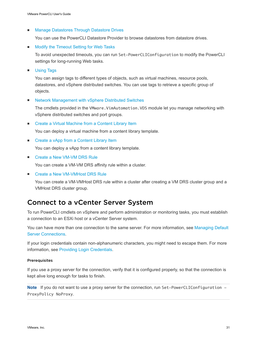### <span id="page-30-0"></span>■ [Manage Datastores Through Datastore Drives](#page-62-0)

You can use the PowerCLI Datastore Provider to browse datastores from datastore drives.

■ [Modify the Timeout Setting for Web Tasks](#page-63-0)

To avoid unexpected timeouts, you can run Set-PowerCLIConfiguration to modify the PowerCLI settings for long-running Web tasks.

**n** [Using Tags](#page-64-0)

You can assign tags to different types of objects, such as virtual machines, resource pools, datastores, and vSphere distributed switches. You can use tags to retrieve a specific group of objects.

■ [Network Management with vSphere Distributed Switches](#page-68-0)

The cmdlets provided in the VMware.VimAutomation.VDS module let you manage networking with vSphere distributed switches and port groups.

■ [Create a Virtual Machine from a Content Library Item](#page-72-0)

You can deploy a virtual machine from a content library template.

■ [Create a vApp from a Content Library Item](#page-73-0)

You can deploy a vApp from a content library template.

■ [Create a New VM-VM DRS Rule](#page-73-0)

You can create a VM-VM DRS affinity rule within a cluster.

■ [Create a New VM-VMHost DRS Rule](#page-74-0)

You can create a VM-VMHost DRS rule within a cluster after creating a VM DRS cluster group and a VMHost DRS cluster group.

## Connect to a vCenter Server System

To run PowerCLI cmdlets on vSphere and perform administration or monitoring tasks, you must establish a connection to an ESXi host or a vCenter Server system.

You can have more than one connection to the same server. For more information, see [Managing Default](#page-15-0) [Server Connections.](#page-15-0)

If your login credentials contain non-alphanumeric characters, you might need to escape them. For more information, see [Providing Login Credentials](#page-14-0).

### **Prerequisites**

If you use a proxy server for the connection, verify that it is configured properly, so that the connection is kept alive long enough for tasks to finish.

Note If you do not want to use a proxy server for the connection, run Set-PowerCLIConfiguration -ProxyPolicy NoProxy.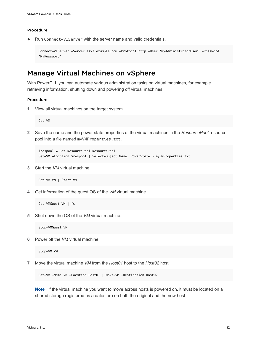### <span id="page-31-0"></span>Procedure

Run Connect-VIServer with the server name and valid credentials.

```
Connect-VIServer -Server esx3.example.com -Protocol http -User 'MyAdministratorUser' -Password 
'MyPassword'
```
## Manage Virtual Machines on vSphere

With PowerCLI, you can automate various administration tasks on virtual machines, for example retrieving information, shutting down and powering off virtual machines.

### Procedure

**1** View all virtual machines on the target system.

Get-VM

**2** Save the name and the power state properties of the virtual machines in the *ResourcePool* resource pool into a file named myVMProperties.txt.

```
$respool = Get-ResourcePool ResourcePool
Get-VM -Location $respool | Select-Object Name, PowerState > myVMProperties.txt
```
**3** Start the *VM* virtual machine.

Get-VM VM | Start-VM

**4** Get information of the guest OS of the *VM* virtual machine.

```
Get-VMGuest VM | fc
```
**5** Shut down the OS of the *VM* virtual machine.

Stop-VMGuest VM

**6** Power off the *VM* virtual machine.

Stop-VM VM

**7** Move the virtual machine *VM* from the *Host01* host to the *Host02* host.

Get-VM -Name VM -Location Host01 | Move-VM –Destination Host02

**Note** If the virtual machine you want to move across hosts is powered on, it must be located on a shared storage registered as a datastore on both the original and the new host.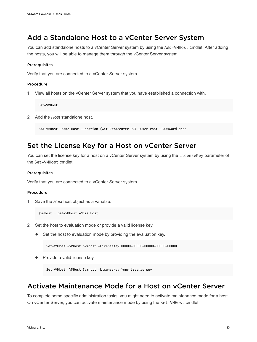## <span id="page-32-0"></span>Add a Standalone Host to a vCenter Server System

You can add standalone hosts to a vCenter Server system by using the Add-VMHost cmdlet. After adding the hosts, you will be able to manage them through the vCenter Server system.

### **Prerequisites**

Verify that you are connected to a vCenter Server system.

### Procedure

**1** View all hosts on the vCenter Server system that you have established a connection with.

Get-VMHost

**2** Add the *Host* standalone host.

Add-VMHost -Name Host -Location (Get-Datacenter DC) -User root -Password pass

## Set the License Key for a Host on vCenter Server

You can set the license key for a host on a vCenter Server system by using the LicenseKey parameter of the Set-VMHost cmdlet.

### Prerequisites

Verify that you are connected to a vCenter Server system.

### Procedure

**1** Save the *Host* host object as a variable.

\$vmhost = Get-VMHost -Name Host

- **2** Set the host to evaluation mode or provide a valid license key.
	- $\blacklozenge$  Set the host to evaluation mode by providing the evaluation key.

Set-VMHost -VMHost \$vmhost -LicenseKey 00000-00000-00000-00000-00000

Provide a valid license key.

Set-VMHost -VMHost \$vmhost -LicenseKey *Your\_license\_key*

## Activate Maintenance Mode for a Host on vCenter Server

To complete some specific administration tasks, you might need to activate maintenance mode for a host. On vCenter Server, you can activate maintenance mode by using the Set-VMHost cmdlet.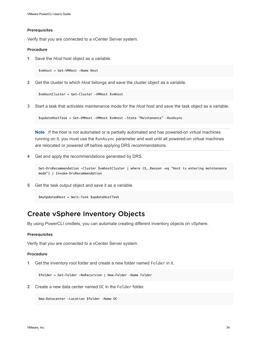#### <span id="page-33-0"></span>Prerequisites

Verify that you are connected to a vCenter Server system.

### Procedure

**1** Save the *Host* host object as a variable.

\$vmhost = Get-VMHost -Name Host

**2** Get the cluster to which *Host* belongs and save the cluster object as a variable.

\$vmhostCluster = Get-Cluster -VMHost \$vmhost

**3** Start a task that activates maintenance mode for the *Host* host and save the task object as a variable.

\$updateHostTask = Set-VMHost -VMHost \$vmhost -State "Maintenance" -RunAsync

**Note** If the host is not automated or is partially automated and has powered-on virtual machines running on it, you must use the RunAsync parameter and wait until all powered-on virtual machines are relocated or powered off before applying DRS recommendations.

**4** Get and apply the recommendations generated by DRS.

```
Get-DrsRecommendation -Cluster $vmhostCluster | where {$_.Reason -eq "Host is entering maintenance 
mode"} | Invoke-DrsRecommendation
```
**5** Get the task output object and save it as a variable.

\$myUpdatedHost = Wait-Task \$updateHostTask

## Create vSphere Inventory Objects

By using PowerCLI cmdlets, you can automate creating different inventory objects on vSphere.

### Prerequisites

Verify that you are connected to a vCenter Server system.

### Procedure

**1** Get the inventory root folder and create a new folder named Folder in it.

\$folder = Get-Folder -NoRecursion | New-Folder -Name Folder

**2** Create a new data center named DC in the Folder folder.

New-Datacenter -Location \$folder -Name DC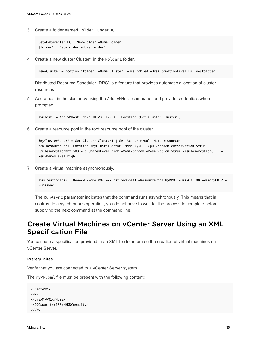<span id="page-34-0"></span>**3** Create a folder named Folder1 under DC.

```
Get-Datacenter DC | New-Folder -Name Folder1
$folder1 = Get-Folder -Name Folder1
```
**4** Create a new cluster Cluster1 in the Folder1 folder.

New-Cluster -Location \$folder1 -Name Cluster1 -DrsEnabled -DrsAutomationLevel FullyAutomated

Distributed Resource Scheduler (DRS) is a feature that provides automatic allocation of cluster resources.

**5** Add a host in the cluster by using the Add-VMHost command, and provide credentials when prompted.

\$vmhost1 = Add-VMHost -Name 10.23.112.345 -Location (Get-Cluster Cluster1)

**6** Create a resource pool in the root resource pool of the cluster.

\$myClusterRootRP = Get-Cluster Cluster1 | Get-ResourcePool -Name Resources New-ResourcePool -Location \$myClusterRootRP -Name MyRP1 -CpuExpandableReservation \$true - CpuReservationMhz 500 -CpuSharesLevel high -MemExpandableReservation \$true -MemReservationGB 1 -MemSharesLevel high

**7** Create a virtual machine asynchronously.

```
$vmCreationTask = New-VM -Name VM2 -VMHost $vmhost1 -ResourcePool MyRP01 -DiskGB 100 -MemoryGB 2 -
RunAsync
```
The RunAsync parameter indicates that the command runs asynchronously. This means that in contrast to a synchronous operation, you do not have to wait for the process to complete before supplying the next command at the command line.

## Create Virtual Machines on vCenter Server Using an XML Specification File

You can use a specification provided in an XML file to automate the creation of virtual machines on vCenter Server.

### Prerequisites

Verify that you are connected to a vCenter Server system.

The myVM.xml file must be present with the following content:

```
<CreateVM>
<VM>
<Name>MyVM1</Name>
<HDDCapacity>100</HDDCapacity>
</VM>
```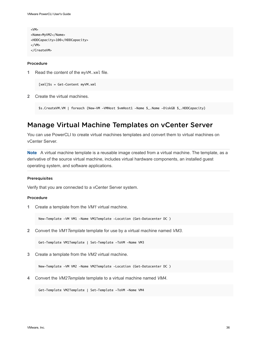```
<VM>
<Name>MyVM2</Name>
<HDDCapacity>100</HDDCapacity>
</VM></CreateVM>
```
#### Procedure

**1** Read the content of the myVM.xml file.

[xml]\$s = Get-Content myVM.xml

**2** Create the virtual machines.

\$s.CreateVM.VM | foreach {New-VM -VMHost \$vmHost1 -Name \$\_.Name -DiskGB \$\_.HDDCapacity}

## Manage Virtual Machine Templates on vCenter Server

You can use PowerCLI to create virtual machines templates and convert them to virtual machines on vCenter Server.

**Note** A virtual machine template is a reusable image created from a virtual machine. The template, as a derivative of the source virtual machine, includes virtual hardware components, an installed guest operating system, and software applications.

### Prerequisites

Verify that you are connected to a vCenter Server system.

### Procedure

**1** Create a template from the *VM1* virtual machine.

New-Template -VM VM1 -Name VM1Template -Location (Get-Datacenter DC )

**2** Convert the *VM1Template* template for use by a virtual machine named *VM3*.

Get-Template VM1Template | Set-Template -ToVM -Name VM3

**3** Create a template from the *VM2* virtual machine.

New-Template -VM VM2 -Name VM2Template -Location (Get-Datacenter DC )

**4** Convert the *VM2Template* template to a virtual machine named *VM4*.

Get-Template VM2Template | Set-Template -ToVM -Name VM4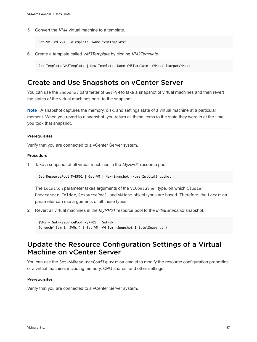**5** Convert the *VM4* virtual machine to a template.

Set-VM –VM VM4 –ToTemplate –Name "VM4Template"

**6** Create a template called *VM3Template* by cloning *VM2Template*.

Get-Template VM2Template | New-Template -Name VM3Template –VMHost \$targetVMHost

### Create and Use Snapshots on vCenter Server

You can use the Snapshot parameter of Get-VM to take a snapshot of virtual machines and then revert the states of the virtual machines back to the snapshot.

**Note** A snapshot captures the memory, disk, and settings state of a virtual machine at a particular moment. When you revert to a snapshot, you return all these items to the state they were in at the time you took that snapshot.

### Prerequisites

Verify that you are connected to a vCenter Server system.

### Procedure

**1** Take a snapshot of all virtual machines in the *MyRP01* resource pool.

Get-ResourcePool MyRP01 | Get-VM | New-Snapshot -Name InitialSnapshot

The Location parameter takes arguments of the VIContainer type, on which Cluster, Datacenter, Folder, ResourcePool, and VMHost object types are based. Therefore, the Location parameter can use arguments of all these types.

**2** Revert all virtual machines in the *MyRP01* resource pool to the *InitialSnapshot* snapshot.

\$VMs = Get-ResourcePool MyRP01 | Get-VM foreach( \$vm in \$VMs ) { Set-VM -VM \$vm –Snapshot InitialSnapshot }

# Update the Resource Configuration Settings of a Virtual Machine on vCenter Server

You can use the Set-VMResourceConfiguration cmdlet to modify the resource configuration properties of a virtual machine, including memory, CPU shares, and other settings.

### **Prerequisites**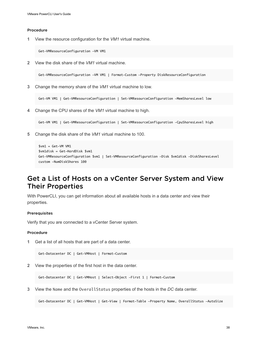**1** View the resource configuration for the *VM1* virtual machine.

Get-VMResourceConfiguration -VM VM1

**2** View the disk share of the *VM1* virtual machine.

Get-VMResourceConfiguration -VM VM1 | Format-Custom -Property DiskResourceConfiguration

**3** Change the memory share of the *VM1* virtual machine to low.

Get-VM VM1 | Get-VMResourceConfiguration | Set-VMResourceConfiguration -MemSharesLevel low

**4** Change the CPU shares of the *VM1* virtual machine to high.

Get-VM VM1 | Get-VMResourceConfiguration | Set-VMResourceConfiguration -CpuSharesLevel high

**5** Change the disk share of the *VM1* virtual machine to 100.

```
$vm1 = Get-VM VM1$vm1disk = Get-HardDisk $vm1
Get-VMResourceConfiguration $vm1 | Set-VMResourceConfiguration -Disk $vm1disk -DiskSharesLevel 
custom -NumDiskShares 100
```
## Get a List of Hosts on a vCenter Server System and View Their Properties

With PowerCLI, you can get information about all available hosts in a data center and view their properties.

### Prerequisites

Verify that you are connected to a vCenter Server system.

### Procedure

**1** Get a list of all hosts that are part of a data center.

Get-Datacenter DC | Get-VMHost | Format-Custom

**2** View the properties of the first host in the data center.

Get-Datacenter DC | Get-VMHost | Select-Object -First 1 | Format-Custom

**3** View the Name and the OverallStatus properties of the hosts in the *DC* data center.

Get-Datacenter DC | Get-VMHost | Get-View | Format-Table -Property Name, OverallStatus -AutoSize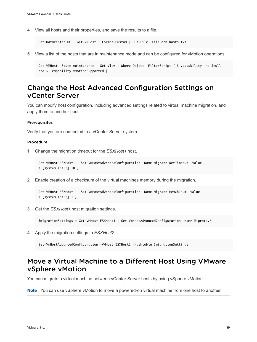**4** View all hosts and their properties, and save the results to a file.

```
Get-Datacenter DC | Get-VMHost | Format-Custom | Out-File –FilePath hosts.txt
```
**5** View a list of the hosts that are in maintenance mode and can be configured for vMotion operations.

```
Get-VMHost -State maintenance | Get-View | Where-Object -FilterScript { $_.capability -ne $null -
and $_.capability.vmotionSupported }
```
## Change the Host Advanced Configuration Settings on vCenter Server

You can modify host configuration, including advanced settings related to virtual machine migration, and apply them to another host.

### Prerequisites

Verify that you are connected to a vCenter Server system.

### Procedure

**1** Change the migration timeout for the *ESXHost1* host.

```
Get-VMHost ESXHost1 | Set-VmHostAdvancedConfiguration -Name Migrate.NetTimeout -Value 
( [system.int32] 10 )
```
**2** Enable creation of a checksum of the virtual machines memory during the migration.

```
Get-VMHost ESXHost1 | Set-VmHostAdvancedConfiguration -Name Migrate.MemChksum -Value 
( [system.int32] 1 )
```
**3** Get the *ESXHost1* host migration settings.

\$migrationSettings = Get-VMHost ESXHost1 | Get-VmHostAdvancedConfiguration -Name Migrate.\*

**4** Apply the migration settings to *ESXHost2*.

Set-VmHostAdvancedConfiguration -VMHost ESXHost2 -Hashtable \$migrationSettings

## Move a Virtual Machine to a Different Host Using VMware vSphere vMotion

You can migrate a virtual machine between vCenter Server hosts by using vSphere vMotion.

**Note** You can use vSphere vMotion to move a powered-on virtual machine from one host to another.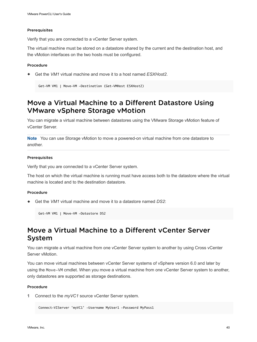### Prerequisites

Verify that you are connected to a vCenter Server system.

The virtual machine must be stored on a datastore shared by the current and the destination host, and the vMotion interfaces on the two hosts must be configured.

### Procedure

Get the *VM1* virtual machine and move it to a host named *ESXHost2*.

```
Get-VM VM1 | Move-VM -Destination (Get-VMHost ESXHost2)
```
# Move a Virtual Machine to a Different Datastore Using VMware vSphere Storage vMotion

You can migrate a virtual machine between datastores using the VMware Storage vMotion feature of vCenter Server.

**Note** You can use Storage vMotion to move a powered-on virtual machine from one datastore to another.

### **Prerequisites**

Verify that you are connected to a vCenter Server system.

The host on which the virtual machine is running must have access both to the datastore where the virtual machine is located and to the destination datastore.

#### Procedure

<sup>u</sup> Get the *VM1* virtual machine and move it to a datastore named *DS2*:

Get-VM VM1 | Move-VM -Datastore DS2

# Move a Virtual Machine to a Different yCenter Server System

You can migrate a virtual machine from one vCenter Server system to another by using Cross vCenter Server vMotion.

You can move virtual machines between vCenter Server systems of vSphere version 6.0 and later by using the Move-VM cmdlet. When you move a virtual machine from one vCenter Server system to another, only datastores are supported as storage destinations.

### Procedure

**1** Connect to the *myVC1* source vCenter Server system.

Connect-VIServer 'myVC1' -Username MyUser1 -Password MyPass1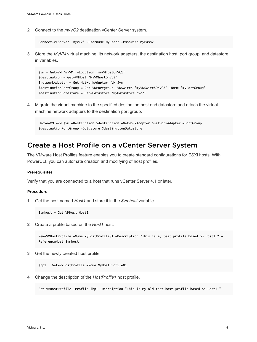**2** Connect to the *myVC2* destination vCenter Server system.

```
Connect-VIServer 'myVC2' -Username MyUser2 -Password MyPass2
```
**3** Store the *MyVM* virtual machine, its network adapters, the destination host, port group, and datastore in variables.

```
$vm = Get-VM 'myVM' -Location 'myVMhostOnVC1'
$destination = Get-VMHost 'MyVMhostOnVc2'
$networkAdapter = Get-NetworkAdapter -VM $vm
$destinationPortGroup = Get-VDPortgroup -VDSwitch 'myVDSwitchOnVC2' -Name 'myPortGroup'
$destinationDatastore = Get-Datastore 'MyDatastoreOnVc2'
```
**4** Migrate the virtual machine to the specified destination host and datastore and attach the virtual machine network adapters to the destination port group.

```
Move-VM -VM $vm -Destination $destination -NetworkAdapter $networkAdapter -PortGroup
$destinationPortGroup -Datastore $destinationDatastore
```
# Create a Host Profile on a vCenter Server System

The VMware Host Profiles feature enables you to create standard configurations for ESXi hosts. With PowerCLI, you can automate creation and modifying of host profiles.

#### **Prerequisites**

Verify that you are connected to a host that runs vCenter Server 4.1 or later.

#### Procedure

**1** Get the host named *Host1* and store it in the *\$vmhost* variable.

\$vmhost = Get-VMHost Host1

**2** Create a profile based on the *Host1* host.

```
New-VMHostProfile -Name MyHostProfile01 -Description "This is my test profile based on Host1." -
ReferenceHost $vmhost
```
**3** Get the newly created host profile.

\$hp1 = Get-VMHostProfile -Name MyHostProfile01

**4** Change the description of the *HostProfile1* host profile.

Set-VMHostProfile -Profile \$hp1 -Description "This is my old test host profile based on Host1."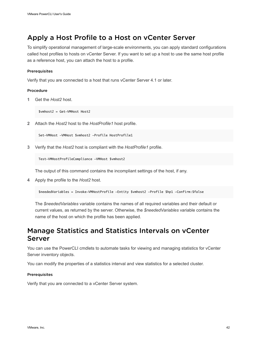# Apply a Host Profile to a Host on vCenter Server

To simplify operational management of large-scale environments, you can apply standard configurations called host profiles to hosts on vCenter Server. If you want to set up a host to use the same host profile as a reference host, you can attach the host to a profile.

### Prerequisites

Verify that you are connected to a host that runs vCenter Server 4.1 or later.

### Procedure

**1** Get the *Host2* host.

\$vmhost2 = Get-VMHost Host2

**2** Attach the *Host2* host to the *HostProfile1* host profile.

```
Set-VMHost -VMHost $vmhost2 -Profile HostProfile1
```
**3** Verify that the *Host2* host is compliant with the *HostProfile1* profile.

Test-VMHostProfileCompliance -VMHost \$vmhost2

The output of this command contains the incompliant settings of the host, if any.

**4** Apply the profile to the *Host2* host.

\$neededVariables = Invoke-VMHostProfile -Entity \$vmhost2 -Profile \$hp1 -Confirm:\$false

The *\$neededVariables* variable contains the names of all required variables and their default or current values, as returned by the server. Otherwise, the *\$neededVariables* variable contains the name of the host on which the profile has been applied.

### Manage Statistics and Statistics Intervals on vCenter Server

You can use the PowerCLI cmdlets to automate tasks for viewing and managing statistics for vCenter Server inventory objects.

You can modify the properties of a statistics interval and view statistics for a selected cluster.

### Prerequisites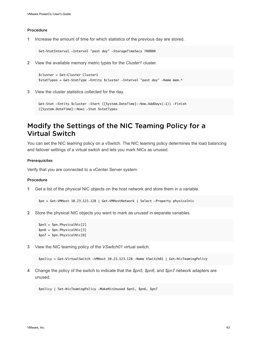**1** Increase the amount of time for which statistics of the previous day are stored.

Set-StatInterval -Interval "past day" -StorageTimeSecs 700000

**2** View the available memory metric types for the *Cluster1* cluster.

```
$cluster = Get-Cluster Cluster1
$statTypes = Get-StatType -Entity $cluster -Interval "past day" -Name mem.*
```
**3** View the cluster statistics collected for the day.

```
Get-Stat -Entity $cluster -Start ([System.DateTime]::Now.AddDays(-1)) -Finish 
([System.DateTime]::Now) -Stat $statTypes
```
## Modify the Settings of the NIC Teaming Policy for a Virtual Switch

You can set the NIC teaming policy on a vSwitch. The NIC teaming policy determines the load balancing and failover settings of a virtual switch and lets you mark NICs as unused.

### Prerequisites

Verify that you are connected to a vCenter Server system.

### Procedure

**1** Get a list of the physical NIC objects on the host network and store them in a variable.

\$pn = Get-VMHost 10.23.123.128 | Get-VMHostNetwork | Select -Property physicalnic

**2** Store the physical NIC objects you want to mark as unused in separate variables.

```
$pn5 = $pn.PhysicalNic[2]
$pn6 = $pn.PhysicalNic[3]
$pn7 = $pn.PhysicalNic[0]
```
**3** View the NIC teaming policy of the *VSwitch01* virtual switch.

```
$policy = Get-VirtualSwitch -VMHost 10.23.123.128 -Name VSwitch01 | Get-NicTeamingPolicy
```
**4** Change the policy of the switch to indicate that the *\$pn5*, *\$pn6*, and *\$pn7* network adapters are unused.

\$policy | Set-NicTeamingPolicy -MakeNicUnused \$pn5, \$pn6, \$pn7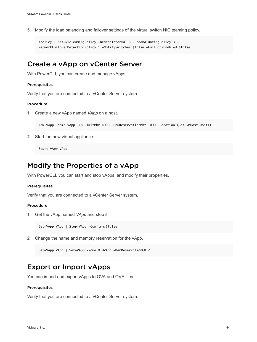**5** Modify the load balancing and failover settings of the virtual switch NIC teaming policy.

```
$policy | Set-NicTeamingPolicy -BeaconInterval 3 -LoadBalancingPolicy 3 -
NetworkFailoverDetectionPolicy 1 -NotifySwitches $false -FailbackEnabled $false
```
### Create a vApp on vCenter Server

With PowerCLI, you can create and manage vApps.

#### Prerequisites

Verify that you are connected to a vCenter Server system.

### Procedure

**1** Create a new vApp named *VApp* on a host.

New-VApp -Name VApp -CpuLimitMhz 4000 -CpuReservationMhz 1000 -Location (Get-VMHost Host1)

**2** Start the new virtual appliance.

Start-VApp VApp

# Modify the Properties of a vApp

With PowerCLI, you can start and stop vApps, and modify their properties.

### **Prerequisites**

Verify that you are connected to a vCenter Server system.

### Procedure

**1** Get the vApp named *VApp* and stop it.

Get-VApp VApp | Stop-VApp -Confirm:\$false

**2** Change the name and memory reservation for the vApp.

```
Get-VApp VApp | Set-VApp -Name OldVApp -MemReservationGB 2
```
### Export or Import vApps

You can import and export vApps to OVA and OVF files.

### Prerequisites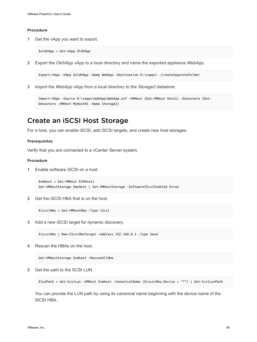**1** Get the vApp you want to export.

\$oldVApp = Get-VApp OldVApp

**2** Export the *OldVApp* vApp to a local directory and name the exported appliance *WebApp*.

Export-VApp -VApp \$oldVApp -Name WebApp -Destination D:\vapps\ -CreateSeparateFolder

**3** Import the *WebApp* vApp from a local directory to the *Storage2* datastore.

Import-VApp -Source D:\vapps\WebApp\WebApp.ovf -VMHost (Get-VMHost Host1) -Datastore (Get-Datastore -VMHost MyHost01 -Name Storage2)

### Create an iSCSI Host Storage

For a host, you can enable iSCSI, add iSCSI targets, and create new host storages.

### Prerequisites

Verify that you are connected to a vCenter Server system.

### Procedure

**1** Enable software iSCSI on a host.

\$vmhost = Get-VMHost ESXHost1 Get-VMHostStorage \$myHost | Set-VMHostStorage -SoftwareIScsiEnabled \$true

**2** Get the iSCSI HBA that is on the host.

\$iscsiHba = Get-VMHostHba -Type iScsi

**3** Add a new iSCSI target for dynamic discovery.

\$iscsiHba | New-IScsiHbaTarget -Address 192.168.0.1 -Type Send

**4** Rescan the HBAs on the host.

Get-VMHostStorage \$vmhost -RescanAllHba

**5** Get the path to the SCSI LUN.

\$lunPath = Get-ScsiLun -VMHost \$vmhost -CanonicalName (\$iscsiHba.Device + "\*") | Get-ScsiLunPath

You can provide the LUN path by using its canonical name beginning with the device name of the iSCSI HBA.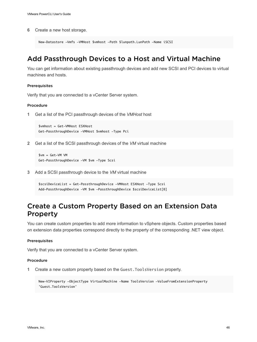**6** Create a new host storage.

```
New-Datastore -Vmfs -VMHost $vmhost -Path $lunpath.LunPath -Name iSCSI
```
## Add Passthrough Devices to a Host and Virtual Machine

You can get information about existing passthrough devices and add new SCSI and PCI devices to virtual machines and hosts.

### Prerequisites

Verify that you are connected to a vCenter Server system.

### Procedure

**1** Get a list of the PCI passthrough devices of the *VMHost* host

```
$vmhost = Get-VMHost ESXHost
Get-PassthroughDevice -VMHost $vmhost -Type Pci
```
**2** Get a list of the SCSI passthrough devices of the *VM* virtual machine

```
$vm = Get-VM VM
Get-PassthroughDevice -VM $vm -Type Scsi
```
**3** Add a SCSI passthrough device to the *VM* virtual machine

```
$scsiDeviceList = Get-PassthroughDevice -VMHost ESXHost -Type Scsi
Add-PassthroughDevice -VM $vm -PassthroughDevice $scsiDeviceList[0]
```
## Create a Custom Property Based on an Extension Data Property

You can create custom properties to add more information to vSphere objects. Custom properties based on extension data properties correspond directly to the property of the corresponding .NET view object.

### **Prerequisites**

Verify that you are connected to a vCenter Server system.

### Procedure

**1** Create a new custom property based on the Guest.ToolsVersion property.

```
New-VIProperty -ObjectType VirtualMachine -Name ToolsVersion -ValueFromExtensionProperty 
'Guest.ToolsVersion'
```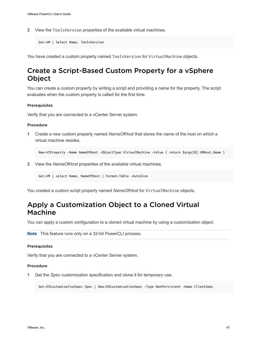**2** View the ToolsVersion properties of the available virtual machines.

```
Get-VM | Select Name, ToolsVersion
```
You have created a custom property named ToolsVersion for VirtualMachine objects.

# Create a Script-Based Custom Property for a vSphere Object

You can create a custom property by writing a script and providing a name for the property. The script evaluates when the custom property is called for the first time.

### **Prerequisites**

Verify that you are connected to a vCenter Server system.

### Procedure

**1** Create a new custom property named *NameOfHost* that stores the name of the host on which a virtual machine resides.

New-VIProperty -Name NameOfHost -ObjectType VirtualMachine -Value { return \$args[0].VMHost.Name }

**2** View the *NameOfHost* properties of the available virtual machines.

Get-VM | select Name, NameOfHost | Format-Table -AutoSize

You created a custom script property named *NameOfHost* for VirtualMachine objects.

## Apply a Customization Object to a Cloned Virtual Machine

You can apply a custom configuration to a cloned virtual machine by using a customization object.

```
Note This feature runs only on a 32-bit PowerCLI process.
```
#### Prerequisites

Verify that you are connected to a vCenter Server system.

### Procedure

**1** Get the *Spec* customization specification and clone it for temporary use.

Get-OSCustomizationSpec Spec | New-OSCustomizationSpec -Type NonPersistent -Name ClientSpec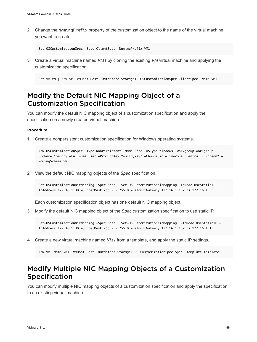**2** Change the NamingPrefix property of the customization object to the name of the virtual machine you want to create.

Set-OSCustomizationSpec -Spec ClientSpec -NamingPrefix VM1

**3** Create a virtual machine named *VM1* by cloning the existing *VM* virtual machine and applying the customization specification.

Get-VM VM | New-VM -VMHost Host -Datastore Storage1 -OSCustomizationSpec ClientSpec -Name VM1

## Modify the Default NIC Mapping Object of a Customization Specification

You can modify the default NIC mapping object of a customization specification and apply the specification on a newly created virtual machine.

#### Procedure

**1** Create a nonpersistent customization specification for Windows operating systems.

New-OSCustomizationSpec -Type NonPersistent -Name Spec -OSType Windows -Workgroup Workgroup -OrgName Company -Fullname User -ProductKey "valid\_key" -ChangeSid -TimeZone "Central European" - NamingScheme VM

**2** View the default NIC mapping objects of the *Spec* specification.

Get-OSCustomizationNicMapping -Spec Spec | Set-OSCustomizationNicMapping -IpMode UseStaticIP - IpAddress 172.16.1.30 -SubnetMask 255.255.255.0 -DefaultGateway 172.16.1.1 -Dns 172.16.1

Each customization specification object has one default NIC mapping object.

**3** Modify the default NIC mapping object of the *Spec* customization specification to use static IP.

Get-OSCustomizationNicMapping -Spec Spec | Set-OSCustomizationNicMapping -IpMode UseStaticIP - IpAddress 172.16.1.30 -SubnetMask 255.255.255.0 -DefaultGateway 172.16.1.1 -Dns 172.16.1.1

**4** Create a new virtual machine named *VM1* from a template, and apply the static IP settings.

New-VM -Name VM1 -VMHost Host -Datastore Storage1 -OSCustomizationSpec Spec -Template Template

## Modify Multiple NIC Mapping Objects of a Customization Specification

You can modify multiple NIC mapping objects of a customization specification and apply the specification to an existing virtual machine.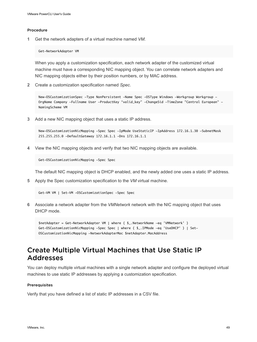**1** Get the network adapters of a virtual machine named *VM*.

Get-NetworkAdapter VM

When you apply a customization specification, each network adapter of the customized virtual machine must have a corresponding NIC mapping object. You can correlate network adapters and NIC mapping objects either by their position numbers, or by MAC address.

**2** Create a customization specification named *Spec*.

New-OSCustomizationSpec -Type NonPersistent -Name Spec -OSType Windows -Workgroup Workgroup -OrgName Company -Fullname User -ProductKey "valid\_key" -ChangeSid -TimeZone "Central European" - NamingScheme VM

**3** Add a new NIC mapping object that uses a static IP address.

New-OSCustomizationNicMapping -Spec Spec -IpMode UseStaticIP -IpAddress 172.16.1.30 -SubnetMask 255.255.255.0 -DefaultGateway 172.16.1.1 -Dns 172.16.1.1

**4** View the NIC mapping objects and verify that two NIC mapping objects are available.

Get-OSCustomizationNicMapping -Spec Spec

The default NIC mapping object is DHCP enabled, and the newly added one uses a static IP address.

**5** Apply the Spec customization specification to the *VM* virtual machine.

Get-VM VM | Set-VM -OSCustomizationSpec -Spec Spec

**6** Associate a network adapter from the *VMNetwork* network with the NIC mapping object that uses DHCP mode.

\$netAdapter = Get-NetworkAdapter VM | where { \$\_.NetworkName -eq 'VMNetwork' } Get-OSCustomizationNicMapping -Spec Spec | where { \$\_.IPMode -eq 'UseDHCP' } | Set-OSCustomizationNicMapping -NetworkAdapterMac \$netAdapter.MacAddress

# Create Multiple Virtual Machines that Use Static IP Addresses

You can deploy multiple virtual machines with a single network adapter and configure the deployed virtual machines to use static IP addresses by applying a customization specification.

### Prerequisites

Verify that you have defined a list of static IP addresses in a CSV file.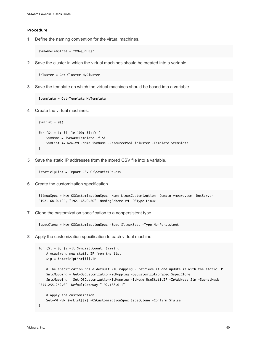**1** Define the naming convention for the virtual machines.

\$vmNameTemplate = "VM-{0:D3}"

**2** Save the cluster in which the virtual machines should be created into a variable.

\$cluster = Get-Cluster MyCluster

**3** Save the template on which the virtual machines should be based into a variable.

\$template = Get-Template MyTemplate

**4** Create the virtual machines.

```
$vmList = @()for ($i = 1; $i –le 100; $i++) {
    $vmName = $vmNameTemplate –f $i
     $vmList += New-VM –Name $vmName –ResourcePool $cluster –Template $template
}
```
**5** Save the static IP addresses from the stored CSV file into a variable.

\$staticIpList = Import-CSV C:\StaticIPs.csv

**6** Create the customization specification.

\$linuxSpec = New-OSCustomizationSpec –Name LinuxCustomization –Domain vmware.com –DnsServer "192.168.0.10", "192.168.0.20" –NamingScheme VM –OSType Linux

**7** Clone the customization specification to a nonpersistent type.

\$specClone = New-OSCustomizationSpec –Spec \$linuxSpec –Type NonPersistent

**8** Apply the customization specification to each virtual machine.

```
for (\$i = 0; \$i -lt $whList.Count; \$i++) {
     # Acquire a new static IP from the list
     $ip = $staticIpList[$i].IP
     # The specification has a default NIC mapping – retrieve it and update it with the static IP
     $nicMapping = Get-OSCustomizationNicMapping –OSCustomizationSpec $specClone
     $nicMapping | Set-OSCustomizationNicMapping –IpMode UseStaticIP –IpAddress $ip –SubnetMask 
"255.255.252.0" –DefaultGateway "192.168.0.1"
     # Apply the customization
     Set-VM –VM $vmList[$i] –OSCustomizationSpec $specClone –Confirm:$false
}
```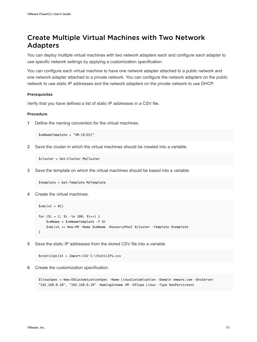# Create Multiple Virtual Machines with Two Network Adapters

You can deploy multiple virtual machines with two network adapters each and configure each adapter to use specific network settings by applying a customization specification.

You can configure each virtual machine to have one network adapter attached to a public network and one network adapter attached to a private network. You can configure the network adapters on the public network to use static IP addresses and the network adapters on the private network to use DHCP.

### Prerequisites

Verify that you have defined a list of static IP addresses in a CSV file.

### Procedure

**1** Define the naming convention for the virtual machines.

\$vmNameTemplate = "VM-{0:D3}"

**2** Save the cluster in which the virtual machines should be created into a variable.

\$cluster = Get-Cluster MyCluster

**3** Save the template on which the virtual machines should be based into a variable.

\$template = Get-Template MyTemplate

**4** Create the virtual machines.

```
$vmList = @()for ($i = 1; $i -le 100; $i++) {
     $vmName = $vmNameTemplate –f $i
     $vmList += New-VM –Name $vmName –ResourcePool $cluster –Template $template
}
```
**5** Save the static IP addresses from the stored CSV file into a variable.

```
$staticIpList = Import-CSV C:\StaticIPs.csv
```
**6** Create the customization specification.

\$linuxSpec = New-OSCustomizationSpec –Name LinuxCustomization –Domain vmware.com –DnsServer "192.168.0.10", "192.168.0.20" –NamingScheme VM –OSType Linux –Type NonPersistent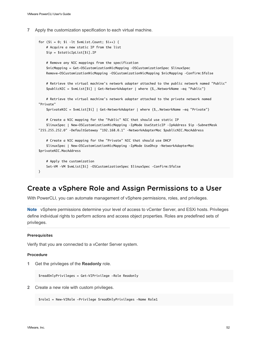**7** Apply the customization specification to each virtual machine.

```
for (\$i = 0; \$i -lt \$vmList.Count; \$i++) {
     # Acquire a new static IP from the list
     $ip = $staticIpList[$i].IP
     # Remove any NIC mappings from the specification
     $nicMapping = Get-OSCustomizationNicMapping –OSCustomizationSpec $linuxSpec
     Remove-OSCustomizationNicMapping –OSCustomizationNicMapping $nicMapping –Confirm:$false
     # Retrieve the virtual machine's network adapter attached to the public network named "Public"
     $publicNIC = $vmList[$i] | Get-NetworkAdapter | where {$_.NetworkName -eq "Public"}
     # Retrieve the virtual machine's network adapter attached to the private network named 
"Private"
     $privateNIC = $vmList[$i] | Get-NetworkAdapter | where {$_.NetworkName -eq "Private"}
     # Create a NIC mapping for the "Public" NIC that should use static IP
     $linuxSpec | New-OSCustomizationNicMapping –IpMode UseStaticIP –IpAddress $ip –SubnetMask 
"255.255.252.0" –DefaultGateway "192.168.0.1" –NetworkAdapterMac $publicNIC.MacAddress
     # Create a NIC mapping for the "Private" NIC that should use DHCP
     $linuxSpec | New-OSCustomizationNicMapping –IpMode UseDhcp –NetworkAdapterMac 
$privateNIC.MacAddress
     # Apply the customization
    Set-VM –VM $vmList[$i] –OSCustomizationSpec $linuxSpec –Confirm:$false
}
```
## Create a vSphere Role and Assign Permissions to a User

With PowerCLI, you can automate management of vSphere permissions, roles, and privileges.

**Note** vSphere permissions determine your level of access to vCenter Server, and ESXi hosts. Privileges define individual rights to perform actions and access object properties. Roles are predefined sets of privileges.

### Prerequisites

Verify that you are connected to a vCenter Server system.

#### Procedure

**1** Get the privileges of the **Readonly** role.

\$readOnlyPrivileges = Get-VIPrivilege -Role Readonly

**2** Create a new role with custom privileges.

\$role1 = New-VIRole -Privilege \$readOnlyPrivileges -Name Role1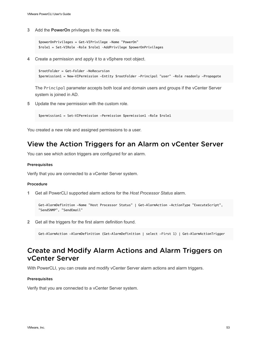**3** Add the **PowerOn** privileges to the new role.

```
$powerOnPrivileges = Get-VIPrivilege -Name "PowerOn"
$role1 = Set-VIRole –Role $role1 –AddPrivilege $powerOnPrivileges
```
**4** Create a permission and apply it to a vSphere root object.

```
$rootFolder = Get-Folder -NoRecursion
$permission1 = New-VIPermission -Entity $rootFolder -Principal "user" -Role readonly -Propagate
```
The Principal parameter accepts both local and domain users and groups if the vCenter Server system is joined in AD.

**5** Update the new permission with the custom role.

```
$permission1 = Set-VIPermission -Permission $permission1 -Role $role1
```
You created a new role and assigned permissions to a user.

### View the Action Triggers for an Alarm on vCenter Server

You can see which action triggers are configured for an alarm.

### Prerequisites

Verify that you are connected to a vCenter Server system.

### Procedure

**1** Get all PowerCLI supported alarm actions for the *Host Processor Status* alarm.

```
Get-AlarmDefinition -Name "Host Processor Status" | Get-AlarmAction -ActionType "ExecuteScript", 
"SendSNMP", "SendEmail"
```
**2** Get all the triggers for the first alarm definition found.

Get-AlarmAction -AlarmDefinition (Get-AlarmDefinition | select -First 1) | Get-AlarmActionTrigger

## Create and Modify Alarm Actions and Alarm Triggers on vCenter Server

With PowerCLI, you can create and modify vCenter Server alarm actions and alarm triggers.

### Prerequisites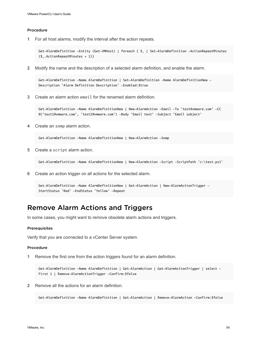**1** For all host alarms, modify the interval after the action repeats.

```
Get-AlarmDefinition -Entity (Get-VMHost) | foreach { $_ | Set-AlarmDefinition -ActionRepeatMinutes 
($_.ActionRepeatMinutes + 1)}
```
**2** Modify the name and the description of a selected alarm definition, and enable the alarm.

Get-AlarmDefinition -Name AlarmDefinition | Set-AlarmDefinition -Name AlarmDefinitionNew - Description 'Alarm Definition Description' -Enabled:\$true

**3** Create an alarm action email for the renamed alarm definition.

Get-AlarmDefinition -Name AlarmDefinitionNew | New-AlarmAction -Email -To 'test@vmware.com' -CC @('test1@vmware.com', 'test2@vmware.com') -Body 'Email text' -Subject 'Email subject'

**4** Create an snmp alarm action.

Get-AlarmDefinition -Name AlarmDefinitionNew | New-AlarmAction -Snmp

**5** Create a script alarm action.

Get-AlarmDefinition -Name AlarmDefinitionNew | New-AlarmAction -Script -ScriptPath 'c:\test.ps1'

**6** Create an action trigger on all actions for the selected alarm.

```
Get-AlarmDefinition -Name AlarmDefinitionNew | Get-AlarmAction | New-AlarmActionTrigger -
StartStatus 'Red' -EndStatus 'Yellow' -Repeat
```
## Remove Alarm Actions and Triggers

In some cases, you might want to remove obsolete alarm actions and triggers.

### Prerequisites

Verify that you are connected to a vCenter Server system.

### Procedure

**1** Remove the first one from the action triggers found for an alarm definition.

Get-AlarmDefinition -Name AlarmDefinition | Get-AlarmAction | Get-AlarmActionTrigger | select - First 1 | Remove-AlarmActionTrigger -Confirm: \$false

**2** Remove all the actions for an alarm definition.

Get-AlarmDefinition -Name AlarmDefinition | Get-AlarmAction | Remove-AlarmAction -Confirm:\$false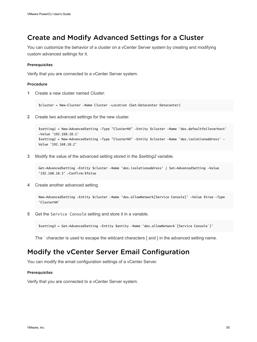# Create and Modify Advanced Settings for a Cluster

You can customize the behavior of a cluster on a vCenter Server system by creating and modifying custom advanced settings for it.

### **Prerequisites**

Verify that you are connected to a vCenter Server system.

### Procedure

**1** Create a new cluster named *Cluster*.

\$cluster = New-Cluster -Name Cluster -Location (Get-Datacenter Datacenter)

**2** Create two advanced settings for the new cluster.

```
$setting1 = New-AdvancedSetting -Type "ClusterHA" -Entity $cluster -Name 'das.defaultfailoverhost' 
-Value '192.168.10.1'
$setting2 = New-AdvancedSetting -Type "ClusterHA" -Entity $cluster -Name 'das.isolationaddress' -
Value '192.168.10.2'
```
**3** Modify the value of the advanced setting stored in the *\$setting2* variable.

```
Get-AdvancedSetting -Entity $cluster -Name 'das.isolationaddress' | Set-AdvancedSetting -Value 
'192.168.10.3' -Confirm:$false
```
**4** Create another advanced setting.

```
New-AdvancedSetting -Entity $cluster -Name 'das.allowNetwork[Service Console]' -Value $true -Type 
'ClusterHA'
```
**5** Get the Service Console setting and store it in a variable.

\$setting3 = Get-AdvancedSetting -Entity \$entity -Name 'das.allowNetwork`[Service Console`]'

The ` character is used to escape the wildcard characters [ and ] in the advanced setting name.

### Modify the vCenter Server Email Configuration

You can modify the email configuration settings of a vCenter Server.

#### Prerequisites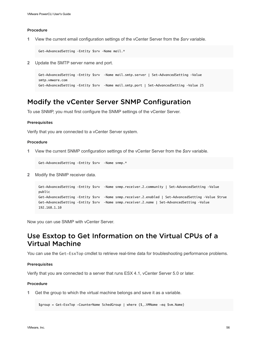**1** View the current email configuration settings of the vCenter Server from the *\$srv* variable.

Get-AdvancedSetting –Entity \$srv –Name mail.\*

**2** Update the SMTP server name and port.

```
Get-AdvancedSetting –Entity $srv –Name mail.smtp.server | Set-AdvancedSetting –Value 
smtp.vmware.com
Get-AdvancedSetting –Entity $srv –Name mail.smtp.port | Set-AdvancedSetting –Value 25
```
### Modify the vCenter Server SNMP Configuration

To use SNMP, you must first configure the SNMP settings of the vCenter Server.

### Prerequisites

Verify that you are connected to a vCenter Server system.

### Procedure

**1** View the current SNMP configuration settings of the vCenter Server from the *\$srv* variable.

Get-AdvancedSetting –Entity \$srv –Name snmp.\*

**2** Modify the SNMP receiver data.

```
Get-AdvancedSetting –Entity $srv –Name snmp.receiver.2.community | Set-AdvancedSetting –Value 
public
Get-AdvancedSetting –Entity $srv –Name snmp.receiver.2.enabled | Set-AdvancedSetting –Value $true
Get-AdvancedSetting –Entity $srv –Name snmp.receiver.2.name | Set-AdvancedSetting –Value 
192.168.1.10
```
Now you can use SNMP with vCenter Server.

# Use Esxtop to Get Information on the Virtual CPUs of a Virtual Machine

You can use the Get-EsxTop cmdlet to retrieve real-time data for troubleshooting performance problems.

#### **Prerequisites**

Verify that you are connected to a server that runs ESX 4.1, vCenter Server 5.0 or later.

### Procedure

**1** Get the group to which the virtual machine belongs and save it as a variable.

```
$group = Get-EsxTop -CounterName SchedGroup | where {$_.VMName -eq $vm.Name}
```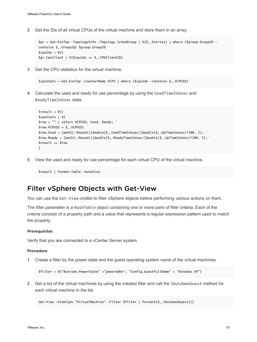**2** Get the IDs of all virtual CPUs of the virtual machine and store them in an array.

```
$gr = Get-EsxTop -TopologyInfo -Topology SchedGroup | %{$_.Entries} | where {$group.GroupID -
contains $_.GroupId} $group.GroupID
$cpuIds = @()$gr.CpuClient | %{$cpuIds += $_.CPUClientID}
```
**3** Get the CPU statistics for the virtual machine.

```
$cpuStats = Get-EsxTop -CounterName VCPU | where {$cpuIds -contains $_.VCPUID}
```
**4** Calculate the used and ready for use percentage by using the UsedTimeInUsec and ReadyTimeInUsec stats.

```
$result = @()$cpuStats | %{ `
$row = "" | select VCPUID, Used, Ready; `
$row.VCPUID = $. VCPUID;
$row.Used = [math]::Round(([double]$_.UsedTimeInUsec/[double]$_.UpTimeInUsec)*100, 2); `
$row.Ready = [math]::Round(([double]$_.ReadyTimeInUsec/[double]$_.UpTimeInUsec)*100, 2);` 
$result += $row
}
```
**5** View the used and ready for use percentage for each virtual CPU of the virtual machine.

\$result | Format-Table –AutoSize

### Filter vSphere Objects with Get-View

You can use the Get-View cmdlet to filter vSphere objects before performing various actions on them.

The filter parameter is a HashTable object containing one or more pairs of filter criteria. Each of the criteria consists of a property path and a value that represents a regular expression pattern used to match the property.

#### **Prerequisites**

Verify that you are connected to a vCenter Server system.

#### Procedure

**1** Create a filter by the power state and the guest operating system name of the virtual machines.

\$filter = @{"Runtime.PowerState" ="poweredOn"; "Config.GuestFullName" = "Windows XP"}

**2** Get a list of the virtual machines by using the created filter and call the ShutdownGuest method for each virtual machine in the list.

Get-View -ViewType "VirtualMachine" -Filter \$filter | foreach{\$\_.ShutdownGuest()}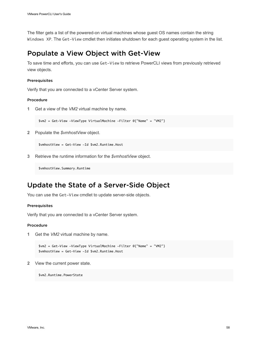The filter gets a list of the powered-on virtual machines whose guest OS names contain the string Windows XP. The Get-View cmdlet then initiates shutdown for each guest operating system in the list.

## Populate a View Object with Get-View

To save time and efforts, you can use Get-View to retrieve PowerCLI views from previously retrieved view objects.

### Prerequisites

Verify that you are connected to a vCenter Server system.

### Procedure

**1** Get a view of the *VM2* virtual machine by name.

\$vm2 = Get-View -ViewType VirtualMachine -Filter @{"Name" = "VM2"}

**2** Populate the *\$vmhostView* object.

\$vmhostView = Get-View -Id \$vm2.Runtime.Host

**3** Retrieve the runtime information for the *\$vmhostView* object.

\$vmhostView.Summary.Runtime

## Update the State of a Server-Side Object

You can use the Get-View cmdlet to update server-side objects.

### Prerequisites

Verify that you are connected to a vCenter Server system.

### Procedure

**1** Get the *VM2* virtual machine by name.

\$vm2 = Get-View -ViewType VirtualMachine -Filter @{"Name" = "VM2"} \$vmhostView = Get-View -Id \$vm2.Runtime.Host

**2** View the current power state.

\$vm2.Runtime.PowerState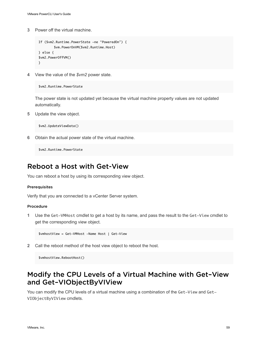**3** Power off the virtual machine.

```
If ($vm2.Runtime.PowerState -ne "PoweredOn") {
         $vm.PowerOnVM($vm2.Runtime.Host)
} else {
$vm2.PowerOffVM()
}
```
**4** View the value of the *\$vm2* power state.

```
$vm2.Runtime.PowerState
```
The power state is not updated yet because the virtual machine property values are not updated automatically.

**5** Update the view object.

\$vm2.UpdateViewData()

**6** Obtain the actual power state of the virtual machine.

\$vm2.Runtime.PowerState

## Reboot a Host with Get-View

You can reboot a host by using its corresponding view object.

### Prerequisites

Verify that you are connected to a vCenter Server system.

### Procedure

**1** Use the Get-VMHost cmdlet to get a host by its name, and pass the result to the Get-View cmdlet to get the corresponding view object.

\$vmhostView = Get-VMHost -Name Host | Get-View

**2** Call the reboot method of the host view object to reboot the host.

\$vmhostView.RebootHost()

## Modify the CPU Levels of a Virtual Machine with Get–View and Get–VIObjectByVIView

You can modify the CPU levels of a virtual machine using a combination of the Get-View and Get-VIObjectByVIView cmdlets.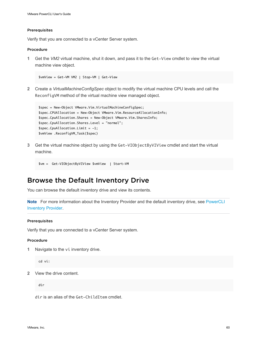### Prerequisites

Verify that you are connected to a vCenter Server system.

### Procedure

**1** Get the *VM2* virtual machine, shut it down, and pass it to the Get-View cmdlet to view the virtual machine view object.

\$vmView = Get-VM VM2 | Stop-VM | Get-View

**2** Create a *VirtualMachineConfigSpec* object to modify the virtual machine CPU levels and call the ReconfigVM method of the virtual machine view managed object.

```
$spec = New-Object VMware.Vim.VirtualMachineConfigSpec;
$spec.CPUAllocation = New-Object VMware.Vim.ResourceAllocationInfo;
$spec.CpuAllocation.Shares = New-Object VMware.Vim.SharesInfo;
$spec.CpuAllocation.Shares.Level = "normal";
$spec.Cpuallocation.Limit = -1;$vmView .ReconfigVM_Task($spec)
```
**3** Get the virtual machine object by using the Get-VIObjectByVIView cmdlet and start the virtual machine.

```
$vm = Get-VIObjectByVIView $vmView | Start-VM
```
### Browse the Default Inventory Drive

You can browse the default inventory drive and view its contents.

**Note** For more information about the Inventory Provider and the default inventory drive, see [PowerCLI](#page-16-0) [Inventory Provider](#page-16-0).

### Prerequisites

Verify that you are connected to a vCenter Server system.

### Procedure

**1** Navigate to the vi inventory drive.

cd vi:

**2** View the drive content.

dir

dir is an alias of the Get-ChildItem cmdlet.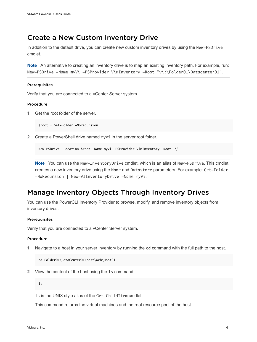## Create a New Custom Inventory Drive

In addition to the default drive, you can create new custom inventory drives by using the New-PSDrive cmdlet.

**Note** An alternative to creating an inventory drive is to map an existing inventory path. For example, run: New-PSDrive -Name myVi -PSProvider VimInventory -Root "vi:\Folder01\Datacenter01".

### Prerequisites

Verify that you are connected to a vCenter Server system.

### Procedure

**1** Get the root folder of the server.

\$root = Get-Folder -NoRecursion

**2** Create a PowerShell drive named myVi in the server root folder.

New-PSDrive -Location \$root -Name myVi -PSProvider VimInventory -Root '\'

**Note** You can use the New-InventoryDrive cmdlet, which is an alias of New-PSDrive. This cmdlet creates a new inventory drive using the Name and Datastore parameters. For example: Get-Folder -NoRecursion | New-VIInventoryDrive -Name myVi.

### Manage Inventory Objects Through Inventory Drives

You can use the PowerCLI Inventory Provider to browse, modify, and remove inventory objects from inventory drives.

### **Prerequisites**

Verify that you are connected to a vCenter Server system.

### Procedure

**1** Navigate to a host in your server inventory by running the cd command with the full path to the host.

cd Folder01\DataCenter01\host\Web\Host01

**2** View the content of the host using the ls command.

ls

ls is the UNIX style alias of the Get-ChildItem cmdlet.

This command returns the virtual machines and the root resource pool of the host.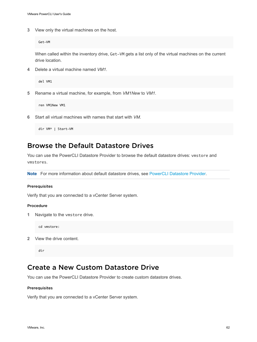**3** View only the virtual machines on the host.

Get-VM

When called within the inventory drive, Get-VM gets a list only of the virtual machines on the current drive location.

**4** Delete a virtual machine named *VM1*.

del VM1

**5** Rename a virtual machine, for example, from *VM1New* to *VM1*.

ren VM1New VM1

**6** Start all virtual machines with names that start with *VM*.

dir VM\* | Start-VM

## Browse the Default Datastore Drives

You can use the PowerCLI Datastore Provider to browse the default datastore drives: vmstore and vmstores.

**Note** For more information about default datastore drives, see [PowerCLI Datastore Provider](#page-16-0).

### Prerequisites

Verify that you are connected to a vCenter Server system.

### Procedure

**1** Navigate to the vmstore drive.

cd vmstore:

**2** View the drive content.

dir

## Create a New Custom Datastore Drive

You can use the PowerCLI Datastore Provider to create custom datastore drives.

### Prerequisites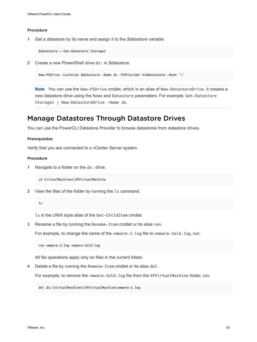**1** Get a datastore by its name and assign it to the *\$datastore* variable.

\$datastore = Get-Datastore Storage1

**2** Create a new PowerShell drive ds: in *\$datastore*.

```
New-PSDrive -Location $datastore -Name ds -PSProvider VimDatastore -Root '\'
```
**Note** You can use the New-PSDrive cmdlet, which is an alias of New-DatastoreDrive. It creates a new datastore drive using the Name and Datastore parameters. For example: Get-Datastore Storage1 | New-DatastoreDrive -Name ds.

### Manage Datastores Through Datastore Drives

You can use the PowerCLI Datastore Provider to browse datastores from datastore drives.

### Prerequisites

Verify that you are connected to a vCenter Server system.

### Procedure

**1** Navigate to a folder on the ds: drive.

cd VirtualMachines\XPVirtualMachine

**2** View the files of the folder by running the ls command.

### ls

ls is the UNIX style alias of the Get-ChildItem cmdlet.

**3** Rename a file by running the Rename-Item cmdlet or its alias ren.

For example, to change the name of the vmware-3. log file to vmware-3old. log, run:

ren vmware-3.log vmware-3old.log

All file operations apply only on files in the current folder.

**4** Delete a file by running the Remove-Item cmdlet or its alias del.

For example, to remove the vmware-3old.log file from the XPVirtualMachine folder, run:

del ds:\VirtualMachines\XPVirtualMachine\vmware-2.log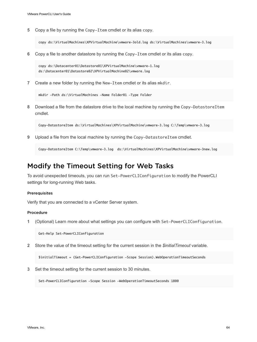**5** Copy a file by running the Copy-Item cmdlet or its alias copy.

copy ds:\VirtualMachines\XPVirtualMachine\vmware-3old.log ds:\VirtualMachines\vmware-3.log

**6** Copy a file to another datastore by running the Copy-Item cmdlet or its alias copy.

copy ds:\Datacenter01\Datastore01\XPVirtualMachine\vmware-1.log ds:\Datacenter01\Datastore02\XPVirtualMachine02\vmware.log

**7** Create a new folder by running the New-Item cmdlet or its alias mkdir.

```
mkdir -Path ds:\VirtualMachines -Name Folder01 -Type Folder
```
**8** Download a file from the datastore drive to the local machine by running the Copy-DatastoreItem cmdlet.

Copy-DatastoreItem ds:\VirtualMachines\XPVirtualMachine\vmware-3.log C:\Temp\vmware-3.log

**9** Upload a file from the local machine by running the Copy-DatastoreItem cmdlet.

Copy-DatastoreItem C:\Temp\vmware-3.log ds:\VirtualMachines\XPVirtualMachine\vmware-3new.log

### Modify the Timeout Setting for Web Tasks

To avoid unexpected timeouts, you can run Set-PowerCLIConfiguration to modify the PowerCLI settings for long-running Web tasks.

### Prerequisites

Verify that you are connected to a vCenter Server system.

### Procedure

**1** (Optional) Learn more about what settings you can configure with Set-PowerCLIConfiguration.

```
Get-Help Set-PowerCLIConfiguration
```
**2** Store the value of the timeout setting for the current session in the *\$initialTimeout* variable.

\$initialTimeout = (Get-PowerCLIConfiguration -Scope Session).WebOperationTimeoutSeconds

**3** Set the timeout setting for the current session to 30 minutes.

Set-PowerCLIConfiguration -Scope Session -WebOperationTimeoutSeconds 1800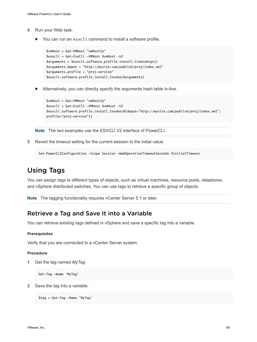- **4** Run your Web task.
	- You can run an esxcli command to install a software profile.

```
$vmHost = Get-VMHost "vmHostIp"
$esxcli = Get-EsxCli -VMHost $vmHost -V2
$arguments = $esxcli.software.profile.install.CreateArgs()
$arguments.depot = "http://mysite.com/publish/proj/index.xml"
$arguments.profile = "proj-version"
$esxcli.software.profile.install.Invoke($arguments)
```
n Alternatively, you can directly specify the arguments hash table in-line.

```
$vmHost = Get-VMHost "vmHostIp"
$esxcli = Get-EsxCli -VMHost $vmHost -V2
$esxcli.software.profile.install.Invoke(@{depot="http://mysite.com/publish/proj/index.xml"; 
profile="proj-version"})
```
**Note** The two examples use the ESXCLI V2 interface of PowerCLI.

**5** Revert the timeout setting for the current session to the initial value.

Set-PowerCLIConfiguration -Scope Session -WebOperationTimeoutSeconds \$initialTimeout

# Using Tags

You can assign tags to different types of objects, such as virtual machines, resource pools, datastores, and vSphere distributed switches. You can use tags to retrieve a specific group of objects.

**Note** The tagging functionality requires vCenter Server 5.1 or later.

### Retrieve a Tag and Save It into a Variable

You can retrieve existing tags defined in vSphere and save a specific tag into a variable.

### **Prerequisites**

Verify that you are connected to a vCenter Server system.

#### Procedure

**1** Get the tag named *MyTag*.

Get-Tag -Name 'MyTag'

**2** Save the tag into a variable.

```
$tag = Get-Tag -Name 'MyTag'
```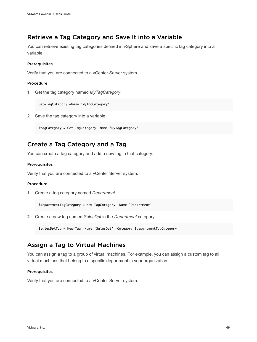### Retrieve a Tag Category and Save It into a Variable

You can retrieve existing tag categories defined in vSphere and save a specific tag category into a variable.

### Prerequisites

Verify that you are connected to a vCenter Server system.

### Procedure

**1** Get the tag category named *MyTagCategory*.

Get-TagCategory -Name 'MyTagCategory'

**2** Save the tag category into a variable.

\$tagCategory = Get-TagCategory -Name 'MyTagCategory'

### Create a Tag Category and a Tag

You can create a tag category and add a new tag in that category.

### Prerequisites

Verify that you are connected to a vCenter Server system.

### Procedure

**1** Create a tag category named *Department*.

\$departmentTagCategory = New-TagCategory -Name 'Department'

**2** Create a new tag named *SalesDpt* in the *Department* category.

\$salesDptTag = New-Tag -Name 'SalesDpt' -Category \$departmentTagCategory

### Assign a Tag to Virtual Machines

You can assign a tag to a group of virtual machines. For example, you can assign a custom tag to all virtual machines that belong to a specific department in your organization.

### **Prerequisites**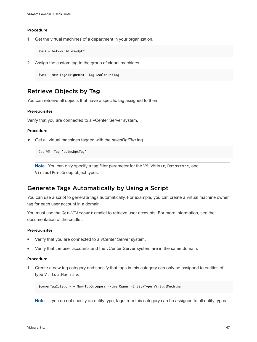**1** Get the virtual machines of a department in your organization.

\$vms = Get-VM sales-dpt\*

**2** Assign the custom tag to the group of virtual machines.

\$vms | New-TagAssignment -Tag \$salesDptTag

### Retrieve Objects by Tag

You can retrieve all objects that have a specific tag assigned to them.

### Prerequisites

Verify that you are connected to a vCenter Server system.

### Procedure

Get all virtual machines tagged with the salesDptTag tag.

Get-VM -Tag 'salesDptTag'

**Note** You can only specify a tag filter parameter for the VM, VMHost, Datastore, and VirtualPortGroup object types.

### Generate Tags Automatically by Using a Script

You can use a script to generate tags automatically. For example, you can create a virtual machine owner tag for each user account in a domain.

You must use the Get-VIAccount cmdlet to retrieve user accounts. For more information, see the documentation of the cmdlet.

### Prerequisites

- Verify that you are connected to a vCenter Server system.
- Verify that the user accounts and the vCenter Server system are in the same domain.

### Procedure

**1** Create a new tag category and specify that tags in this category can only be assigned to entities of type VirtualMachine.

\$ownerTagCategory = New-TagCategory -Name Owner -EntityType VirtualMachine

**Note** If you do not specify an entity type, tags from this category can be assigned to all entity types.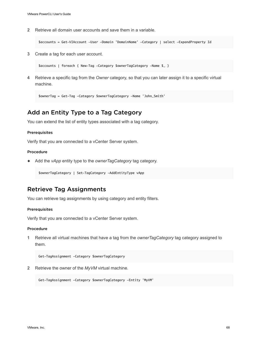**2** Retrieve all domain user accounts and save them in a variable.

\$accounts = Get-VIAccount -User -Domain 'DomainName' -Category | select -ExpandProperty Id

**3** Create a tag for each user account.

\$accounts | foreach { New-Tag -Category \$ownerTagCategory -Name \$\_ }

**4** Retrieve a specific tag from the *Owner* category, so that you can later assign it to a specific virtual machine.

```
$ownerTag = Get-Tag -Category $ownerTagCategory -Name 'John_Smith'
```
### Add an Entity Type to a Tag Category

You can extend the list of entity types associated with a tag category.

### Prerequisites

Verify that you are connected to a vCenter Server system.

### Procedure

◆ Add the *vApp* entity type to the *ownerTagCategory* tag category.

\$ownerTagCategory | Set-TagCategory -AddEntityType vApp

### Retrieve Tag Assignments

You can retrieve tag assignments by using category and entity filters.

#### **Prerequisites**

Verify that you are connected to a vCenter Server system.

#### Procedure

**1** Retrieve all virtual machines that have a tag from the *ownerTagCategory* tag category assigned to them.

Get-TagAssignment -Category \$ownerTagCategory

**2** Retrieve the owner of the *MyVM* virtual machine.

Get-TagAssignment -Category \$ownerTagCategory -Entity 'MyVM'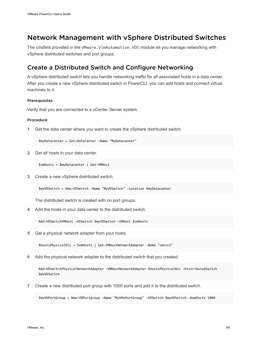# Network Management with vSphere Distributed Switches

The cmdlets provided in the VMware. VimAutomation. VDS module let you manage networking with vSphere distributed switches and port groups.

### Create a Distributed Switch and Configure Networking

A vSphere distributed switch lets you handle networking traffic for all associated hosts in a data center. After you create a new vSphere distributed switch in PowerCLI, you can add hosts and connect virtual machines to it.

### **Prerequisites**

Verify that you are connected to a vCenter Server system.

### Procedure

**1** Get the data center where you want to create the vSphere distributed switch.

\$myDatacenter = Get-Datacenter -Name "MyDatacenter"

**2** Get all hosts in your data center.

\$vmHosts = \$myDatacenter | Get-VMHost

**3** Create a new vSphere distributed switch.

\$myVDSwitch = New-VDSwitch -Name "MyVDSwitch" -Location \$myDatacenter

The distributed switch is created with no port groups.

**4** Add the hosts in your data center to the distributed switch.

Add-VDSwitchVMHost -VDSwitch \$myVDSwitch -VMHost \$vmHosts

**5** Get a physical network adapter from your hosts.

\$hostsPhysicalNic = \$vmHosts | Get-VMHostNetworkAdapter -Name "vmnic2"

**6** Add the physical network adapter to the distributed switch that you created.

Add-VDSwitchPhysicalNetworkAdapter -VMHostNetworkAdapter \$hostsPhysicalNic -DistributedSwitch \$myVDSwitch

**7** Create a new distributed port group with 1000 ports and add it to the distributed switch.

\$myVDPortGroup = New-VDPortgroup -Name "MyVMsPortGroup" -VDSwitch \$myVDSwitch -NumPorts 1000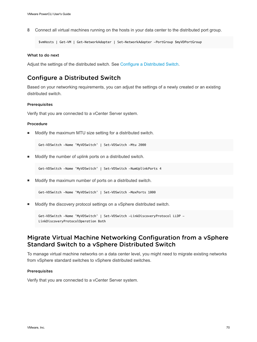**8** Connect all virtual machines running on the hosts in your data center to the distributed port group.

```
$vmHosts | Get-VM | Get-NetworkAdapter | Set-NetworkAdapter -PortGroup $myVDPortGroup
```
### What to do next

Adjust the settings of the distributed switch. See Configure a Distributed Switch.

### Configure a Distributed Switch

Based on your networking requirements, you can adjust the settings of a newly created or an existing distributed switch.

### Prerequisites

Verify that you are connected to a vCenter Server system.

### Procedure

Modify the maximum MTU size setting for a distributed switch.

Get-VDSwitch -Name 'MyVDSwitch' | Set-VDSwitch -Mtu 2000

<sup>n</sup> Modify the number of uplink ports on a distributed switch.

Get-VDSwitch -Name 'MyVDSwitch' | Set-VDSwitch -NumUplinkPorts 4

Modify the maximum number of ports on a distributed switch.

Get-VDSwitch -Name 'MyVDSwitch' | Set-VDSwitch -MaxPorts 1000

Modify the discovery protocol settings on a vSphere distributed switch.

Get-VDSwitch -Name 'MyVDSwitch' | Set-VDSwitch -LinkDiscoveryProtocol LLDP - LinkDiscoveryProtocolOperation Both

### Migrate Virtual Machine Networking Configuration from a vSphere Standard Switch to a vSphere Distributed Switch

To manage virtual machine networks on a data center level, you might need to migrate existing networks from vSphere standard switches to vSphere distributed switches.

### Prerequisites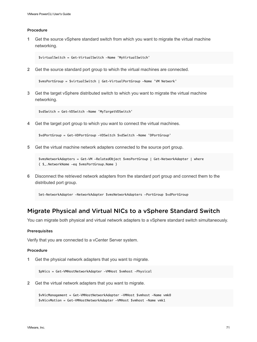**1** Get the source vSphere standard switch from which you want to migrate the virtual machine networking.

```
$virtualSwitch = Get-VirtualSwitch -Name 'MyVirtualSwitch'
```
**2** Get the source standard port group to which the virtual machines are connected.

\$vmsPortGroup = \$virtualSwitch | Get-VirtualPortGroup -Name 'VM Network'

**3** Get the target vSphere distributed switch to which you want to migrate the virtual machine networking.

\$vdSwitch = Get-VDSwitch -Name 'MyTargetVDSwitch'

**4** Get the target port group to which you want to connect the virtual machines.

\$vdPortGroup = Get-VDPortGroup -VDSwitch \$vdSwitch -Name 'DPortGroup'

**5** Get the virtual machine network adapters connected to the source port group.

```
$vmsNetworkAdapters = Get-VM -RelatedObject $vmsPortGroup | Get-NetworkAdapter | where 
{ $_.NetworkName -eq $vmsPortGroup.Name }
```
**6** Disconnect the retrieved network adapters from the standard port group and connect them to the distributed port group.

Set-NetworkAdapter -NetworkAdapter \$vmsNetworkAdapters -PortGroup \$vdPortGroup

### Migrate Physical and Virtual NICs to a vSphere Standard Switch

You can migrate both physical and virtual network adapters to a vSphere standard switch simultaneously.

### **Prerequisites**

Verify that you are connected to a vCenter Server system.

### Procedure

**1** Get the physical network adapters that you want to migrate.

\$pNics = Get-VMHostNetworkAdapter -VMHost \$vmhost -Physical

**2** Get the virtual network adapters that you want to migrate.

```
$vNicManagement = Get-VMHostNetworkAdapter -VMHost $vmhost -Name vmk0
$vNicvMotion = Get-VMHostNetworkAdapter -VMHost $vmhost -Name vmk1
```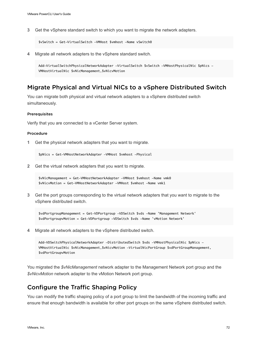**3** Get the vSphere standard switch to which you want to migrate the network adapters.

```
$vSwitch = Get-VirtualSwitch -VMHost $vmhost -Name vSwitch0
```
**4** Migrate all network adapters to the vSphere standard switch.

```
Add-VirtualSwitchPhysicalNetworkAdapter -VirtualSwitch $vSwitch -VMHostPhysicalNic $pNics -
VMHostVirtualNic $vNicManagement,$vNicvMotion
```
### Migrate Physical and Virtual NICs to a vSphere Distributed Switch

You can migrate both physical and virtual network adapters to a vSphere distributed switch simultaneously.

### Prerequisites

Verify that you are connected to a vCenter Server system.

#### Procedure

**1** Get the physical network adapters that you want to migrate.

\$pNics = Get-VMHostNetworkAdapter -VMHost \$vmhost -Physical

**2** Get the virtual network adapters that you want to migrate.

```
$vNicManagement = Get-VMHostNetworkAdapter -VMHost $vmhost -Name vmk0
$vNicvMotion = Get-VMHostNetworkAdapter -VMHost $vmhost -Name vmk1
```
**3** Get the port groups corresponding to the virtual network adapters that you want to migrate to the vSphere distributed switch.

\$vdPortgroupManagement = Get-VDPortgroup -VDSwitch \$vds -Name 'Management Network' \$vdPortgroupvMotion = Get-VDPortgroup -VDSwitch \$vds -Name 'vMotion Network'

**4** Migrate all network adapters to the vSphere distributed switch.

```
Add-VDSwitchPhysicalNetworkAdapter -DistributedSwitch $vds -VMHostPhysicalNic $pNics -
VMHostVirtualNic $vNicManagement,$vNicvMotion -VirtualNicPortGroup $vdPortGroupManagement, 
$vdPortGroupvMotion
```
You migrated the *\$vNicManagement* network adapter to the Management Network port group and the *\$vNicvMotion* network adapter to the vMotion Network port group.

### Configure the Traffic Shaping Policy

You can modify the traffic shaping policy of a port group to limit the bandwidth of the incoming traffic and ensure that enough bandwidth is available for other port groups on the same vSphere distributed switch.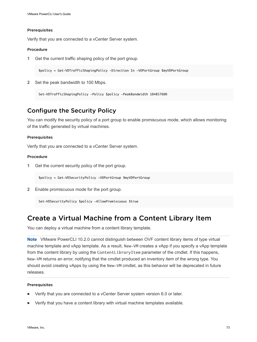### Prerequisites

Verify that you are connected to a vCenter Server system.

### Procedure

**1** Get the current traffic shaping policy of the port group.

\$policy = Get-VDTrafficShapingPolicy -Direction In -VDPortGroup \$myVDPortGroup

**2** Set the peak bandwidth to 100 Mbps.

Set-VDTrafficShapingPolicy -Policy \$policy -PeakBandwidth 104857600

### Configure the Security Policy

You can modify the security policy of a port group to enable promiscuous mode, which allows monitoring of the traffic generated by virtual machines.

#### Prerequisites

Verify that you are connected to a vCenter Server system.

### Procedure

**1** Get the current security policy of the port group.

\$policy = Get-VDSecurityPolicy -VDPortGroup \$myVDPortGroup

**2** Enable promiscuous mode for the port group.

Set-VDSecurityPolicy \$policy -AllowPromiscuous \$true

# Create a Virtual Machine from a Content Library Item

You can deploy a virtual machine from a content library template.

**Note** VMware PowerCLI 10.2.0 cannot distinguish between OVF content library items of type virtual machine template and vApp template. As a result, New-VM creates a vApp if you specify a vApp template from the content library by using the ContentLibraryItem parameter of the cmdlet. If this happens, New-VM returns an error, notifying that the cmdlet produced an inventory item of the wrong type. You should avoid creating vApps by using the New-VM cmdlet, as this behavior will be deprecated in future releases.

### Prerequisites

- Verify that you are connected to a vCenter Server system version 6.0 or later.
- Verify that you have a content library with virtual machine templates available.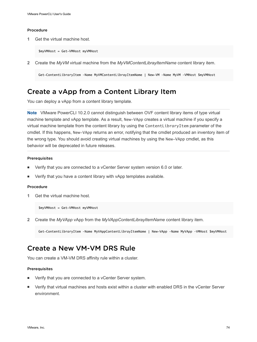**1** Get the virtual machine host.

\$myVMHost = Get-VMHost myVMHost

**2** Create the *MyVM* virtual machine from the *MyVMContentLibrayItemName* content library item.

Get-ContentLibraryItem –Name MyVMContentLibrayItemName | New-VM –Name MyVM –VMHost \$myVMHost

# Create a vApp from a Content Library Item

You can deploy a vApp from a content library template.

**Note** VMware PowerCLI 10.2.0 cannot distinguish between OVF content library items of type virtual machine template and vApp template. As a result, New-VApp creates a virtual machine if you specify a virtual machine template from the content library by using the ContentLibraryItem parameter of the cmdlet. If this happens, New-VApp returns an error, notifying that the cmdlet produced an inventory item of the wrong type. You should avoid creating virtual machines by using the New-VApp cmdlet, as this behavior will be deprecated in future releases.

#### **Prerequisites**

- Verify that you are connected to a vCenter Server system version 6.0 or later.
- Verify that you have a content library with vApp templates available.

#### Procedure

**1** Get the virtual machine host.

\$myVMHost = Get-VMHost myVMHost

**2** Create the *MyVApp* vApp from the *MyVAppContentLibrayItemName* content library item.

Get-ContentLibraryItem –Name MyVAppContentLibrayItemName | New-VApp –Name MyVApp –VMHost \$myVMHost

# Create a New VM-VM DRS Rule

You can create a VM-VM DRS affinity rule within a cluster.

#### Prerequisites

- **Number 1** Verify that you are connected to a vCenter Server system.
- **•** Verify that virtual machines and hosts exist within a cluster with enabled DRS in the vCenter Server environment.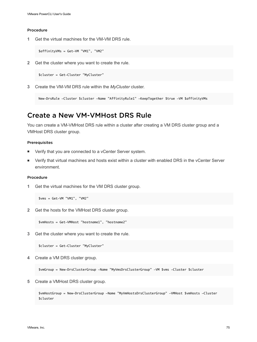**1** Get the virtual machines for the VM-VM DRS rule.

\$affinityVMs = Get-VM "VM1", "VM2"

**2** Get the cluster where you want to create the rule.

\$cluster = Get-Cluster "MyCluster"

**3** Create the VM-VM DRS rule within the *MyCluster* cluster.

New-DrsRule -Cluster \$cluster -Name "AffinityRule1" -KeepTogether \$true -VM \$affinityVMs

# Create a New VM-VMHost DRS Rule

You can create a VM-VMHost DRS rule within a cluster after creating a VM DRS cluster group and a VMHost DRS cluster group.

#### Prerequisites

- Verify that you are connected to a vCenter Server system.
- **•** Verify that virtual machines and hosts exist within a cluster with enabled DRS in the vCenter Server environment.

### Procedure

**1** Get the virtual machines for the VM DRS cluster group.

\$vms = Get-VM "VM1", "VM2"

**2** Get the hosts for the VMHost DRS cluster group.

\$vmHosts = Get-VMHost "hostname1", "hostname2"

**3** Get the cluster where you want to create the rule.

\$cluster = Get-Cluster "MyCluster"

**4** Create a VM DRS cluster group.

\$vmGroup = New-DrsClusterGroup -Name "MyVmsDrsClusterGroup" -VM \$vms -Cluster \$cluster

**5** Create a VMHost DRS cluster group.

\$vmHostGroup = New-DrsClusterGroup -Name "MyVmHostsDrsClusterGroup" -VMHost \$vmHosts -Cluster \$cluster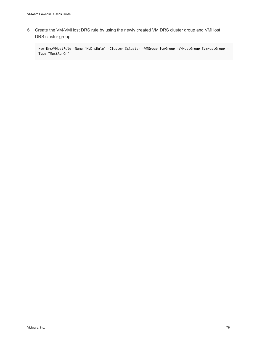**6** Create the VM-VMHost DRS rule by using the newly created VM DRS cluster group and VMHost DRS cluster group.

New-DrsVMHostRule -Name "MyDrsRule" -Cluster \$cluster -VMGroup \$vmGroup -VMHostGroup \$vmHostGroup - Type "MustRunOn"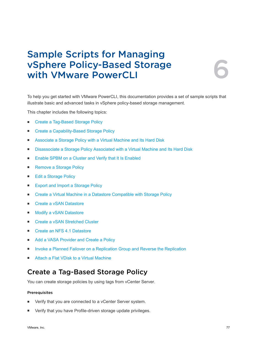# Sample Scripts for Managing vSphere Policy-Based Storage with VMware PowerCLI 6

To help you get started with VMware PowerCLI, this documentation provides a set of sample scripts that illustrate basic and advanced tasks in vSphere policy-based storage management.

This chapter includes the following topics:

- Create a Tag-Based Storage Policy
- [Create a Capability-Based Storage Policy](#page-77-0)
- [Associate a Storage Policy with a Virtual Machine and Its Hard Disk](#page-78-0)
- [Disassociate a Storage Policy Associated with a Virtual Machine and Its Hard Disk](#page-79-0)
- [Enable SPBM on a Cluster and Verify that It Is Enabled](#page-79-0)
- [Remove a Storage Policy](#page-80-0)
- [Edit a Storage Policy](#page-80-0)
- [Export and Import a Storage Policy](#page-81-0)
- [Create a Virtual Machine in a Datastore Compatible with Storage Policy](#page-81-0)
- [Create a vSAN Datastore](#page-83-0)
- [Modify a vSAN Datastore](#page-84-0)
- [Create a vSAN Stretched Cluster](#page-85-0)
- [Create an NFS 4.1 Datastore](#page-86-0)
- [Add a VASA Provider and Create a Policy](#page-87-0)
- **n [Invoke a Planned Failover on a Replication Group and Reverse the Replication](#page-89-0)**
- [Attach a Flat VDisk to a Virtual Machine](#page-91-0)

# Create a Tag-Based Storage Policy

You can create storage policies by using tags from vCenter Server.

### Prerequisites

- Verify that you are connected to a vCenter Server system.
- Verify that you have Profile-driven storage update privileges.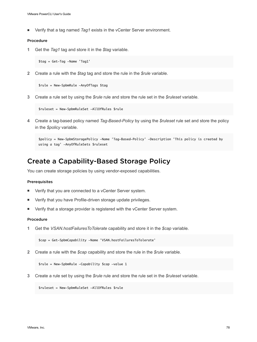<span id="page-77-0"></span>■ Verify that a tag named *Tag1* exists in the vCenter Server environment.

### Procedure

**1** Get the *Tag1* tag and store it in the *\$tag* variable.

\$tag = Get-Tag -Name 'Tag1'

**2** Create a rule with the *\$tag* tag and store the rule in the *\$rule* variable.

```
$rule = New-SpbmRule -AnyOfTags $tag
```
**3** Create a rule set by using the *\$rule* rule and store the rule set in the *\$ruleset* variable.

```
$ruleset = New-SpbmRuleSet -AllOfRules $rule
```
**4** Create a tag-based policy named *Tag-Based-Policy* by using the *\$ruleset* rule set and store the policy in the *\$policy* variable.

```
$policy = New-SpbmStoragePolicy -Name 'Tag-Based-Policy' -Description 'This policy is created by 
using a tag' -AnyOfRuleSets $ruleset
```
# Create a Capability-Based Storage Policy

You can create storage policies by using vendor-exposed capabilities.

#### Prerequisites

- Verify that you are connected to a vCenter Server system.
- Verify that you have Profile-driven storage update privileges.
- Verify that a storage provider is registered with the vCenter Server system.

### Procedure

**1** Get the *VSAN.hostFailuresToTolerate* capability and store it in the *\$cap* variable.

```
$cap = Get-SpbmCapability -Name 'VSAN.hostFailuresToTolerate'
```
**2** Create a rule with the *\$cap* capability and store the rule in the *\$rule* variable.

```
$rule = New-SpbmRule -Capability $cap -value 1
```
**3** Create a rule set by using the *\$rule* rule and store the rule set in the *\$ruleset* variable.

\$ruleset = New-SpbmRuleSet -AllOfRules \$rule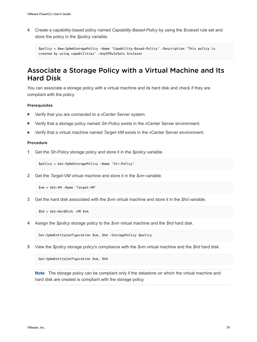<span id="page-78-0"></span>**4** Create a capability-based policy named *Capability-Based-Policy* by using the *\$ruleset* rule set and store the policy in the *\$policy* variable.

```
$policy = New-SpbmStoragePolicy -Name 'Capability-Based-Policy' -Description 'This policy is 
created by using capabilities' -AnyOfRuleSets $ruleset
```
# Associate a Storage Policy with a Virtual Machine and Its Hard Disk

You can associate a storage policy with a virtual machine and its hard disk and check if they are compliant with the policy.

### Prerequisites

- Verify that you are connected to a vCenter Server system.
- Verify that a storage policy named *Str-Policy* exists in the vCenter Server environment.
- **•** Verify that a virtual machine named *Target-VM* exists in the vCenter Server environment.

### Procedure

**1** Get the *Str-Policy* storage policy and store it in the *\$policy* variable.

\$policy = Get-SpbmStoragePolicy -Name 'Str-Policy'

**2** Get the *Target-VM* virtual machine and store it in the *\$vm* variable.

```
$vm = Get-VM -Name 'Target-VM'
```
**3** Get the hard disk associated with the *\$vm* virtual machine and store it in the *\$hd* variable.

\$hd = Get-HardDisk -VM \$vm

**4** Assign the *\$policy* storage policy to the *\$vm* virtual machine and the *\$hd* hard disk.

Set-SpbmEntityConfiguration \$vm, \$hd -StoragePolicy \$policy

**5** View the *\$policy* storage policy's compliance with the *\$vm* virtual machine and the *\$hd* hard disk.

Get-SpbmEntityConfiguration \$vm, \$hd

**Note** The storage policy can be compliant only if the datastore on which the virtual machine and hard disk are created is compliant with the storage policy.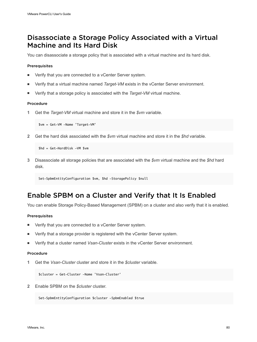# <span id="page-79-0"></span>Disassociate a Storage Policy Associated with a Virtual Machine and Its Hard Disk

You can disassociate a storage policy that is associated with a virtual machine and its hard disk.

### Prerequisites

- Verify that you are connected to a vCenter Server system.
- <sup>n</sup> Verify that a virtual machine named *Target-VM* exists in the vCenter Server environment.
- <sup>n</sup> Verify that a storage policy is associated with the *Target-VM* virtual machine.

### Procedure

**1** Get the *Target-VM* virtual machine and store it in the *\$vm* variable.

\$vm = Get-VM -Name 'Target-VM'

**2** Get the hard disk associated with the *\$vm* virtual machine and store it in the *\$hd* variable.

```
$hd = Get-HardDisk -VM $vm
```
**3** Disassociate all storage policies that are associated with the *\$vm* virtual machine and the *\$hd* hard disk.

```
Set-SpbmEntityConfiguration $vm, $hd -StoragePolicy $null
```
# Enable SPBM on a Cluster and Verify that It Is Enabled

You can enable Storage Policy-Based Management (SPBM) on a cluster and also verify that it is enabled.

### Prerequisites

- Verify that you are connected to a vCenter Server system.
- Verify that a storage provider is registered with the vCenter Server system.
- <sup>n</sup> Verify that a cluster named *Vsan-Cluster* exists in the vCenter Server environment.

### Procedure

**1** Get the *Vsan-Cluster* cluster and store it in the *\$cluster* variable.

\$cluster = Get-Cluster -Name 'Vsan-Cluster'

**2** Enable SPBM on the *\$cluster* cluster.

Set-SpbmEntityConfiguration \$cluster -SpbmEnabled \$true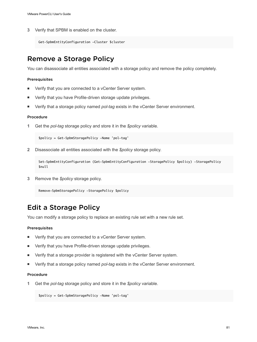<span id="page-80-0"></span>**3** Verify that SPBM is enabled on the cluster.

```
Get-SpbmEntityConfiguration -Cluster $cluster
```
# Remove a Storage Policy

You can disassociate all entities associated with a storage policy and remove the policy completely.

### Prerequisites

- Verify that you are connected to a vCenter Server system.
- Verify that you have Profile-driven storage update privileges.
- Verify that a storage policy named *pol-tag* exists in the vCenter Server environment.

#### Procedure

**1** Get the *pol-tag* storage policy and store it in the *\$policy* variable.

\$policy = Get-SpbmStoragePolicy -Name 'pol-tag'

**2** Disassociate all entities associated with the *\$policy* storage policy.

```
Set-SpbmEntityConfiguration (Get-SpbmEntityConfiguration -StoragePolicy $policy) -StoragePolicy 
$null
```
**3** Remove the *\$policy* storage policy.

```
Remove-SpbmStoragePolicy -StoragePolicy $policy
```
# Edit a Storage Policy

You can modify a storage policy to replace an existing rule set with a new rule set.

### Prerequisites

- Verify that you are connected to a vCenter Server system.
- Verify that you have Profile-driven storage update privileges.
- **•** Verify that a storage provider is registered with the vCenter Server system.
- **n** Verify that a storage policy named *pol-tag* exists in the vCenter Server environment.

#### Procedure

**1** Get the *pol-tag* storage policy and store it in the *\$policy* variable.

\$policy = Get-SpbmStoragePolicy -Name 'pol-tag'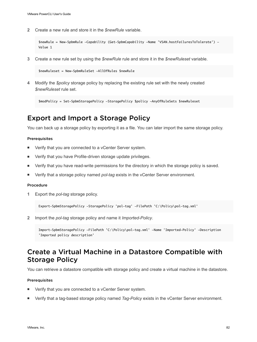<span id="page-81-0"></span>**2** Create a new rule and store it in the *\$newRule* variable.

```
$newRule = New-SpbmRule -Capability (Get-SpbmCapability -Name 'VSAN.hostFailuresToTolerate') -
Value 1
```
**3** Create a new rule set by using the *\$newRule* rule and store it in the *\$newRuleset* variable.

\$newRuleset = New-SpbmRuleSet -AllOfRules \$newRule

**4** Modify the *\$policy* storage policy by replacing the existing rule set with the newly created *\$newRuleset* rule set.

```
$modPolicy = Set-SpbmStoragePolicy -StoragePolicy $policy -AnyOfRuleSets $newRuleset
```
# Export and Import a Storage Policy

You can back up a storage policy by exporting it as a file. You can later import the same storage policy.

#### Prerequisites

- Verify that you are connected to a vCenter Server system.
- Verify that you have Profile-driven storage update privileges.
- Verify that you have read-write permissions for the directory in which the storage policy is saved.
- <sup>n</sup> Verify that a storage policy named *pol-tag* exists in the vCenter Server environment.

### Procedure

**1** Export the *pol-tag* storage policy.

Export-SpbmStoragePolicy -StoragePolicy 'pol-tag' -FilePath 'C:\Policy\pol-tag.xml'

**2** Import the *pol-tag* storage policy and name it *Imported-Policy*.

```
Import-SpbmStoragePolicy -FilePath 'C:\Policy\pol-tag.xml' -Name 'Imported-Policy' -Description 
'Imported policy description'
```
# Create a Virtual Machine in a Datastore Compatible with Storage Policy

You can retrieve a datastore compatible with storage policy and create a virtual machine in the datastore.

#### Prerequisites

- Verify that you are connected to a vCenter Server system.
- <sup>n</sup> Verify that a tag-based storage policy named *Tag-Policy* exists in the vCenter Server environment.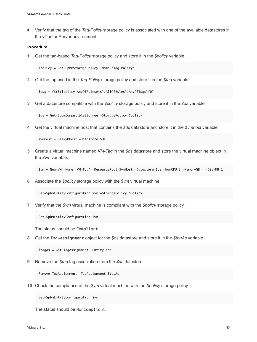<sup>n</sup> Verify that the tag of the *Tag-Policy* storage policy is associated with one of the available datastores in the vCenter Server environment.

### Procedure

**1** Get the tag-based *Tag-Policy* storage policy and store it in the *\$policy* variable.

```
$policy = Get-SpbmStoragePolicy -Name 'Tag-Policy'
```
**2** Get the tag used in the *Tag-Policy* storage policy and store it in the *\$tag* variable.

```
$tag = ($($($policy.AnyOfRulesets).AllOfRules).AnyOfTags)[0]
```
**3** Get a datastore compatible with the *\$policy* storage policy and store it in the *\$ds* variable.

```
$ds = Get-SpbmCompatibleStorage -StoragePolicy $policy
```
**4** Get the virtual machine host that contains the *\$ds* datastore and store it in the *\$vmhost* variable.

\$vmHost = Get-VMHost -Datastore \$ds

**5** Create a virtual machine named *VM-Tag* in the *\$ds* datastore and store the virtual machine object in the *\$vm* variable.

\$vm = New-VM -Name 'VM-Tag' -ResourcePool \$vmHost -Datastore \$ds -NumCPU 2 -MemoryGB 4 -DiskMB 1

**6** Associate the *\$policy* storage policy with the *\$vm* virtual machine.

Set-SpbmEntityConfiguration \$vm -StoragePolicy \$policy

**7** Verify that the *\$vm* virtual machine is compliant with the *\$policy* storage policy.

Get-SpbmEntityConfiguration \$vm

The status should be Compliant.

**8** Get the Tag-Assignment object for the *\$ds* datastore and store it in the *\$tagAs* variable.

\$tagAs = Get-TagAssignment -Entity \$ds

**9** Remove the *\$tag* tag association from the *\$ds* datastore.

Remove-TagAssignment -TagAssignment \$tagAs

**10** Check the compliance of the *\$vm* virtual machine with the *\$policy* storage policy.

Get-SpbmEntityConfiguration \$vm

The status should be NonCompliant.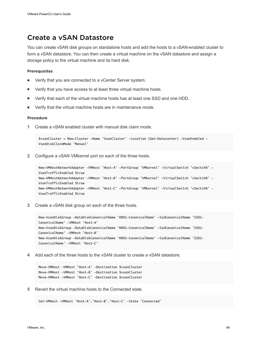# <span id="page-83-0"></span>Create a vSAN Datastore

You can create vSAN disk groups on standalone hosts and add the hosts to a vSAN-enabled cluster to form a vSAN datastore. You can then create a virtual machine on the vSAN datastore and assign a storage policy to the virtual machine and its hard disk.

### Prerequisites

- **Now Verify that you are connected to a vCenter Server system.**
- **Number 1** Verify that you have access to at least three virtual machine hosts.
- **•** Verify that each of the virtual machine hosts has at least one SSD and one HDD.
- **Now Verify that the virtual machine hosts are in maintenance mode.**

### Procedure

**1** Create a vSAN enabled cluster with manual disk claim mode.

\$vsanCluster = New-Cluster -Name 'VsanCluster' -Location (Get-Datacenter) -VsanEnabled - VsanDiskClaimMode 'Manual'

**2** Configure a vSAN VMkernel port on each of the three hosts.

```
New-VMHostNetworkAdapter -VMHost 'Host-A' -PortGroup 'VMkernel' -VirtualSwitch 'vSwitch0' -
VsanTrafficEnabled $true
New-VMHostNetworkAdapter -VMHost 'Host-B' -PortGroup 'VMkernel' -VirtualSwitch 'vSwitch0' -
VsanTrafficEnabled $true
New-VMHostNetworkAdapter -VMHost 'Host-C' -PortGroup 'VMkernel' -VirtualSwitch 'vSwitch0' -
VsanTrafficEnabled $true
```
**3** Create a vSAN disk group on each of the three hosts.

New-VsanDiskGroup -DataDiskCanonicalName 'HDD1-CanonicalName' -SsdCanonicalName 'SSD1- CanonicalName' -VMHost 'Host-A' New-VsanDiskGroup -DataDiskCanonicalName 'HDD1-CanonicalName' -SsdCanonicalName 'SSD1- CanonicalName' -VMHost 'Host-B' New-VsanDiskGroup -DataDiskCanonicalName 'HDD1-CanonicalName' -SsdCanonicalName 'SSD1- CanonicalName' -VMHost 'Host-C'

**4** Add each of the three hosts to the vSAN cluster to create a vSAN datastore.

Move-VMHost -VMHost 'Host-A' -Destination \$vsanCluster Move-VMHost -VMHost 'Host-B' -Destination \$vsanCluster Move-VMHost -VMHost 'Host-C' -Destination \$vsanCluster

**5** Revert the virtual machine hosts to the Connected state.

Set-VMHost -VMHost 'Host-A','Host-B','Host-C' -State 'Connected'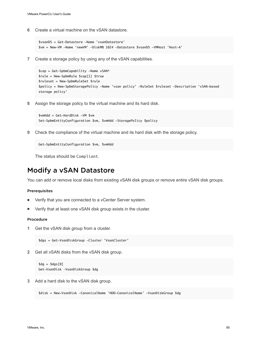<span id="page-84-0"></span>**6** Create a virtual machine on the vSAN datastore.

```
$vsanDS = Get-Datastore -Name 'vsanDatastore'
$vm = New-VM -Name 'newVM' -DiskMB 1024 -Datastore $vsanDS -VMHost 'Host-A'
```
**7** Create a storage policy by using any of the vSAN capabilities.

```
$cap = Get-SpbmCapability -Name vSAN*
$rule = New-SpbmRule $cap[1] $true
$ruleset = New-SpbmRuleSet $rule
$policy = New-SpbmStoragePolicy -Name 'vsan policy' -RuleSet $ruleset -Description 'vSAN-based 
storage policy'
```
**8** Assign the storage policy to the virtual machine and its hard disk.

```
$vmHdd = Get-HardDisk -VM $vm
Set-SpbmEntityConfiguration $vm, $vmHdd -StoragePolicy $policy
```
**9** Check the compliance of the virtual machine and its hard disk with the storage policy.

```
Get-SpbmEntityConfiguration $vm, $vmHdd
```
The status should be Compliant.

# Modify a vSAN Datastore

You can add or remove local disks from existing vSAN disk groups or remove entire vSAN disk groups.

#### Prerequisites

- **Nome Serify that you are connected to a vCenter Server system.**
- Verify that at least one vSAN disk group exists in the cluster.

### Procedure

**1** Get the vSAN disk group from a cluster.

```
$dgs = Get-VsanDiskGroup -Cluster 'VsanCluster'
```
**2** Get all vSAN disks from the vSAN disk group.

```
\text{Gdg} = \text{Gdg}[0]Get-VsanDisk –VsanDiskGroup $dg
```
**3** Add a hard disk to the vSAN disk group.

```
$disk = New-VsanDisk -CanonicalName 'HDD-CanonicalName' -VsanDiskGroup $dg
```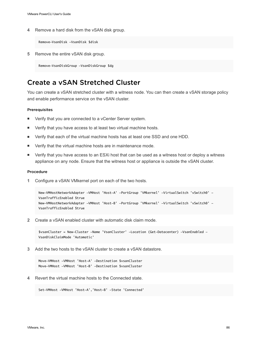<span id="page-85-0"></span>**4** Remove a hard disk from the vSAN disk group.

Remove-VsanDisk -VsanDisk \$disk

**5** Remove the entire vSAN disk group.

Remove-VsanDiskGroup -VsanDiskGroup \$dg

# Create a vSAN Stretched Cluster

You can create a vSAN stretched cluster with a witness node. You can then create a vSAN storage policy and enable performance service on the vSAN cluster.

#### Prerequisites

- **Nome Serify that you are connected to a vCenter Server system.**
- Verify that you have access to at least two virtual machine hosts.
- <sup>n</sup> Verify that each of the virtual machine hosts has at least one SSD and one HDD.
- Verify that the virtual machine hosts are in maintenance mode.
- Verify that you have access to an ESXi host that can be used as a witness host or deploy a witness appliance on any node. Ensure that the witness host or appliance is outside the vSAN cluster.

#### Procedure

**1** Configure a vSAN VMkernel port on each of the two hosts.

```
New-VMHostNetworkAdapter -VMHost 'Host-A' -PortGroup 'VMkernel' -VirtualSwitch 'vSwitch0' -
VsanTrafficEnabled $true
New-VMHostNetworkAdapter -VMHost 'Host-B' -PortGroup 'VMkernel' -VirtualSwitch 'vSwitch0' -
VsanTrafficEnabled $true
```
**2** Create a vSAN enabled cluster with automatic disk claim mode.

\$vsanCluster = New-Cluster -Name 'VsanCluster' -Location (Get-Datacenter) -VsanEnabled - VsanDiskClaimMode 'Automatic'

**3** Add the two hosts to the vSAN cluster to create a vSAN datastore.

Move-VMHost -VMHost 'Host-A' -Destination \$vsanCluster Move-VMHost -VMHost 'Host-B' -Destination \$vsanCluster

**4** Revert the virtual machine hosts to the Connected state.

```
Set-VMHost -VMHost 'Host-A','Host-B' -State 'Connected'
```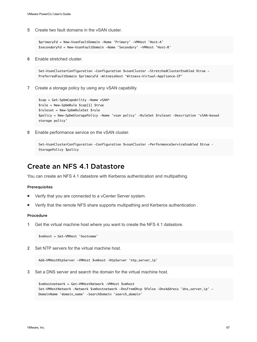<span id="page-86-0"></span>**5** Create two fault domains in the vSAN cluster.

```
$primaryFd = New-VsanFaultDomain -Name 'Primary' -VMHost 'Host-A'
$secondaryFd = New-VsanFaultDomain -Name 'Secondary' -VMHost 'Host-B'
```
**6** Enable stretched cluster.

Set-VsanClusterConfiguration -Configuration \$vsanCluster -StretchedClusterEnabled \$true - PreferredFaultDomain \$primaryFd -WitnessHost 'Witness-Virtual-Appliance-IP'

**7** Create a storage policy by using any vSAN capability.

```
$cap = Get-SpbmCapability -Name vSAN*
$rule = New-SpbmRule $cap[1] $true
$ruleset = New-SpbmRuleSet $rule
$policy = New-SpbmStoragePolicy -Name 'vsan policy' -RuleSet $ruleset -Description 'vSAN-based 
storage policy'
```
**8** Enable performance service on the vSAN cluster.

```
Set-VsanClusterConfiguration -Configuration $vsanCluster -PerformanceServiceEnabled $true –
StoragePolicy $policy
```
## Create an NFS 4.1 Datastore

You can create an NFS 4.1 datastore with Kerberos authentication and multipathing.

#### Prerequisites

- Verify that you are connected to a vCenter Server system.
- Verify that the remote NFS share supports multipathing and Kerberos authentication.

### Procedure

**1** Get the virtual machine host where you want to create the NFS 4.1 datastore.

\$vmhost = Get-VMHost 'hostname'

**2** Set NTP servers for the virtual machine host.

Add-VMHostNtpServer -VMHost \$vmhost -NtpServer 'ntp\_server\_ip'

**3** Set a DNS server and search the domain for the virtual machine host.

```
$vmhostnetwork = Get-VMHostNetwork -VMHost $vmhost
Set-VMHostNetwork -Network $vmhostnetwork -DnsFromDhcp $false -DnsAddress 'dns_server_ip' -
DomainName 'domain_name' -SearchDomain 'search_domain'
```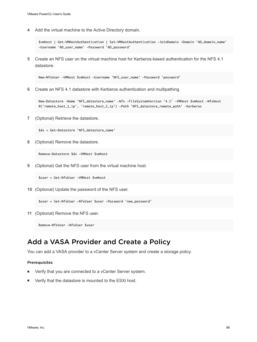<span id="page-87-0"></span>**4** Add the virtual machine to the Active Directory domain.

\$vmhost | Get-VMHostAuthentication | Set-VMHostAuthentication -JoinDomain -Domain 'AD\_domain\_name' -Username 'AD\_user\_name' -Password 'AD\_password'

**5** Create an NFS user on the virtual machine host for Kerberos-based authentication for the NFS 4.1 datastore.

New-NfsUser -VMHost \$vmhost -Username 'NFS\_user\_name' -Password 'password'

**6** Create an NFS 4.1 datastore with Kerberos authentication and multipathing.

New-Datastore -Name 'NFS\_datastore\_name' -Nfs -FileSystemVersion '4.1' -VMHost \$vmhost -NfsHost @('remote\_host\_1\_ip', 'remote\_host\_2\_ip') -Path 'NFS\_datastore\_remote\_path' –Kerberos

**7** (Optional) Retrieve the datastore.

\$ds = Get-Datastore 'NFS\_datastore\_name'

**8** (Optional) Remove the datastore.

Remove-Datastore \$ds -VMHost \$vmhost

**9** (Optional) Get the NFS user from the virtual machine host.

\$user = Get-NfsUser -VMHost \$vmhost

**10** (Optional) Update the password of the NFS user.

\$user = Set-NfsUser -NfsUser \$user -Password 'new\_password'

**11** (Optional) Remove the NFS user.

Remove-NfsUser -NfsUser \$user

# Add a VASA Provider and Create a Policy

You can add a VASA provider to a vCenter Server system and create a storage policy.

#### Prerequisites

- Verify that you are connected to a vCenter Server system.
- Verify that the datastore is mounted to the ESXi host.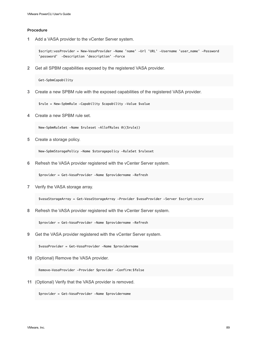**1** Add a VASA provider to the vCenter Server system.

\$script:vasProvider = New-VasaProvider -Name 'name' -Url 'URL' -Username 'user\_name' -Password 'password' -Description 'description' -Force

**2** Get all SPBM capabilities exposed by the registered VASA provider.

Get-SpbmCapability

**3** Create a new SPBM rule with the exposed capabilities of the registered VASA provider.

\$rule = New-SpbmRule -Capability \$capability -Value \$value

**4** Create a new SPBM rule set.

New-SpbmRuleSet -Name \$ruleset -AllofRules @((\$rule))

**5** Create a storage policy.

New-SpbmStoragePolicy -Name \$storagepolicy -RuleSet \$ruleset

**6** Refresh the VASA provider registered with the vCenter Server system.

\$provider = Get-VasaProvider -Name \$providername -Refresh

**7** Verify the VASA storage array.

\$vasaStorageArray = Get-VasaStorageArray -Provider \$vasaProvider -Server \$script:vcsrv

**8** Refresh the VASA provider registered with the vCenter Server system.

\$provider = Get-VasaProvider -Name \$providername -Refresh

**9** Get the VASA provider registered with the vCenter Server system.

\$vasaProvider = Get-VasaProvider -Name \$providername

**10** (Optional) Remove the VASA provider.

Remove-VasaProvider -Provider \$provider -Confirm:\$false

**11** (Optional) Verify that the VASA provider is removed.

\$provider = Get-VasaProvider -Name \$providername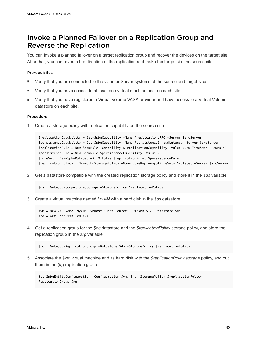# <span id="page-89-0"></span>Invoke a Planned Failover on a Replication Group and Reverse the Replication

You can invoke a planned failover on a target replication group and recover the devices on the target site. After that, you can reverse the direction of the replication and make the target site the source site.

### **Prerequisites**

- Verify that you are connected to the vCenter Server systems of the source and target sites.
- Verify that you have access to at least one virtual machine host on each site.
- Verify that you have registered a Virtual Volume VASA provider and have access to a Virtual Volume datastore on each site.

### Procedure

**1** Create a storage policy with replication capability on the source site.

```
$replicationCapability = Get-SpbmCapability -Name *replication.RPO -Server $srcServer
$persistenceCapability = Get-SpbmCapability -Name *persistence1-readLatency -Server $srcServer
$replicationRule = New-SpbmRule -Capability $ replicationCapability -Value (New-TimeSpan -Hours 4)
$persistenceRule = New-SpbmRule $persistenceCapability -Value 25
$ruleSet = New-SpbmRuleSet -AllOfRules $replicationRule, $persistenceRule
$replicationPolicy = New-SpbmStoragePolicy -Name cokeRep -AnyOfRuleSets $ruleSet -Server $srcServer
```
**2** Get a datastore compatible with the created replication storage policy and store it in the *\$ds* variable.

\$ds = Get-SpbmCompatibleStorage -StoragePolicy \$replicationPolicy

**3** Create a virtual machine named *MyVM* with a hard disk in the *\$ds* datastore.

```
$vm = New-VM -Name 'MyVM' -VMHost 'Host-Source' -DiskMB 512 -Datastore $ds
$hd = Get-HardDisk -VM $vm
```
**4** Get a replication group for the *\$ds* datastore and the *\$replicationPolicy* storage policy, and store the replication group in the *\$rg* variable.

\$rg = Get-SpbmReplicationGroup –Datastore \$ds –StoragePolicy \$replicationPolicy

**5** Associate the *\$vm* virtual machine and its hard disk with the *\$replicationPolicy* storage policy, and put them in the *\$rg* replication group.

```
Set-SpbmEntityConfiguration -Configuration $vm, $hd -StoragePolicy $replicationPolicy -
ReplicationGroup $rg
```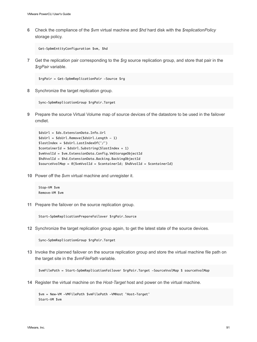**6** Check the compliance of the *\$vm* virtual machine and *\$hd* hard disk with the *\$replicationPolicy* storage policy.

```
Get-SpbmEntityConfiguration $vm, $hd
```
**7** Get the replication pair corresponding to the *\$rg* source replication group, and store that pair in the *\$rgPair* variable.

```
$rgPair = Get-SpbmReplicationPair -Source $rg
```
**8** Synchronize the target replication group.

```
Sync-SpbmReplicationGroup $rgPair.Target
```
**9** Prepare the source Virtual Volume map of source devices of the datastore to be used in the failover cmdlet.

```
$dsUrl = $ds.ExtensionData.Info.Url
$dsUrl = $dsUrl.Remove($dsUrl.Length - 1)
$lastIndex = $dsUrl.LastIndexOf('/')
$containerId = $dsUrl.Substring($lastIndex + 1)
$vmVvolId = $vm.ExtensionData.Config.VmStorageObjectId
$hdVvolId = $hd.ExtensionData.Backing.BackingObjectId
$sourceVvolMap = @{$vmVvolId = $containerId; $hdVvolId = $containerId}
```
**10** Power off the *\$vm* virtual machine and unregister it.

```
Stop-VM $vm
Remove-VM $vm
```
**11** Prepare the failover on the source replication group.

```
Start-SpbmReplicationPrepareFailover $rgPair.Source
```
**12** Synchronize the target replication group again, to get the latest state of the source devices.

```
Sync-SpbmReplicationGroup $rgPair.Target
```
**13** Invoke the planned failover on the source replication group and store the virtual machine file path on the target site in the *\$vmFilePath* variable.

```
$vmFilePath = Start-SpbmReplicationFailover $rgPair.Target -SourceVvolMap $ sourceVvolMap
```
**14** Register the virtual machine on the *Host-Target* host and power on the virtual machine.

```
$vm = New-VM -VMFilePath $vmFilePath -VMHost 'Host-Target'
Start-VM $vm
```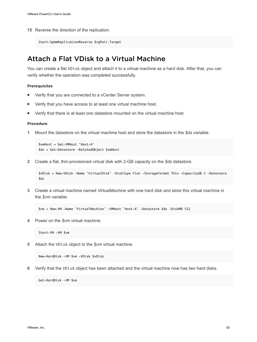<span id="page-91-0"></span>**15** Reverse the direction of the replication.

```
Start-SpbmReplicationReverse $rgPair.Target
```
# Attach a Flat VDisk to a Virtual Machine

You can create a flat VDisk object and attach it to a virtual machine as a hard disk. After that, you can verify whether the operation was completed successfully.

### Prerequisites

- Verify that you are connected to a vCenter Server system.
- Verify that you have access to at least one virtual machine host.
- **Number 1** Verify that there is at least one datastore mounted on the virtual machine host.

### Procedure

**1** Mount the datastore on the virtual machine host and store the datastore in the *\$ds* variable.

```
$vmHost = Get-VMHost 'Host-A'
$ds = Get-Datastore -RelatedObject $vmHost
```
**2** Create a flat, thin-provisioned virtual disk with 2-GB capacity on the *\$ds* datastore.

```
$vDisk = New-VDisk -Name 'VirtualDisk' -DiskType Flat -StorageFormat Thin -CapacityGB 2 -Datastore 
$ds
```
**3** Create a virtual machine named *VirtualMachine* with one hard disk and store this virtual machine in the *\$vm* variable.

```
$vm = New-VM -Name 'VirtualMachine' -VMHost 'Host-A' -Datastore $ds -DiskMB 512
```
**4** Power on the *\$vm* virtual machine.

Start-VM -VM \$vm

**5** Attach the VDisk object to the *\$vm* virtual machine.

New-HardDisk -VM \$vm -VDisk \$vDisk

**6** Verify that the VDisk object has been attached and the virtual machine now has two hard disks.

Get-HardDisk -VM \$vm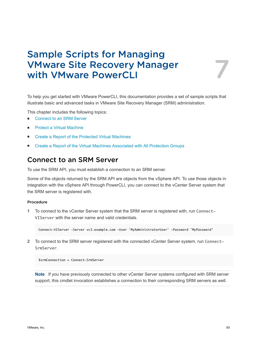# Sample Scripts for Managing VMware Site Recovery Manager with VMware PowerCLI 7

To help you get started with VMware PowerCLI, this documentation provides a set of sample scripts that illustrate basic and advanced tasks in VMware Site Recovery Manager (SRM) administration.

This chapter includes the following topics:

- **Connect to an SRM Server**
- **[Protect a Virtual Machine](#page-93-0)**
- **[Create a Report of the Protected Virtual Machines](#page-93-0)**
- <sup>n</sup> [Create a Report of the Virtual Machines Associated with All Protection Groups](#page-94-0)

## Connect to an SRM Server

To use the SRM API, you must establish a connection to an SRM server.

Some of the objects returned by the SRM API are objects from the vSphere API. To use those objects in integration with the vSphere API through PowerCLI, you can connect to the vCenter Server system that the SRM server is registered with.

### Procedure

**1** To connect to the vCenter Server system that the SRM server is registered with, run Connect-VIServer with the server name and valid credentials.

Connect-VIServer -Server vc3.example.com -User 'MyAdministratorUser' -Password 'MyPassword'

**2** To connect to the SRM server registered with the connected vCenter Server system, run Connect-SrmServer.

\$srmConnection = Connect-SrmServer

**Note** If you have previously connected to other vCenter Server systems configured with SRM server support, this cmdlet invocation establishes a connection to their corresponding SRM servers as well.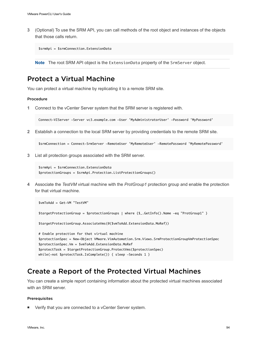<span id="page-93-0"></span>**3** (Optional) To use the SRM API, you can call methods of the root object and instances of the objects that those calls return.

```
$srmApi = $srmConnection.ExtensionData
```
**Note** The root SRM API object is the ExtensionData property of the SrmServer object.

# Protect a Virtual Machine

You can protect a virtual machine by replicating it to a remote SRM site.

### Procedure

**1** Connect to the vCenter Server system that the SRM server is registered with.

Connect-VIServer -Server vc3.example.com -User 'MyAdministratorUser' -Password 'MyPassword'

**2** Establish a connection to the local SRM server by providing credentials to the remote SRM site.

\$srmConnection = Connect-SrmServer -RemoteUser 'MyRemoteUser' -RemotePassword 'MyRemotePassword'

**3** List all protection groups associated with the SRM server.

```
$srmApi = $srmConnection.ExtensionData
$protectionGroups = $srmApi.Protection.ListProtectionGroups()
```
**4** Associate the *TestVM* virtual machine with the *ProtGroup1* protection group and enable the protection for that virtual machine.

```
$vmToAdd = Get-VM "TestVM"
$targetProtectionGroup = $protectionGroups | where {$_.GetInfo().Name -eq "ProtGroup1" }
$targetProtectionGroup.AssociateVms(@($vmToAdd.ExtensionData.MoRef))
# Enable protection for that virtual machine
$protectionSpec = New-Object VMware.VimAutomation.Srm.Views.SrmProtectionGroupVmProtectionSpec
$protectionSpec.Vm = $vmToAdd.ExtensionData.MoRef
$protectTask = $targetProtectionGroup.ProtectVms($protectionSpec)
while(-not $protectTask.IsComplete()) {        sleep -Seconds 1        }
```
# Create a Report of the Protected Virtual Machines

You can create a simple report containing information about the protected virtual machines associated with an SRM server.

### Prerequisites

■ Verify that you are connected to a vCenter Server system.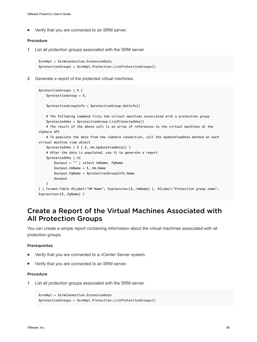<span id="page-94-0"></span>■ Verify that you are connected to an SRM server.

### Procedure

**1** List all protection groups associated with the SRM server.

```
$srmApi = $srmConnection.ExtensionData
$protectionGroups = $srmApi.Protection.ListProtectionGroups()
```
**2** Generate a report of the protected virtual machines.

```
$protectionGroups | % {
    $protectionGroup = $ $protectionGroupInfo = $protectionGroup.GetInfo()
     # The following command lists the virtual machines associated with a protection group
     $protectedVms = $protectionGroup.ListProtectedVms()
     # The result of the above call is an array of references to the virtual machines at the 
vSphere API
     # To populate the data from the vSphere connection, call the UpdateViewData method on each 
virtual machine view object
     $protectedVms | % { $_.Vm.UpdateViewData() }
     # After the data is populated, use it to generate a report
     $protectedVms | %{
         $output = "" | select VmName, PgName
         $output.VmName = $_.Vm.Name
         $output.PgName = $protectionGroupInfo.Name
         $output
     }
} | Format-Table @{Label="VM Name"; Expression={$_.VmName} }, @{Label="Protection group name"; 
Expression={$_.PgName} }
```
# Create a Report of the Virtual Machines Associated with All Protection Groups

You can create a simple report containing information about the virtual machines associated with all protection groups.

### Prerequisites

- Verify that you are connected to a vCenter Server system.
- Verify that you are connected to an SRM server.

### Procedure

**1** List all protection groups associated with the SRM server.

```
$srmApi = $srmConnection.ExtensionData
$protectionGroups = $srmApi.Protection.ListProtectionGroups()
```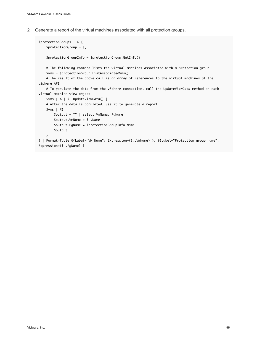**2** Generate a report of the virtual machines associated with all protection groups.

```
$protectionGroups | % {
     $protectionGroup = $_
     $protectionGroupInfo = $protectionGroup.GetInfo()
     # The following command lists the virtual machines associated with a protection group
     $vms = $protectionGroup.ListAssociatedVms()
     # The result of the above call is an array of references to the virtual machines at the 
vSphere API
     # To populate the data from the vSphere connection, call the UpdateViewData method on each 
virtual machine view object
     $vms | % { $_.UpdateViewData() }
     # After the data is populated, use it to generate a report
     $vms | %{
         $output = "" | select VmName, PgName
         $output.VmName = $_.Name
         $output.PgName = $protectionGroupInfo.Name
         $output
     }
} | Format-Table @{Label="VM Name"; Expression={$_.VmName} }, @{Label="Protection group name"; 
Expression={$_.PgName} }
```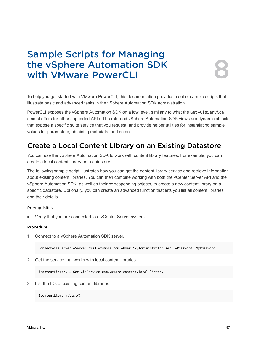# Sample Scripts for Managing the vSphere Automation SDK<br>with VMware PowerCLI

To help you get started with VMware PowerCLI, this documentation provides a set of sample scripts that illustrate basic and advanced tasks in the vSphere Automation SDK administration.

PowerCLI exposes the vSphere Automation SDK on a low level, similarly to what the Get-CisService cmdlet offers for other supported APIs. The returned vSphere Automation SDK views are dynamic objects that expose a specific suite service that you request, and provide helper utilities for instantiating sample values for parameters, obtaining metadata, and so on.

# Create a Local Content Library on an Existing Datastore

You can use the vSphere Automation SDK to work with content library features. For example, you can create a local content library on a datastore.

The following sample script illustrates how you can get the content library service and retrieve information about existing content libraries. You can then combine working with both the vCenter Server API and the vSphere Automation SDK, as well as their corresponding objects, to create a new content library on a specific datastore. Optionally, you can create an advanced function that lets you list all content libraries and their details.

### **Prerequisites**

Verify that you are connected to a vCenter Server system.

### Procedure

**1** Connect to a vSphere Automation SDK server.

Connect-CisServer -Server cis3.example.com -User 'MyAdministratorUser' -Password 'MyPassword'

**2** Get the service that works with local content libraries.

\$contentLibrary = Get-CisService com.vmware.content.local\_library

**3** List the IDs of existing content libraries.

\$contentLibrary.list()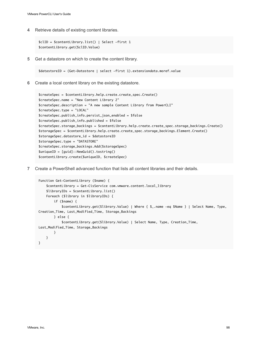**4** Retrieve details of existing content libraries.

```
$clID = $contentLibrary.list() | Select -first 1
$contentLibrary.get($clID.Value)
```
**5** Get a datastore on which to create the content library.

\$datastoreID = (Get-Datastore | select -first 1).extensiondata.moref.value

**6** Create a local content library on the existing datastore.

```
$createSpec = $contentLibrary.help.create.create_spec.Create() 
$createSpec.name = "New Content Library 2" 
$createSpec.description = "A new sample Content Library from PowerCLI"
$createSpec.type = "LOCAL"
$createSpec.publish_info.persist_json_enabled = $false
$createSpec.publish_info.published = $false
$createSpec.storage_backings = $contentLibrary.help.create.create_spec.storage_backings.Create() 
$storageSpec = $contentLibrary.help.create.create_spec.storage_backings.Element.Create()
$storageSpec.datastore_id = $datastoreID
$storageSpec.type = "DATASTORE"
$createSpec.storage_backings.Add($storageSpec) 
$uniqueID = [guid]::NewGuid().tostring()
$contentLibrary.create($uniqueID, $createSpec)
```
**7** Create a PowerShell advanced function that lists all content libraries and their details.

```
Function Get-ContentLibrary ($name) {
     $contentLibrary = Get-CisService com.vmware.content.local_library
     $libraryIDs = $contentLibrary.list()
     Foreach ($library in $libraryIDs) {
         if ($name) {
             $contentLibrary.get($library.Value) | Where { $_.name -eq $Name } | Select Name, Type, 
Creation_Time, Last_Modified_Time, Storage_Backings
         } else {
             $contentLibrary.get($library.Value) | Select Name, Type, Creation_Time, 
Last_Modified_Time, Storage_Backings
         }
     }
}
```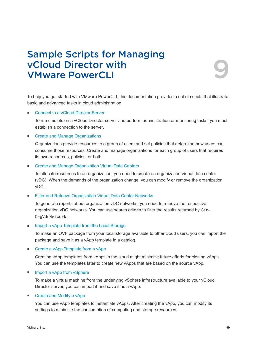# Sample Scripts for Managing vCloud Director with VMware PowerCLI 9

To help you get started with VMware PowerCLI, this documentation provides a set of scripts that illustrate basic and advanced tasks in cloud administration.

### ■ [Connect to a vCloud Director Server](#page-99-0)

To run cmdlets on a vCloud Director server and perform administration or monitoring tasks, you must establish a connection to the server.

### **n** [Create and Manage Organizations](#page-100-0)

Organizations provide resources to a group of users and set policies that determine how users can consume those resources. Create and manage organizations for each group of users that requires its own resources, policies, or both.

### ■ [Create and Manage Organization Virtual Data Centers](#page-100-0)

To allocate resources to an organization, you need to create an organization virtual data center (vDC). When the demands of the organization change, you can modify or remove the organization vDC.

### ■ [Filter and Retrieve Organization Virtual Data Center Networks](#page-101-0)

To generate reports about organization vDC networks, you need to retrieve the respective organization vDC networks. You can use search criteria to filter the results returned by Get-OrgVdcNetwork.

### **n** [Import a vApp Template from the Local Storage](#page-102-0)

To make an OVF package from your local storage available to other cloud users, you can import the package and save it as a vApp template in a catalog.

### ■ [Create a vApp Template from a vApp](#page-102-0)

Creating vApp templates from vApps in the cloud might minimize future efforts for cloning vApps. You can use the templates later to create new vApps that are based on the source vApp.

**n** [Import a vApp from vSphere](#page-103-0)

To make a virtual machine from the underlying vSphere infrastructure available to your vCloud Director server, you can import it and save it as a vApp.

### ■ [Create and Modify a vApp](#page-104-0)

You can use vApp templates to instantiate vApps. After creating the vApp, you can modify its settings to minimize the consumption of computing and storage resources.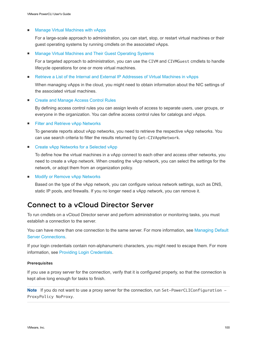### <span id="page-99-0"></span>**n** [Manage Virtual Machines with vApps](#page-104-0)

For a large-scale approach to administration, you can start, stop, or restart virtual machines or their guest operating systems by running cmdlets on the associated vApps.

### <sup>n</sup> [Manage Virtual Machines and Their Guest Operating Systems](#page-105-0)

For a targeted approach to administration, you can use the CIVM and CIVMGuest cmdlets to handle lifecycle operations for one or more virtual machines.

n [Retrieve a List of the Internal and External IP Addresses of Virtual Machines in vApps](#page-106-0)

When managing vApps in the cloud, you might need to obtain information about the NIC settings of the associated virtual machines.

### ■ [Create and Manage Access Control Rules](#page-107-0)

By defining access control rules you can assign levels of access to separate users, user groups, or everyone in the organization. You can define access control rules for catalogs and vApps.

■ [Filter and Retrieve vApp Networks](#page-107-0)

To generate reports about vApp networks, you need to retrieve the respective vApp networks. You can use search criteria to filter the results returned by Get-CIVAppNetwork.

■ [Create vApp Networks for a Selected vApp](#page-108-0)

To define how the virtual machines in a vApp connect to each other and access other networks, you need to create a vApp network. When creating the vApp network, you can select the settings for the network, or adopt them from an organization policy.

**[Modify or Remove vApp Networks](#page-110-0)** 

Based on the type of the vApp network, you can configure various network settings, such as DNS, static IP pools, and firewalls. If you no longer need a vApp network, you can remove it.

# Connect to a vCloud Director Server

To run cmdlets on a vCloud Director server and perform administration or monitoring tasks, you must establish a connection to the server.

You can have more than one connection to the same server. For more information, see [Managing Default](#page-15-0) [Server Connections.](#page-15-0)

If your login credentials contain non-alphanumeric characters, you might need to escape them. For more information, see [Providing Login Credentials](#page-14-0).

### **Prerequisites**

If you use a proxy server for the connection, verify that it is configured properly, so that the connection is kept alive long enough for tasks to finish.

Note If you do not want to use a proxy server for the connection, run Set-PowerCLIConfiguration -ProxyPolicy NoProxy.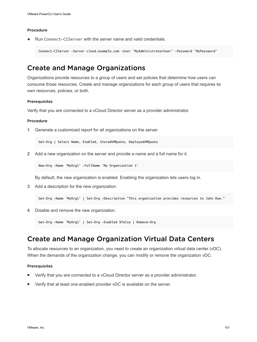<span id="page-100-0"></span>Run Connect-CIServer with the server name and valid credentials.

Connect-CIServer -Server cloud.example.com -User 'MyAdministratorUser' -Password 'MyPassword'

# Create and Manage Organizations

Organizations provide resources to a group of users and set policies that determine how users can consume those resources. Create and manage organizations for each group of users that requires its own resources, policies, or both.

#### Prerequisites

Verify that you are connected to a vCloud Director server as a provider administrator.

### Procedure

**1** Generate a customized report for all organizations on the server.

Get-Org | Select Name, Enabled, StoredVMQuota, DeployedVMQuota

**2** Add a new organization on the server and provide a name and a full name for it.

New-Org -Name 'MyOrg1' -FullName 'My Organization 1'

By default, the new organization is enabled. Enabling the organization lets users log in.

**3** Add a description for the new organization.

Get-Org -Name 'MyOrg1' | Set-Org -Description "This organization provides resources to John Doe."

**4** Disable and remove the new organization.

Get-Org -Name 'MyOrg1' | Set-Org -Enabled \$false | Remove-Org

# Create and Manage Organization Virtual Data Centers

To allocate resources to an organization, you need to create an organization virtual data center (vDC). When the demands of the organization change, you can modify or remove the organization vDC.

### Prerequisites

- Verify that you are connected to a vCloud Director server as a provider administrator.
- Verify that at least one enabled provider vDC is available on the server.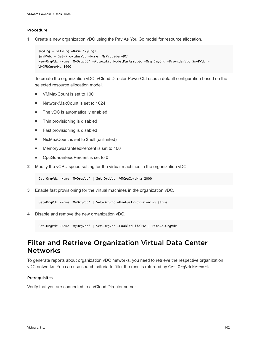<span id="page-101-0"></span>**1** Create a new organization vDC using the Pay As You Go model for resource allocation.

```
$myOrg = Get-Org -Name 'MyOrg1'
$myPVdc = Get-ProviderVdc -Name 'MyProvidervDC'
New-OrgVdc -Name 'MyOrgvDC' -AllocationModelPayAsYouGo -Org $myOrg -ProviderVdc $myPVdc -
VMCPUCoreMHz 1000
```
To create the organization vDC, vCloud Director PowerCLI uses a default configuration based on the selected resource allocation model.

- VMMaxCount is set to 100
- NetworkMaxCount is set to 1024
- $\blacksquare$  The vDC is automatically enabled
- Thin provisioning is disabled
- Fast provisioning is disabled
- NicMaxCount is set to \$null (unlimited)
- MemoryGuaranteedPercent is set to 100
- CpuGuaranteedPercent is set to 0
- **2** Modify the vCPU speed setting for the virtual machines in the organization vDC.

Get-OrgVdc -Name 'MyOrgVdc' | Set-OrgVdc -VMCpuCoreMhz 2000

**3** Enable fast provisioning for the virtual machines in the organization vDC.

Get-OrgVdc -Name 'MyOrgVdc' | Set-OrgVdc -UseFastProvisioning \$true

**4** Disable and remove the new organization vDC.

Get-OrgVdc -Name 'MyOrgVdc' | Set-OrgVdc -Enabled \$false | Remove-OrgVdc

# Filter and Retrieve Organization Virtual Data Center **Networks**

To generate reports about organization vDC networks, you need to retrieve the respective organization vDC networks. You can use search criteria to filter the results returned by Get-OrgVdcNetwork.

### Prerequisites

Verify that you are connected to a vCloud Director server.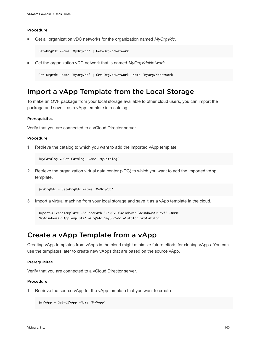<span id="page-102-0"></span>■ Get all organization vDC networks for the organization named *MyOrgVdc*.

Get-OrgVdc -Name 'MyOrgVdc' | Get-OrgVdcNetwork

<sup>n</sup> Get the organization vDC network that is named *MyOrgVdcNetwork*.

Get-OrgVdc -Name 'MyOrgVdc' | Get-OrgVdcNetwork -Name 'MyOrgVdcNetwork'

# Import a vApp Template from the Local Storage

To make an OVF package from your local storage available to other cloud users, you can import the package and save it as a vApp template in a catalog.

### **Prerequisites**

Verify that you are connected to a vCloud Director server.

### Procedure

**1** Retrieve the catalog to which you want to add the imported vApp template.

\$myCatalog = Get-Catalog -Name 'MyCatalog'

**2** Retrieve the organization virtual data center (vDC) to which you want to add the imported vApp template.

\$myOrgVdc = Get-OrgVdc -Name 'MyOrgVdc'

**3** Import a virtual machine from your local storage and save it as a vApp template in the cloud.

Import-CIVAppTemplate -SourcePath 'C:\OVFs\WindowsXP\WindowsXP.ovf' -Name 'MyWindowsXPVAppTemplate' -OrgVdc \$myOrgVdc -Catalog \$myCatalog

# Create a vApp Template from a vApp

Creating vApp templates from vApps in the cloud might minimize future efforts for cloning vApps. You can use the templates later to create new vApps that are based on the source vApp.

#### **Prerequisites**

Verify that you are connected to a vCloud Director server.

#### Procedure

**1** Retrieve the source vApp for the vApp template that you want to create.

```
$myVApp = Get-CIVApp -Name 'MyVApp'
```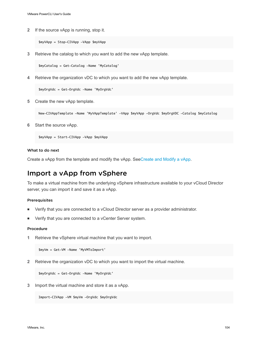<span id="page-103-0"></span>**2** If the source vApp is running, stop it.

\$myVApp = Stop-CIVApp -VApp \$myVApp

**3** Retrieve the catalog to which you want to add the new vApp template.

\$myCatalog = Get-Catalog -Name 'MyCatalog'

**4** Retrieve the organization vDC to which you want to add the new vApp template.

\$myOrgVdc = Get-OrgVdc -Name 'MyOrgVdc'

**5** Create the new vApp template.

New-CIVAppTemplate -Name 'MyVAppTemplate' -VApp \$myVApp -OrgVdc \$myOrgVDC -Catalog \$myCatalog

**6** Start the source vApp.

\$myVApp = Start-CIVApp -VApp \$myVApp

### What to do next

Create a vApp from the template and modify the vApp. See[Create and Modify a vApp](#page-104-0).

# Import a vApp from vSphere

To make a virtual machine from the underlying vSphere infrastructure available to your vCloud Director server, you can import it and save it as a vApp.

#### Prerequisites

- <sup>n</sup> Verify that you are connected to a vCloud Director server as a provider administrator.
- Verify that you are connected to a vCenter Server system.

#### Procedure

**1** Retrieve the vSphere virtual machine that you want to import.

\$myVm = Get-VM -Name 'MyVMToImport'

**2** Retrieve the organization vDC to which you want to import the virtual machine.

\$myOrgVdc = Get-OrgVdc -Name 'MyOrgVdc'

**3** Import the virtual machine and store it as a vApp.

Import-CIVApp -VM \$myVm -OrgVdc \$myOrgVdc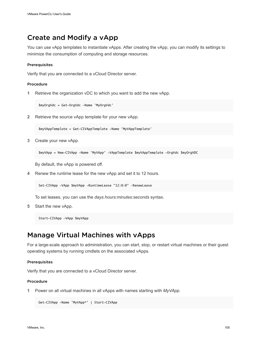# <span id="page-104-0"></span>Create and Modify a vApp

You can use vApp templates to instantiate vApps. After creating the vApp, you can modify its settings to minimize the consumption of computing and storage resources.

### **Prerequisites**

Verify that you are connected to a vCloud Director server.

### Procedure

**1** Retrieve the organization vDC to which you want to add the new vApp.

\$myOrgVdc = Get-OrgVdc -Name 'MyOrgVdc'

**2** Retrieve the source vApp template for your new vApp.

\$myVAppTemplate = Get-CIVAppTemplate -Name 'MyVAppTemplate'

**3** Create your new vApp.

```
$myVApp = New-CIVApp -Name 'MyVApp' -VAppTemplate $myVAppTemplate -OrgVdc $myOrgVDC
```
By default, the vApp is powered off.

**4** Renew the runtime lease for the new vApp and set it to 12 hours.

Set-CIVApp -VApp \$myVApp -RuntimeLease "12:0:0" –RenewLease

To set leases, you can use the *days.hours:minutes:seconds* syntax.

**5** Start the new vApp.

Start-CIVApp -VApp \$myVApp

# Manage Virtual Machines with vApps

For a large-scale approach to administration, you can start, stop, or restart virtual machines or their guest operating systems by running cmdlets on the associated vApps.

### **Prerequisites**

Verify that you are connected to a vCloud Director server.

### Procedure

**1** Power on all virtual machines in all vApps with names starting with *MyVApp*.

```
Get-CIVApp -Name 'MyVApp*' | Start-CIVApp
```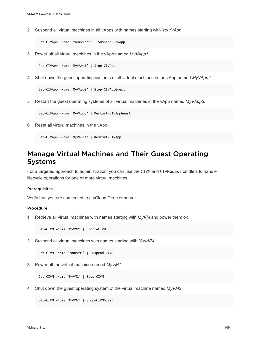<span id="page-105-0"></span>**2** Suspend all virtual machines in all vApps with names starting with *YourVApp*.

Get-CIVApp -Name 'YourVApp\*' | Suspend-CIVApp

**3** Power off all virtual machines in the vApp named *MyVApp1*.

Get-CIVApp -Name 'MyVApp1' | Stop-CIVApp

**4** Shut down the guest operating systems of all virtual machines in the vApp named *MyVApp2*.

Get-CIVApp -Name 'MyVApp2' | Stop-CIVAppGuest

**5** Restart the guest operating systems of all virtual machines in the vApp named *MyVApp3*.

Get-CIVApp -Name 'MyVApp3' | Restart-CIVAppGuest

**6** Reset all virtual machines in the vApp.

Get-CIVApp -Name 'MyVApp4' | Restart-CIVApp

# Manage Virtual Machines and Their Guest Operating Systems

For a targeted approach to administration, you can use the CIVM and CIVMGuest cmdlets to handle lifecycle operations for one or more virtual machines.

### Prerequisites

Verify that you are connected to a vCloud Director server.

#### Procedure

**1** Retrieve all virtual machines with names starting with *MyVM* and power them on.

Get-CIVM -Name 'MyVM\*' | Start-CIVM

**2** Suspend all virtual machines with names starting with *YourVM*.

Get-CIVM -Name 'YourVM\*' | Suspend-CIVM

**3** Power off the virtual machine named *MyVM1*.

Get-CIVM -Name 'MyVM1' | Stop-CIVM

**4** Shut down the guest operating system of the virtual machine named *MyVM2*.

Get-CIVM -Name 'MyVM2' | Stop-CIVMGuest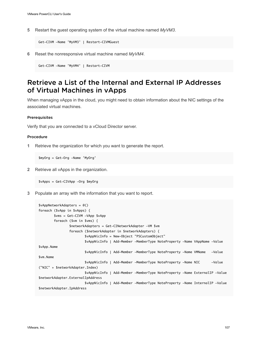<span id="page-106-0"></span>**5** Restart the guest operating system of the virtual machine named *MyVM3*.

Get-CIVM -Name 'MyVM3' | Restart-CIVMGuest

**6** Reset the nonresponsive virtual machine named *MyVM4*.

Get-CIVM -Name 'MyVM4' | Restart-CIVM

# Retrieve a List of the Internal and External IP Addresses of Virtual Machines in vApps

When managing vApps in the cloud, you might need to obtain information about the NIC settings of the associated virtual machines.

#### **Prerequisites**

Verify that you are connected to a vCloud Director server.

#### Procedure

**1** Retrieve the organization for which you want to generate the report.

\$myOrg = Get-Org -Name 'MyOrg'

**2** Retrieve all vApps in the organization.

\$vApps = Get-CIVApp -Org \$myOrg

**3** Populate an array with the information that you want to report.

```
$vAppNetworkAdapters = @()
foreach ($vApp in $vApps) {
        $vms = Get-CIVM -VApp $vApp
         foreach ($vm in $vms) {
                 $networkAdapters = Get-CINetworkAdapter -VM $vm 
                 foreach ($networkAdapter in $networkAdapters) {
                         $vAppNicInfo = New-Object "PSCustomObject"
                         $vAppNicInfo | Add-Member -MemberType NoteProperty -Name VAppName -Value 
$vApp.Name
                         $vAppNicInfo | Add-Member -MemberType NoteProperty -Name VMName -Value 
$vm.Name
                         $vAppNicInfo | Add-Member -MemberType NoteProperty -Name NIC -Value 
("NIC" + $networkAdapter.Index)
                         $vAppNicInfo | Add-Member -MemberType NoteProperty -Name ExternalIP -Value 
$networkAdapter.ExternalIpAddress
                         $vAppNicInfo | Add-Member -MemberType NoteProperty -Name InternalIP -Value 
$networkAdapter.IpAddress
```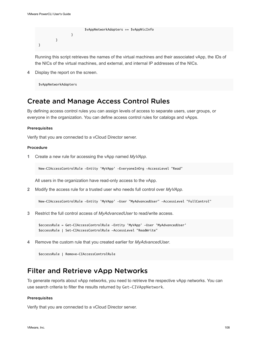```
 $vAppNetworkAdapters += $vAppNicInfo
 } 
        }
}
```
Running this script retrieves the names of the virtual machines and their associated vApp, the IDs of the NICs of the virtual machines, and external, and internal IP addresses of the NICs.

**4** Display the report on the screen.

\$vAppNetworkAdapters

# Create and Manage Access Control Rules

By defining access control rules you can assign levels of access to separate users, user groups, or everyone in the organization. You can define access control rules for catalogs and vApps.

### Prerequisites

Verify that you are connected to a vCloud Director server.

### Procedure

**1** Create a new rule for accessing the vApp named *MyVApp*.

New-CIAccessControlRule -Entity 'MyVApp' -EveryoneInOrg -AccessLevel "Read"

All users in the organization have read-only access to the vApp.

**2** Modify the access rule for a trusted user who needs full control over *MyVApp*.

New-CIAccessControlRule -Entity 'MyVApp' -User "MyAdvancedUser" -AccessLevel "FullControl"

**3** Restrict the full control access of *MyAdvancedUser* to read/write access.

\$accessRule = Get-CIAccessControlRule -Entity 'MyVApp' -User 'MyAdvancedUser' \$accessRule | Set-CIAccessControlRule -AccessLevel "ReadWrite"

**4** Remove the custom rule that you created earlier for *MyAdvancedUser*.

\$accessRule | Remove-CIAccessControlRule

# Filter and Retrieve vApp Networks

To generate reports about vApp networks, you need to retrieve the respective vApp networks. You can use search criteria to filter the results returned by Get-CIVAppNetwork.

#### Prerequisites

Verify that you are connected to a vCloud Director server.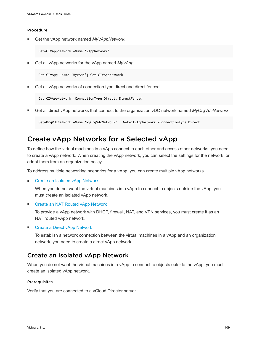<span id="page-108-0"></span>■ Get the vApp network named *MyVAppNetwork*.

Get-CIVAppNetwork -Name 'VAppNetwork'

Get all vApp networks for the vApp named *MyVApp*.

Get-CIVApp -Name 'MyVApp'| Get-CIVAppNetwork

Get all vApp networks of connection type direct and direct fenced.

```
Get-CIVAppNetwork -ConnectionType Direct, DirectFenced
```
<sup>n</sup> Get all direct vApp networks that connect to the organization vDC network named *MyOrgVdcNetwork*.

```
Get-OrgVdcNetwork -Name 'MyOrgVdcNetwork' | Get-CIVAppNetwork -ConnectionType Direct
```
### Create vApp Networks for a Selected vApp

To define how the virtual machines in a vApp connect to each other and access other networks, you need to create a vApp network. When creating the vApp network, you can select the settings for the network, or adopt them from an organization policy.

To address multiple networking scenarios for a vApp, you can create multiple vApp networks.

■ Create an Isolated vApp Network

When you do not want the virtual machines in a vApp to connect to objects outside the vApp, you must create an isolated vApp network.

**[Create an NAT Routed vApp Network](#page-109-0)** 

To provide a vApp network with DHCP, firewall, NAT, and VPN services, you must create it as an NAT routed vApp network.

■ [Create a Direct vApp Network](#page-109-0)

To establish a network connection between the virtual machines in a vApp and an organization network, you need to create a direct vApp network.

### Create an Isolated vApp Network

When you do not want the virtual machines in a vApp to connect to objects outside the vApp, you must create an isolated vApp network.

#### Prerequisites

Verify that you are connected to a vCloud Director server.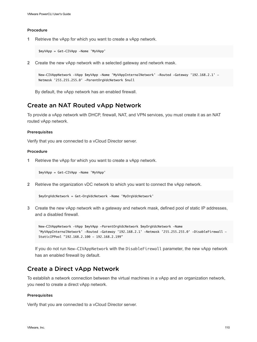<span id="page-109-0"></span>**1** Retrieve the vApp for which you want to create a vApp network.

\$myVApp = Get-CIVApp -Name 'MyVApp'

**2** Create the new vApp network with a selected gateway and network mask.

```
New-CIVAppNetwork -VApp $myVApp -Name 'MyVAppInternalNetwork' -Routed -Gateway '192.168.2.1' -
Netmask '255.255.255.0' -ParentOrgVdcNetwork $null
```
By default, the vApp network has an enabled firewall.

### Create an NAT Routed vApp Network

To provide a vApp network with DHCP, firewall, NAT, and VPN services, you must create it as an NAT routed vApp network.

### **Prerequisites**

Verify that you are connected to a vCloud Director server.

#### Procedure

**1** Retrieve the vApp for which you want to create a vApp network.

\$myVApp = Get-CIVApp -Name 'MyVApp'

**2** Retrieve the organization vDC network to which you want to connect the vApp network.

\$myOrgVdcNetwork = Get-OrgVdcNetwork -Name 'MyOrgVdcNetwork'

**3** Create the new vApp network with a gateway and network mask, defined pool of static IP addresses, and a disabled firewall.

New-CIVAppNetwork -VApp \$myVApp -ParentOrgVdcNetwork \$myOrgVdcNetwork -Name 'MyVAppInternalNetwork' -Routed -Gateway '192.168.2.1' -Netmask '255.255.255.0' -DisableFirewall - StaticIPPool "192.168.2.100 - 192.168.2.199"

If you do not run New-CIVAppNetwork with the DisableFirewall parameter, the new vApp network has an enabled firewall by default.

### Create a Direct vApp Network

To establish a network connection between the virtual machines in a vApp and an organization network, you need to create a direct vApp network.

### Prerequisites

Verify that you are connected to a vCloud Director server.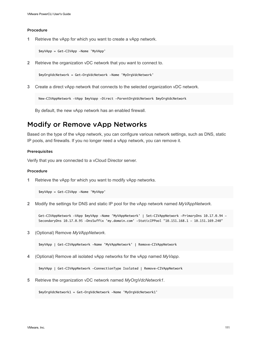<span id="page-110-0"></span>**1** Retrieve the vApp for which you want to create a vApp network.

\$myVApp = Get-CIVApp -Name 'MyVApp'

**2** Retrieve the organization vDC network that you want to connect to.

\$myOrgVdcNetwork = Get-OrgVdcNetwork -Name 'MyOrgVdcNetwork'

**3** Create a direct vApp network that connects to the selected organization vDC network.

New-CIVAppNetwork -VApp \$myVapp -Direct -ParentOrgVdcNetwork \$myOrgVdcNetwork

By default, the new vApp network has an enabled firewall.

### Modify or Remove vApp Networks

Based on the type of the vApp network, you can configure various network settings, such as DNS, static IP pools, and firewalls. If you no longer need a vApp network, you can remove it.

#### **Prerequisites**

Verify that you are connected to a vCloud Director server.

#### Procedure

**1** Retrieve the vApp for which you want to modify vApp networks.

\$myVApp = Get-CIVApp -Name 'MyVApp'

**2** Modify the settings for DNS and static IP pool for the vApp network named *MyVAppNetwork*.

Get-CIVAppNetwork -VApp \$myVApp -Name 'MyVAppNetwork' | Set-CIVAppNetwork -PrimaryDns 10.17.0.94 - SecondaryDns 10.17.0.95 -DnsSuffix 'my.domain.com' -StaticIPPool "10.151.168.1 - 10.151.169.240"

**3** (Optional) Remove *MyVAppNetwork*.

\$myVApp | Get-CIVAppNetwork -Name 'MyVAppNetwork' | Remove-CIVAppNetwork

**4** (Optional) Remove all isolated vApp networks for the vApp named *MyVapp*.

\$myVApp | Get-CIVAppNetwork -ConnectionType Isolated | Remove-CIVAppNetwork

**5** Retrieve the organization vDC network named *MyOrgVdcNetwork1*.

\$myOrgVdcNetwork1 = Get-OrgVdcNetwork -Name 'MyOrgVdcNetwork1'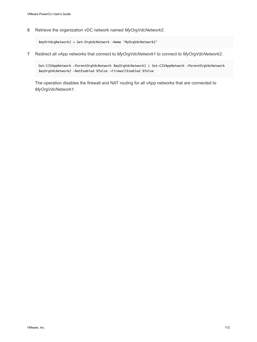**6** Retrieve the organization vDC network named *MyOrgVdcNetwork2*.

\$myOrVdcgNetwork2 = Get-OrgVdcNetwork -Name 'MyOrgVdcNetwork2'

**7** Redirect all vApp networks that connect to *MyOrgVdcNetwork1* to connect to *MyOrgVdcNetwork2*.

Get-CIVAppNetwork -ParentOrgVdcNetwork \$myOrgVdcNetwork1 | Set-CIVAppNetwork -ParentOrgVdcNetwork \$myOrgVdcNetwork2 -NatEnabled \$false -FirewallEnabled \$false

The operation disables the firewall and NAT routing for all vApp networks that are connected to *MyOrgVdcNetwork1*.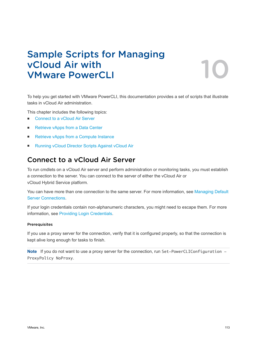## Sample Scripts for Managing vCloud Air with **VMware PowerCLI**



To help you get started with VMware PowerCLI, this documentation provides a set of scripts that illustrate tasks in vCloud Air administration.

This chapter includes the following topics:

- **Connect to a vCloud Air Server**
- [Retrieve vApps from a Data Center](#page-113-0)
- [Retrieve vApps from a Compute Instance](#page-113-0)
- [Running vCloud Director Scripts Against vCloud Air](#page-114-0)

### Connect to a vCloud Air Server

To run cmdlets on a vCloud Air server and perform administration or monitoring tasks, you must establish a connection to the server. You can connect to the server of either the vCloud Air or vCloud Hybrid Service platform.

You can have more than one connection to the same server. For more information, see [Managing Default](#page-15-0) [Server Connections.](#page-15-0)

If your login credentials contain non-alphanumeric characters, you might need to escape them. For more information, see [Providing Login Credentials](#page-14-0).

### **Prerequisites**

If you use a proxy server for the connection, verify that it is configured properly, so that the connection is kept alive long enough for tasks to finish.

Note If you do not want to use a proxy server for the connection, run Set-PowerCLIConfiguration -ProxyPolicy NoProxy.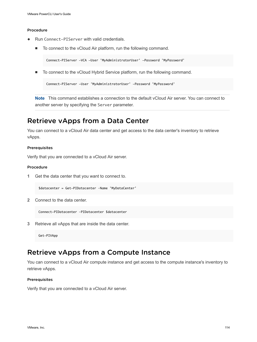- <span id="page-113-0"></span><sup>u</sup> Run Connect-PIServer with valid credentials.
	- To connect to the vCloud Air platform, run the following command.

```
Connect-PIServer -VCA -User 'MyAdministratorUser' -Password 'MyPassword'
```
■ To connect to the vCloud Hybrid Service platform, run the following command.

Connect-PIServer -User 'MyAdministratorUser' -Password 'MyPassword'

**Note** This command establishes a connection to the default vCloud Air server. You can connect to another server by specifying the Server parameter.

### Retrieve vApps from a Data Center

You can connect to a vCloud Air data center and get access to the data center's inventory to retrieve vApps.

#### Prerequisites

Verify that you are connected to a vCloud Air server.

### Procedure

**1** Get the data center that you want to connect to.

\$datacenter = Get-PIDatacenter –Name 'MyDataCenter'

**2** Connect to the data center.

Connect-PIDatacenter –PIDatacenter \$datacenter

**3** Retrieve all vApps that are inside the data center.

Get-PIVApp

### Retrieve vApps from a Compute Instance

You can connect to a vCloud Air compute instance and get access to the compute instance's inventory to retrieve vApps.

#### Prerequisites

Verify that you are connected to a vCloud Air server.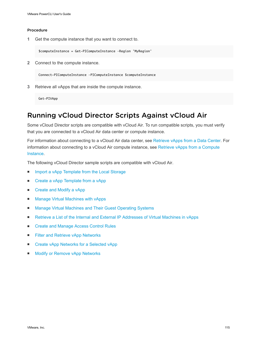<span id="page-114-0"></span>**1** Get the compute instance that you want to connect to.

\$computeInstance = Get-PIComputeInstance –Region 'MyRegion'

**2** Connect to the compute instance.

Connect-PIComputeInstance –PIComputeInstance \$computeInstance

**3** Retrieve all vApps that are inside the compute instance.

Get-PIVApp

### Running vCloud Director Scripts Against vCloud Air

Some vCloud Director scripts are compatible with vCloud Air. To run compatible scripts, you must verify that you are connected to a vCloud Air data center or compute instance.

For information about connecting to a vCloud Air data center, see [Retrieve vApps from a Data Center.](#page-113-0) For information about connecting to a vCloud Air compute instance, see [Retrieve vApps from a Compute](#page-113-0) [Instance.](#page-113-0)

The following vCloud Director sample scripts are compatible with vCloud Air.

- **n** [Import a vApp Template from the Local Storage](#page-102-0)
- [Create a vApp Template from a vApp](#page-102-0)
- [Create and Modify a vApp](#page-104-0)
- [Manage Virtual Machines with vApps](#page-104-0)
- [Manage Virtual Machines and Their Guest Operating Systems](#page-105-0)
- n [Retrieve a List of the Internal and External IP Addresses of Virtual Machines in vApps](#page-106-0)
- [Create and Manage Access Control Rules](#page-107-0)
- [Filter and Retrieve vApp Networks](#page-107-0)
- [Create vApp Networks for a Selected vApp](#page-108-0)
- [Modify or Remove vApp Networks](#page-110-0)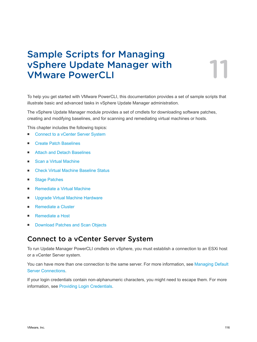# Sample Scripts for Managing vSphere Update Manager with<br>
VMware PowerCLI

To help you get started with VMware PowerCLI, this documentation provides a set of sample scripts that illustrate basic and advanced tasks in vSphere Update Manager administration.

The vSphere Update Manager module provides a set of cmdlets for downloading software patches, creating and modifying baselines, and for scanning and remediating virtual machines or hosts.

This chapter includes the following topics:

- Connect to a vCenter Server System
- **[Create Patch Baselines](#page-116-0)**
- [Attach and Detach Baselines](#page-117-0)
- [Scan a Virtual Machine](#page-117-0)
- <sup>n</sup> [Check Virtual Machine Baseline Status](#page-118-0)
- [Stage Patches](#page-118-0)
- [Remediate a Virtual Machine](#page-119-0)
- [Upgrade Virtual Machine Hardware](#page-119-0)
- [Remediate a Cluster](#page-119-0)
- [Remediate a Host](#page-120-0)
- [Download Patches and Scan Objects](#page-120-0)

### Connect to a vCenter Server System

To run Update Manager PowerCLI cmdlets on vSphere, you must establish a connection to an ESXi host or a vCenter Server system.

You can have more than one connection to the same server. For more information, see [Managing Default](#page-15-0) [Server Connections.](#page-15-0)

If your login credentials contain non-alphanumeric characters, you might need to escape them. For more information, see [Providing Login Credentials](#page-14-0).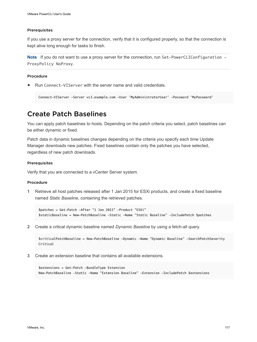#### <span id="page-116-0"></span>Prerequisites

If you use a proxy server for the connection, verify that it is configured properly, so that the connection is kept alive long enough for tasks to finish.

Note If you do not want to use a proxy server for the connection, run Set-PowerCLIConfiguration -ProxyPolicy NoProxy.

### Procedure

Run Connect-VIServer with the server name and valid credentials.

```
Connect-VIServer -Server vc3.example.com -User 'MyAdministratorUser' -Password 'MyPassword'
```
### Create Patch Baselines

You can apply patch baselines to hosts. Depending on the patch criteria you select, patch baselines can be either dynamic or fixed.

Patch data in dynamic baselines changes depending on the criteria you specify each time Update Manager downloads new patches. Fixed baselines contain only the patches you have selected, regardless of new patch downloads.

#### **Prerequisites**

Verify that you are connected to a vCenter Server system.

### Procedure

**1** Retrieve all host patches released after 1 Jan 2015 for ESXi products, and create a fixed baseline named *Static Baseline*, containing the retrieved patches.

```
$patches = Get-Patch -After "1 Jan 2015" -Product "ESXi"
$staticBaseline = New-PatchBaseline -Static -Name "Static Baseline" -IncludePatch $patches
```
**2** Create a critical dynamic baseline named *Dynamic Baseline* by using a fetch-all query.

\$criticalPatchBaseline = New-PatchBaseline -Dynamic -Name "Dynamic Baseline" -SearchPatchSeverity Critical

**3** Create an extension baseline that contains all available extensions.

\$extensions = Get-Patch -BundleType Extension New-PatchBaseline -Static -Name "Extension Baseline" -Extension -IncludePatch \$extensions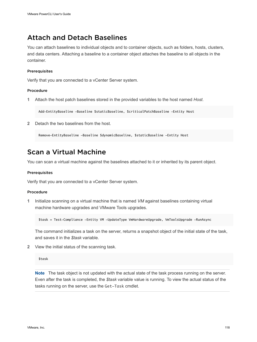### <span id="page-117-0"></span>Attach and Detach Baselines

You can attach baselines to individual objects and to container objects, such as folders, hosts, clusters, and data centers. Attaching a baseline to a container object attaches the baseline to all objects in the container.

### **Prerequisites**

Verify that you are connected to a vCenter Server system.

### Procedure

**1** Attach the host patch baselines stored in the provided variables to the host named *Host*.

Add-EntityBaseline -Baseline \$staticBaseline, \$criticalPatchBaseline -Entity Host

**2** Detach the two baselines from the host.

Remove-EntityBaseline -Baseline \$dynamicBaseline, \$staticBaseline -Entity Host

### Scan a Virtual Machine

You can scan a virtual machine against the baselines attached to it or inherited by its parent object.

#### Prerequisites

Verify that you are connected to a vCenter Server system.

### Procedure

**1** Initialize scanning on a virtual machine that is named *VM* against baselines containing virtual machine hardware upgrades and VMware Tools upgrades.

\$task = Test-Compliance -Entity VM -UpdateType VmHardwareUpgrade, VmToolsUpgrade -RunAsync

The command initializes a task on the server, returns a snapshot object of the initial state of the task, and saves it in the *\$task* variable.

**2** View the initial status of the scanning task.

\$task

**Note** The task object is not updated with the actual state of the task process running on the server. Even after the task is completed, the *\$task* variable value is running. To view the actual status of the tasks running on the server, use the Get-Task cmdlet.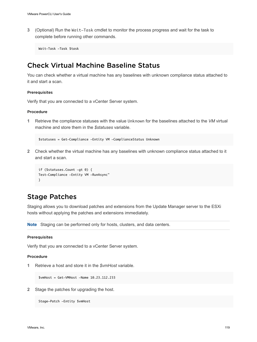<span id="page-118-0"></span>**3** (Optional) Run the Wait-Task cmdlet to monitor the process progress and wait for the task to complete before running other commands.

Wait-Task -Task \$task

### Check Virtual Machine Baseline Status

You can check whether a virtual machine has any baselines with unknown compliance status attached to it and start a scan.

### Prerequisites

Verify that you are connected to a vCenter Server system.

### Procedure

**1** Retrieve the compliance statuses with the value Unknown for the baselines attached to the *VM* virtual machine and store them in the *\$statuses* variable.

\$statuses = Get-Compliance -Entity VM -ComplianceStatus Unknown

**2** Check whether the virtual machine has any baselines with unknown compliance status attached to it and start a scan.

```
if ($statuses.Count -gt 0) {
Test-Compliance -Entity VM -RunAsync"
}
```
### Stage Patches

Staging allows you to download patches and extensions from the Update Manager server to the ESXi hosts without applying the patches and extensions immediately.

**Note** Staging can be performed only for hosts, clusters, and data centers.

### Prerequisites

Verify that you are connected to a vCenter Server system.

### Procedure

**1** Retrieve a host and store it in the *\$vmHost* variable.

\$vmHost = Get-VMHost -Name 10.23.112.233

**2** Stage the patches for upgrading the host.

Stage-Patch -Entity \$vmHost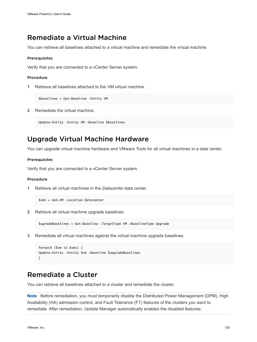### <span id="page-119-0"></span>Remediate a Virtual Machine

You can retrieve all baselines attached to a virtual machine and remediate the virtual machine.

### **Prerequisites**

Verify that you are connected to a vCenter Server system.

### Procedure

**1** Retrieve all baselines attached to the *VM* virtual machine.

\$baselines = Get-Baseline –Entity VM

**2** Remediate the virtual machine.

Update-Entity –Entity VM –Baseline \$baselines

### Upgrade Virtual Machine Hardware

You can upgrade virtual machine hardware and VMware Tools for all virtual machines in a data center.

#### Prerequisites

Verify that you are connected to a vCenter Server system.

#### Procedure

**1** Retrieve all virtual machines in the *Datacenter* data center.

\$vms = Get-VM -Location Datacenter

**2** Retrieve all virtual machine upgrade baselines.

\$ugradeBaselines = Get-Baseline -TargetType VM -BaselineType Upgrade

**3** Remediate all virtual machines against the virtual machine upgrade baselines.

```
foreach ($vm in $vms) {
Update-Entity -Entity $vm -Baseline $upgradeBaselines
}
```
### Remediate a Cluster

You can retrieve all baselines attached to a cluster and remediate the cluster.

**Note** Before remediation, you must temporarily disable the Distributed Power Management (DPM), High Availability (HA) admission control, and Fault Tolerance (FT) features of the clusters you want to remediate. After remediation, Update Manager automatically enables the disabled features.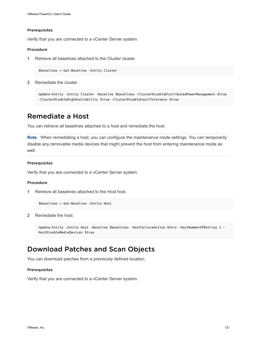#### <span id="page-120-0"></span>Prerequisites

Verify that you are connected to a vCenter Server system.

### Procedure

**1** Retrieve all baselines attached to the *Cluster* cluster.

\$baselines = Get-Baseline –Entity Cluster

**2** Remediate the cluster.

```
Update-Entity –Entity Cluster –Baseline $baselines -ClusterDisableDistributedPowerManagement $true 
–ClusterDisableHighAvailability $true -ClusterDisableFaultTolerance $true
```
### Remediate a Host

You can retrieve all baselines attached to a host and remediate the host.

**Note** When remediating a host, you can configure the maintenance mode settings. You can temporarily disable any removable media devices that might prevent the host from entering maintenance mode as well.

#### Prerequisites

Verify that you are connected to a vCenter Server system.

### Procedure

**1** Retrieve all baselines attached to the *Host* host.

```
$baselines = Get-Baseline –Entity Host
```
**2** Remediate the host.

```
Update-Entity –Entity Host –Baseline $baselines –HostFailureAction Retry –HostNumberOfRetries 2 -
HostDisableMediaDevices $true
```
### Download Patches and Scan Objects

You can download patches from a previously defined location.

#### Prerequisites

Verify that you are connected to a vCenter Server system.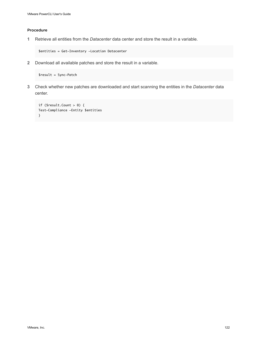**1** Retrieve all entities from the *Datacenter* data center and store the result in a variable.

\$entities = Get-Inventory -Location Datacenter

**2** Download all available patches and store the result in a variable.

\$result = Sync-Patch

**3** Check whether new patches are downloaded and start scanning the entities in the *Datacenter* data center.

```
if ($result.Count > 0) {
Test-Compliance -Entity $entities
}
```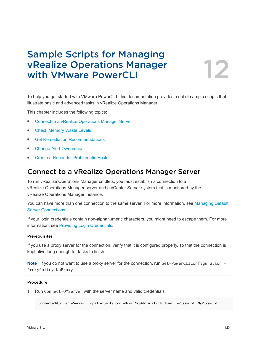# Sample Scripts for Managing vRealize Operations Manager<br>with VMware PowerCLI

To help you get started with VMware PowerCLI, this documentation provides a set of sample scripts that illustrate basic and advanced tasks in vRealize Operations Manager.

This chapter includes the following topics:

- Connect to a vRealize Operations Manager Server
- [Check Memory Waste Levels](#page-123-0)
- **n** [Get Remediation Recommendations](#page-123-0)
- [Change Alert Ownership](#page-124-0)
- [Create a Report for Problematic Hosts](#page-124-0)

### Connect to a vRealize Operations Manager Server

To run vRealize Operations Manager cmdlets, you must establish a connection to a vRealize Operations Manager server and a vCenter Server system that is monitored by the vRealize Operations Manager instance.

You can have more than one connection to the same server. For more information, see [Managing Default](#page-15-0) [Server Connections.](#page-15-0)

If your login credentials contain non-alphanumeric characters, you might need to escape them. For more information, see [Providing Login Credentials](#page-14-0).

#### **Prerequisites**

If you use a proxy server for the connection, verify that it is configured properly, so that the connection is kept alive long enough for tasks to finish.

Note If you do not want to use a proxy server for the connection, run Set-PowerCLIConfiguration -ProxyPolicy NoProxy.

### Procedure

**1** Run Connect-OMServer with the server name and valid credentials.

Connect-OMServer -Server vrops3.example.com -User 'MyAdministratorUser' -Password 'MyPassword'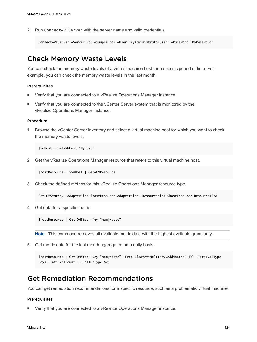<span id="page-123-0"></span>**2** Run Connect-VIServer with the server name and valid credentials.

```
Connect-VIServer -Server vc3.example.com -User 'MyAdministratorUser' -Password 'MyPassword'
```
### Check Memory Waste Levels

You can check the memory waste levels of a virtual machine host for a specific period of time. For example, you can check the memory waste levels in the last month.

### Prerequisites

- Verify that you are connected to a vRealize Operations Manager instance.
- Verify that you are connected to the vCenter Server system that is monitored by the vRealize Operations Manager instance.

### Procedure

**1** Browse the vCenter Server inventory and select a virtual machine host for which you want to check the memory waste levels.

\$vmHost = Get-VMHost 'MyHost'

**2** Get the vRealize Operations Manager resource that refers to this virtual machine host.

\$hostResource = \$vmHost | Get-OMResource

**3** Check the defined metrics for this vRealize Operations Manager resource type.

Get-OMStatKey -AdapterKind \$hostResource.AdapterKind -ResourceKind \$hostResource.ResourceKind

**4** Get data for a specific metric.

\$hostResource | Get-OMStat -Key "mem|waste"

**Note** This command retrieves all available metric data with the highest available granularity.

**5** Get metric data for the last month aggregated on a daily basis.

```
$hostResource | Get-OMStat -Key "mem|waste" -From ([datetime]::Now.AddMonths(-1)) -IntervalType 
Days -IntervalCount 1 -RollupType Avg
```
### Get Remediation Recommendations

You can get remediation recommendations for a specific resource, such as a problematic virtual machine.

#### Prerequisites

Verify that you are connected to a vRealize Operations Manager instance.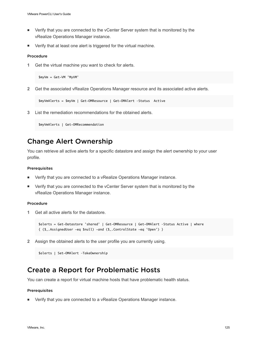- <span id="page-124-0"></span>**•** Verify that you are connected to the vCenter Server system that is monitored by the vRealize Operations Manager instance.
- Verify that at least one alert is triggered for the virtual machine.

**1** Get the virtual machine you want to check for alerts.

```
$myVm = Get-VM 'MyVM'
```
**2** Get the associated vRealize Operations Manager resource and its associated active alerts.

```
$myVmAlerts = $myVm | Get-OMResource | Get-OMAlert –Status Active
```
**3** List the remediation recommendations for the obtained alerts.

\$myVmAlerts | Get-OMRecommendation

### Change Alert Ownership

You can retrieve all active alerts for a specific datastore and assign the alert ownership to your user profile.

### Prerequisites

- Verify that you are connected to a vRealize Operations Manager instance.
- **n** Verify that you are connected to the vCenter Server system that is monitored by the vRealize Operations Manager instance.

### Procedure

**1** Get all active alerts for the datastore.

```
$alerts = Get-Datastore 'shared' | Get-OMResource | Get-OMAlert –Status Active | where 
{ ($_.AssignedUser -eq $null) -and ($_.ControlState -eq 'Open') }
```
**2** Assign the obtained alerts to the user profile you are currently using.

```
$alerts | Set-OMAlert –TakeOwnership
```
### Create a Report for Problematic Hosts

You can create a report for virtual machine hosts that have problematic health status.

#### **Prerequisites**

<sup>n</sup> Verify that you are connected to a vRealize Operations Manager instance.